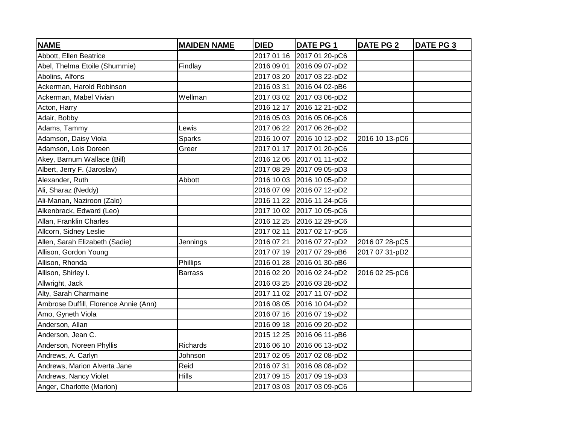| <b>NAME</b>                           | <b>MAIDEN NAME</b> | <b>DIED</b> | <b>DATE PG 1</b>          | <b>DATE PG 2</b> | <b>DATE PG 3</b> |
|---------------------------------------|--------------------|-------------|---------------------------|------------------|------------------|
| Abbott, Ellen Beatrice                |                    | 2017 01 16  | 2017 01 20-pC6            |                  |                  |
| Abel, Thelma Etoile (Shummie)         | Findlay            | 2016 09 01  | 2016 09 07-pD2            |                  |                  |
| Abolins, Alfons                       |                    | 2017 03 20  | 2017 03 22-pD2            |                  |                  |
| Ackerman, Harold Robinson             |                    | 2016 03 31  | 2016 04 02-pB6            |                  |                  |
| Ackerman, Mabel Vivian                | Wellman            | 2017 03 02  | 2017 03 06-pD2            |                  |                  |
| Acton, Harry                          |                    | 2016 12 17  | 2016 12 21-pD2            |                  |                  |
| Adair, Bobby                          |                    |             | 2016 05 03 2016 05 06-pC6 |                  |                  |
| Adams, Tammy                          | Lewis              | 2017 06 22  | 2017 06 26-pD2            |                  |                  |
| Adamson, Daisy Viola                  | <b>Sparks</b>      | 2016 10 07  | 2016 10 12-pD2            | 2016 10 13-pC6   |                  |
| Adamson, Lois Doreen                  | Greer              | 2017 01 17  | 2017 01 20-pC6            |                  |                  |
| Akey, Barnum Wallace (Bill)           |                    |             | 2016 12 06 2017 01 11-pD2 |                  |                  |
| Albert, Jerry F. (Jaroslav)           |                    |             | 2017 08 29 2017 09 05-pD3 |                  |                  |
| Alexander, Ruth                       | Abbott             |             | 2016 10 03 2016 10 05-pD2 |                  |                  |
| Ali, Sharaz (Neddy)                   |                    | 2016 07 09  | 2016 07 12-pD2            |                  |                  |
| Ali-Manan, Naziroon (Zalo)            |                    | 2016 11 22  | 2016 11 24-pC6            |                  |                  |
| Alkenbrack, Edward (Leo)              |                    |             | 2017 10 02 2017 10 05-pC6 |                  |                  |
| Allan, Franklin Charles               |                    | 2016 12 25  | 2016 12 29-pC6            |                  |                  |
| Allcorn, Sidney Leslie                |                    | 2017 02 11  | 2017 02 17-pC6            |                  |                  |
| Allen, Sarah Elizabeth (Sadie)        | Jennings           | 2016 07 21  | 2016 07 27-pD2            | 2016 07 28-pC5   |                  |
| Allison, Gordon Young                 |                    | 2017 07 19  | 2017 07 29-pB6            | 2017 07 31-pD2   |                  |
| Allison, Rhonda                       | Phillips           |             | 2016 01 28 2016 01 30-pB6 |                  |                  |
| Allison, Shirley I.                   | Barrass            | 2016 02 20  | 2016 02 24-pD2            | 2016 02 25-pC6   |                  |
| Allwright, Jack                       |                    |             | 2016 03 25 2016 03 28-pD2 |                  |                  |
| Alty, Sarah Charmaine                 |                    |             | 2017 11 02 2017 11 07-pD2 |                  |                  |
| Ambrose Duffill, Florence Annie (Ann) |                    |             | 2016 08 05 2016 10 04-pD2 |                  |                  |
| Amo, Gyneth Viola                     |                    | 2016 07 16  | 2016 07 19-pD2            |                  |                  |
| Anderson, Allan                       |                    | 2016 09 18  | 2016 09 20-pD2            |                  |                  |
| Anderson, Jean C.                     |                    | 2015 12 25  | 2016 06 11-pB6            |                  |                  |
| Anderson, Noreen Phyllis              | Richards           | 2016 06 10  | 2016 06 13-pD2            |                  |                  |
| Andrews, A. Carlyn                    | Johnson            | 2017 02 05  | 2017 02 08-pD2            |                  |                  |
| Andrews, Marion Alverta Jane          | Reid               | 2016 07 31  | 2016 08 08-pD2            |                  |                  |
| Andrews, Nancy Violet                 | Hills              | 2017 09 15  | 2017 09 19-pD3            |                  |                  |
| Anger, Charlotte (Marion)             |                    |             | 2017 03 03 2017 03 09-pC6 |                  |                  |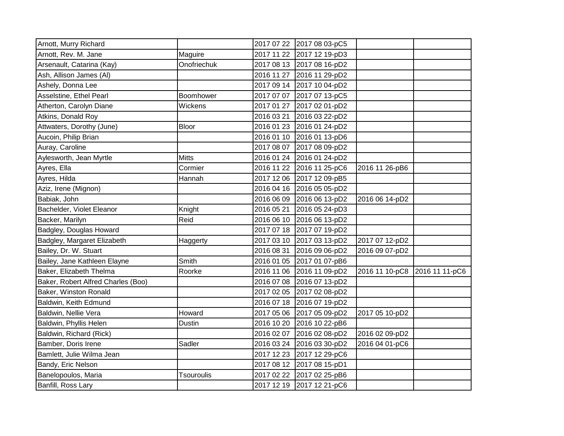| Arnott, Murry Richard              |                   | 2017 07 22 2017 08 03-pC5 |                               |  |
|------------------------------------|-------------------|---------------------------|-------------------------------|--|
| Arnott, Rev. M. Jane               | Maguire           | 2017 11 22 2017 12 19-pD3 |                               |  |
| Arsenault, Catarina (Kay)          | Onofriechuk       | 2017 08 13 2017 08 16-pD2 |                               |  |
| Ash, Allison James (Al)            |                   | 2016 11 27 2016 11 29-pD2 |                               |  |
| Ashely, Donna Lee                  |                   | 2017 09 14 2017 10 04-pD2 |                               |  |
| Asselstine, Ethel Pearl            | Boomhower         | 2017 07 07 2017 07 13-pC5 |                               |  |
| Atherton, Carolyn Diane            | Wickens           | 2017 01 27 2017 02 01-pD2 |                               |  |
| Atkins, Donald Roy                 |                   | 2016 03 21 2016 03 22-pD2 |                               |  |
| Attwaters, Dorothy (June)          | <b>Bloor</b>      | 2016 01 23 2016 01 24-pD2 |                               |  |
| Aucoin, Philip Brian               |                   | 2016 01 10 2016 01 13-pD6 |                               |  |
| Auray, Caroline                    |                   | 2017 08 07 2017 08 09-pD2 |                               |  |
| Aylesworth, Jean Myrtle            | <b>Mitts</b>      | 2016 01 24 2016 01 24-pD2 |                               |  |
| Ayres, Ella                        | Cormier           | 2016 11 22 2016 11 25-pC6 | 2016 11 26-pB6                |  |
| Ayres, Hilda                       | Hannah            | 2017 12 06 2017 12 09-pB5 |                               |  |
| Aziz, Irene (Mignon)               |                   | 2016 04 16 2016 05 05-pD2 |                               |  |
| Babiak, John                       |                   | 2016 06 09 2016 06 13-pD2 | 2016 06 14-pD2                |  |
| Bachelder, Violet Eleanor          | Knight            | 2016 05 21 2016 05 24-pD3 |                               |  |
| Backer, Marilyn                    | Reid              | 2016 06 10 2016 06 13-pD2 |                               |  |
| Badgley, Douglas Howard            |                   | 2017 07 18 2017 07 19-pD2 |                               |  |
| Badgley, Margaret Elizabeth        | Haggerty          | 2017 03 10 2017 03 13-pD2 | 2017 07 12-pD2                |  |
| Bailey, Dr. W. Stuart              |                   | 2016 08 31 2016 09 06-pD2 | 2016 09 07-pD2                |  |
| Bailey, Jane Kathleen Elayne       | Smith             | 2016 01 05 2017 01 07-pB6 |                               |  |
| Baker, Elizabeth Thelma            | Roorke            | 2016 11 06 2016 11 09-pD2 | 2016 11 10-pC8 2016 11 11-pC6 |  |
| Baker, Robert Alfred Charles (Boo) |                   | 2016 07 08 2016 07 13-pD2 |                               |  |
| Baker, Winston Ronald              |                   | 2017 02 05 2017 02 08-pD2 |                               |  |
| Baldwin, Keith Edmund              |                   | 2016 07 18 2016 07 19-pD2 |                               |  |
| Baldwin, Nellie Vera               | Howard            | 2017 05 06 2017 05 09-pD2 | 2017 05 10-pD2                |  |
| Baldwin, Phyllis Helen             | <b>Dustin</b>     | 2016 10 20 2016 10 22-pB6 |                               |  |
| Baldwin, Richard (Rick)            |                   | 2016 02 07 2016 02 08-pD2 | 2016 02 09-pD2                |  |
| Bamber, Doris Irene                | Sadler            | 2016 03 24 2016 03 30-pD2 | 2016 04 01-pC6                |  |
| Bamlett, Julie Wilma Jean          |                   | 2017 12 23 2017 12 29-pC6 |                               |  |
| Bandy, Eric Nelson                 |                   | 2017 08 12 2017 08 15-pD1 |                               |  |
| Banelopoulos, Maria                | <b>Tsouroulis</b> | 2017 02 22 2017 02 25-pB6 |                               |  |
| Banfill, Ross Lary                 |                   | 2017 12 19 2017 12 21-pC6 |                               |  |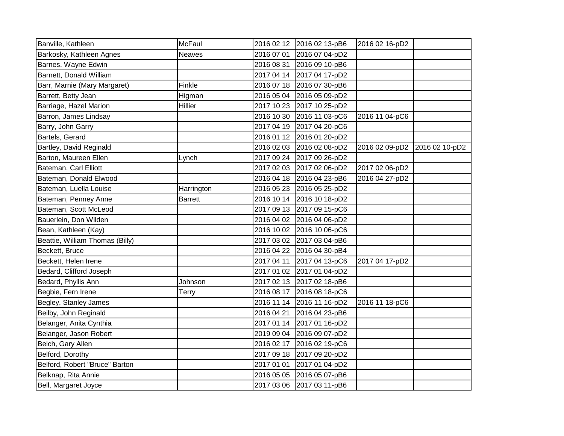| Banville, Kathleen              | <b>McFaul</b>  |            | 2016 02 12 2016 02 13-pB6 | 2016 02 16-pD2                |  |
|---------------------------------|----------------|------------|---------------------------|-------------------------------|--|
| Barkosky, Kathleen Agnes        | <b>Neaves</b>  | 2016 07 01 | 2016 07 04-pD2            |                               |  |
| Barnes, Wayne Edwin             |                | 2016 08 31 | 2016 09 10-pB6            |                               |  |
| Barnett, Donald William         |                |            | 2017 04 14 2017 04 17-pD2 |                               |  |
| Barr, Marnie (Mary Margaret)    | Finkle         |            | 2016 07 18 2016 07 30-pB6 |                               |  |
| Barrett, Betty Jean             | Higman         |            | 2016 05 04 2016 05 09-pD2 |                               |  |
| Barriage, Hazel Marion          | Hillier        |            | 2017 10 23 2017 10 25-pD2 |                               |  |
| Barron, James Lindsay           |                | 2016 10 30 | 2016 11 03-pC6            | 2016 11 04-pC6                |  |
| Barry, John Garry               |                |            | 2017 04 19 2017 04 20-pC6 |                               |  |
| Bartels, Gerard                 |                |            | 2016 01 12 2016 01 20-pD2 |                               |  |
| Bartley, David Reginald         |                |            | 2016 02 03 2016 02 08-pD2 | 2016 02 09-pD2 2016 02 10-pD2 |  |
| Barton, Maureen Ellen           | Lynch          |            | 2017 09 24 2017 09 26-pD2 |                               |  |
| Bateman, Carl Elliott           |                |            | 2017 02 03 2017 02 06-pD2 | 2017 02 06-pD2                |  |
| Bateman, Donald Elwood          |                |            | 2016 04 18 2016 04 23-pB6 | 2016 04 27-pD2                |  |
| Bateman, Luella Louise          | Harrington     |            | 2016 05 23 2016 05 25-pD2 |                               |  |
| Bateman, Penney Anne            | <b>Barrett</b> |            | 2016 10 14 2016 10 18-pD2 |                               |  |
| Bateman, Scott McLeod           |                |            | 2017 09 13 2017 09 15-pC6 |                               |  |
| Bauerlein, Don Wilden           |                |            | 2016 04 02 2016 04 06-pD2 |                               |  |
| Bean, Kathleen (Kay)            |                |            | 2016 10 02 2016 10 06-pC6 |                               |  |
| Beattie, William Thomas (Billy) |                |            | 2017 03 02 2017 03 04-pB6 |                               |  |
| Beckett, Bruce                  |                |            | 2016 04 22 2016 04 30-pB4 |                               |  |
| Beckett, Helen Irene            |                | 2017 04 11 | 2017 04 13-pC6            | 2017 04 17-pD2                |  |
| Bedard, Clifford Joseph         |                |            | 2017 01 02 2017 01 04-pD2 |                               |  |
| Bedard, Phyllis Ann             | Johnson        |            | 2017 02 13 2017 02 18-pB6 |                               |  |
| Begbie, Fern Irene              | Terry          |            | 2016 08 17 2016 08 18-pC6 |                               |  |
| Begley, Stanley James           |                |            | 2016 11 14 2016 11 16-pD2 | 2016 11 18-pC6                |  |
| Beilby, John Reginald           |                | 2016 04 21 | 2016 04 23-pB6            |                               |  |
| Belanger, Anita Cynthia         |                |            | 2017 01 14 2017 01 16-pD2 |                               |  |
| Belanger, Jason Robert          |                |            | 2019 09 04 2016 09 07-pD2 |                               |  |
| Belch, Gary Allen               |                |            | 2016 02 17 2016 02 19-pC6 |                               |  |
| Belford, Dorothy                |                |            | 2017 09 18 2017 09 20-pD2 |                               |  |
| Belford, Robert "Bruce" Barton  |                | 2017 01 01 | 2017 01 04-pD2            |                               |  |
| Belknap, Rita Annie             |                |            | 2016 05 05 2016 05 07-pB6 |                               |  |
| Bell, Margaret Joyce            |                |            | 2017 03 06 2017 03 11-pB6 |                               |  |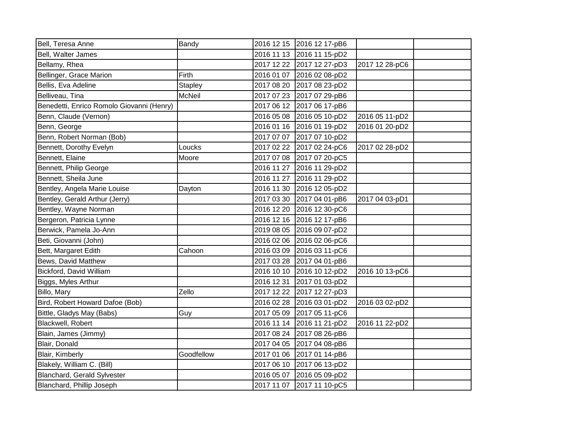| Bell, Teresa Anne                         | <b>Bandy</b>   | 2016 12 15 2016 12 17-pB6 |                |  |
|-------------------------------------------|----------------|---------------------------|----------------|--|
| Bell, Walter James                        |                | 2016 11 13 2016 11 15-pD2 |                |  |
| Bellamy, Rhea                             |                | 2017 12 22 2017 12 27-pD3 | 2017 12 28-pC6 |  |
| Bellinger, Grace Marion                   | <b>Firth</b>   | 2016 01 07 2016 02 08-pD2 |                |  |
| Bellis, Eva Adeline                       | <b>Stapley</b> | 2017 08 20 2017 08 23-pD2 |                |  |
| Belliveau, Tina                           | <b>McNeil</b>  | 2017 07 23 2017 07 29-pB6 |                |  |
| Benedetti, Enrico Romolo Giovanni (Henry) |                | 2017 06 12 2017 06 17-pB6 |                |  |
| Benn, Claude (Vernon)                     |                | 2016 05 08 2016 05 10-pD2 | 2016 05 11-pD2 |  |
| Benn, George                              |                | 2016 01 16 2016 01 19-pD2 | 2016 01 20-pD2 |  |
| Benn, Robert Norman (Bob)                 |                | 2017 07 07 2017 07 10-pD2 |                |  |
| Bennett, Dorothy Evelyn                   | Loucks         | 2017 02 22 2017 02 24-pC6 | 2017 02 28-pD2 |  |
| Bennett, Elaine                           | Moore          | 2017 07 08 2017 07 20-pC5 |                |  |
| Bennett, Philip George                    |                | 2016 11 27 2016 11 29-pD2 |                |  |
| Bennett, Sheila June                      |                | 2016 11 27 2016 11 29-pD2 |                |  |
| Bentley, Angela Marie Louise              | Dayton         | 2016 11 30 2016 12 05-pD2 |                |  |
| Bentley, Gerald Arthur (Jerry)            |                | 2017 03 30 2017 04 01-pB6 | 2017 04 03-pD1 |  |
| Bentley, Wayne Norman                     |                | 2016 12 20 2016 12 30-pC6 |                |  |
| Bergeron, Patricia Lynne                  |                | 2016 12 16 2016 12 17-pB6 |                |  |
| Berwick, Pamela Jo-Ann                    |                | 2019 08 05 2016 09 07-pD2 |                |  |
| Beti, Giovanni (John)                     |                | 2016 02 06 2016 02 06-pC6 |                |  |
| Bett, Margaret Edith                      | Cahoon         | 2016 03 09 2016 03 11-pC6 |                |  |
| Bews, David Matthew                       |                | 2017 03 28 2017 04 01-pB6 |                |  |
| Bickford, David William                   |                | 2016 10 10 2016 10 12-pD2 | 2016 10 13-pC6 |  |
| Biggs, Myles Arthur                       |                | 2016 12 31 2017 01 03-pD2 |                |  |
| Billo, Mary                               | Zello          | 2017 12 22 2017 12 27-pD3 |                |  |
| Bird, Robert Howard Dafoe (Bob)           |                | 2016 02 28 2016 03 01-pD2 | 2016 03 02-pD2 |  |
| Bittle, Gladys May (Babs)                 | Guy            | 2017 05 09 2017 05 11-pC6 |                |  |
| Blackwell, Robert                         |                | 2016 11 14 2016 11 21-pD2 | 2016 11 22-pD2 |  |
| Blain, James (Jimmy)                      |                | 2017 08 24 2017 08 26-pB6 |                |  |
| Blair, Donald                             |                | 2017 04 05 2017 04 08-pB6 |                |  |
| Blair, Kimberly                           | Goodfellow     | 2017 01 06 2017 01 14-pB6 |                |  |
| Blakely, William C. (Bill)                |                | 2017 06 10 2017 06 13-pD2 |                |  |
| <b>Blanchard, Gerald Sylvester</b>        |                | 2016 05 07 2016 05 09-pD2 |                |  |
| Blanchard, Phillip Joseph                 |                | 2017 11 07 2017 11 10-pC5 |                |  |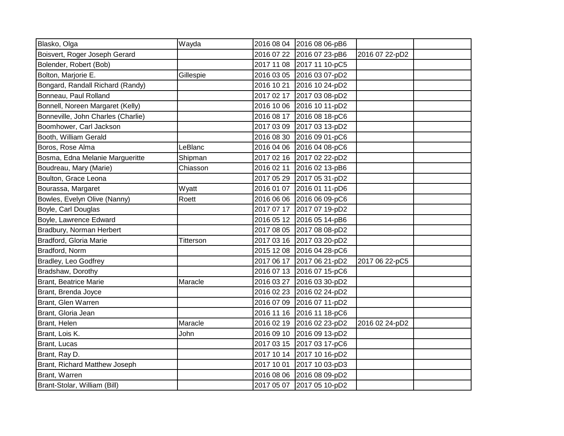| Blasko, Olga                       | Wayda     | 2016 08 04 2016 08 06-pB6 |                |  |
|------------------------------------|-----------|---------------------------|----------------|--|
| Boisvert, Roger Joseph Gerard      |           | 2016 07 22 2016 07 23-pB6 | 2016 07 22-pD2 |  |
| Bolender, Robert (Bob)             |           | 2017 11 08 2017 11 10-pC5 |                |  |
| Bolton, Marjorie E.                | Gillespie | 2016 03 05 2016 03 07-pD2 |                |  |
| Bongard, Randall Richard (Randy)   |           | 2016 10 21 2016 10 24-pD2 |                |  |
| Bonneau, Paul Rolland              |           | 2017 02 17 2017 03 08-pD2 |                |  |
| Bonnell, Noreen Margaret (Kelly)   |           | 2016 10 06 2016 10 11-pD2 |                |  |
| Bonneville, John Charles (Charlie) |           | 2016 08 17 2016 08 18-pC6 |                |  |
| Boomhower, Carl Jackson            |           | 2017 03 09 2017 03 13-pD2 |                |  |
| Booth, William Gerald              |           | 2016 08 30 2016 09 01-pC6 |                |  |
| Boros, Rose Alma                   | LeBlanc   | 2016 04 06 2016 04 08-pC6 |                |  |
| Bosma, Edna Melanie Margueritte    | Shipman   | 2017 02 16 2017 02 22-pD2 |                |  |
| Boudreau, Mary (Marie)             | Chiasson  | 2016 02 11 2016 02 13-pB6 |                |  |
| Boulton, Grace Leona               |           | 2017 05 29 2017 05 31-pD2 |                |  |
| Bourassa, Margaret                 | Wyatt     | 2016 01 07 2016 01 11-pD6 |                |  |
| Bowles, Evelyn Olive (Nanny)       | Roett     | 2016 06 06 2016 06 09-pC6 |                |  |
| Boyle, Carl Douglas                |           | 2017 07 17 2017 07 19-pD2 |                |  |
| Boyle, Lawrence Edward             |           | 2016 05 12 2016 05 14-pB6 |                |  |
| Bradbury, Norman Herbert           |           | 2017 08 05 2017 08 08-pD2 |                |  |
| Bradford, Gloria Marie             | Titterson | 2017 03 16 2017 03 20-pD2 |                |  |
| Bradford, Norm                     |           | 2015 12 08 2016 04 28-pC6 |                |  |
| Bradley, Leo Godfrey               |           | 2017 06 17 2017 06 21-pD2 | 2017 06 22-pC5 |  |
| Bradshaw, Dorothy                  |           | 2016 07 13 2016 07 15-pC6 |                |  |
| <b>Brant, Beatrice Marie</b>       | Maracle   | 2016 03 27 2016 03 30-pD2 |                |  |
| Brant, Brenda Joyce                |           | 2016 02 23 2016 02 24-pD2 |                |  |
| Brant, Glen Warren                 |           | 2016 07 09 2016 07 11-pD2 |                |  |
| Brant, Gloria Jean                 |           | 2016 11 16 2016 11 18-pC6 |                |  |
| Brant, Helen                       | Maracle   | 2016 02 19 2016 02 23-pD2 | 2016 02 24-pD2 |  |
| Brant, Lois K.                     | John      | 2016 09 10 2016 09 13-pD2 |                |  |
| Brant, Lucas                       |           | 2017 03 15 2017 03 17-pC6 |                |  |
| Brant, Ray D.                      |           | 2017 10 14 2017 10 16-pD2 |                |  |
| Brant, Richard Matthew Joseph      |           | 2017 10 01 2017 10 03-pD3 |                |  |
| Brant, Warren                      |           | 2016 08 06 2016 08 09-pD2 |                |  |
| Brant-Stolar, William (Bill)       |           | 2017 05 07 2017 05 10-pD2 |                |  |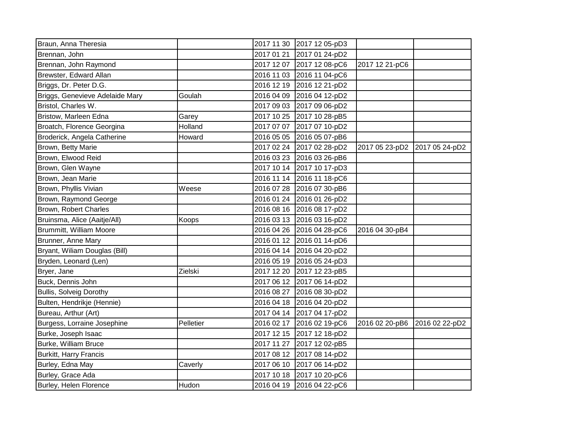| Braun, Anna Theresia            |           | 2017 11 30 | 2017 12 05-pD3            |                |                |
|---------------------------------|-----------|------------|---------------------------|----------------|----------------|
| Brennan, John                   |           | 2017 01 21 | 2017 01 24-pD2            |                |                |
| Brennan, John Raymond           |           | 2017 12 07 | 2017 12 08-pC6            | 2017 12 21-pC6 |                |
| Brewster, Edward Allan          |           | 2016 11 03 | 2016 11 04-pC6            |                |                |
| Briggs, Dr. Peter D.G.          |           | 2016 12 19 | 2016 12 21-pD2            |                |                |
| Briggs, Genevieve Adelaide Mary | Goulah    | 2016 04 09 | 2016 04 12-pD2            |                |                |
| Bristol, Charles W.             |           | 2017 09 03 | 2017 09 06-pD2            |                |                |
| Bristow, Marleen Edna           | Garey     | 2017 10 25 | 2017 10 28-pB5            |                |                |
| Broatch, Florence Georgina      | Holland   | 2017 07 07 | 2017 07 10-pD2            |                |                |
| Broderick, Angela Catherine     | Howard    | 2016 05 05 | 2016 05 07-pB6            |                |                |
| Brown, Betty Marie              |           | 2017 02 24 | 2017 02 28-pD2            | 2017 05 23-pD2 | 2017 05 24-pD2 |
| Brown, Elwood Reid              |           | 2016 03 23 | 2016 03 26-pB6            |                |                |
| Brown, Glen Wayne               |           | 2017 10 14 | 2017 10 17-pD3            |                |                |
| Brown, Jean Marie               |           | 2016 11 14 | 2016 11 18-pC6            |                |                |
| Brown, Phyllis Vivian           | Weese     | 2016 07 28 | 2016 07 30-pB6            |                |                |
| Brown, Raymond George           |           | 2016 01 24 | 2016 01 26-pD2            |                |                |
| Brown, Robert Charles           |           | 2016 08 16 | 2016 08 17-pD2            |                |                |
| Bruinsma, Alice (Aaitje/All)    | Koops     | 2016 03 13 | 2016 03 16-pD2            |                |                |
| Brummitt, William Moore         |           | 2016 04 26 | 2016 04 28-pC6            | 2016 04 30-pB4 |                |
| Brunner, Anne Mary              |           |            | 2016 01 12 2016 01 14-pD6 |                |                |
| Bryant, Wiliam Douglas (Bill)   |           | 2016 04 14 | 2016 04 20-pD2            |                |                |
| Bryden, Leonard (Len)           |           | 2016 05 19 | 2016 05 24-pD3            |                |                |
| Bryer, Jane                     | Zielski   | 2017 12 20 | 2017 12 23-pB5            |                |                |
| Buck, Dennis John               |           | 2017 06 12 | 2017 06 14-pD2            |                |                |
| Bullis, Solveig Dorothy         |           | 2016 08 27 | 2016 08 30-pD2            |                |                |
| Bulten, Hendrikje (Hennie)      |           | 2016 04 18 | 2016 04 20-pD2            |                |                |
| Bureau, Arthur (Art)            |           | 2017 04 14 | 2017 04 17-pD2            |                |                |
| Burgess, Lorraine Josephine     | Pelletier | 2016 02 17 | 2016 02 19-pC6            | 2016 02 20-pB6 | 2016 02 22-pD2 |
| Burke, Joseph Isaac             |           | 2017 12 15 | 2017 12 18-pD2            |                |                |
| Burke, William Bruce            |           | 2017 11 27 | 2017 12 02-pB5            |                |                |
| <b>Burkitt, Harry Francis</b>   |           | 2017 08 12 | 2017 08 14-pD2            |                |                |
| Burley, Edna May                | Caverly   | 2017 06 10 | 2017 06 14-pD2            |                |                |
| Burley, Grace Ada               |           | 2017 10 18 | 2017 10 20-pC6            |                |                |
| Burley, Helen Florence          | Hudon     | 2016 04 19 | 2016 04 22-pC6            |                |                |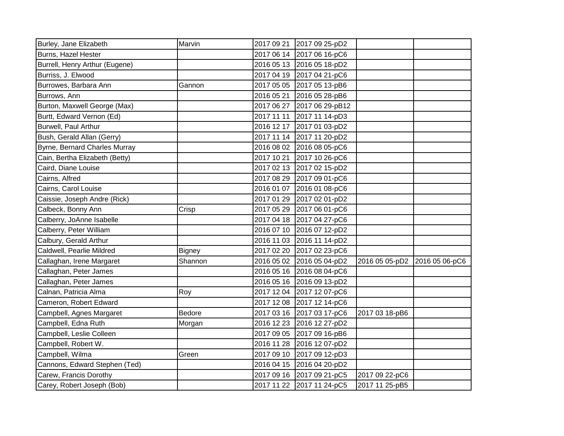| Burley, Jane Elizabeth         | Marvin        | 2017 09 21 2017 09 25-pD2  |                               |  |
|--------------------------------|---------------|----------------------------|-------------------------------|--|
| <b>Burns, Hazel Hester</b>     |               | 2017 06 14 2017 06 16-pC6  |                               |  |
| Burrell, Henry Arthur (Eugene) |               | 2016 05 13 2016 05 18-pD2  |                               |  |
| Burriss, J. Elwood             |               | 2017 04 19 2017 04 21-pC6  |                               |  |
| Burrowes, Barbara Ann          | Gannon        | 2017 05 05 2017 05 13-pB6  |                               |  |
| Burrows, Ann                   |               | 2016 05 21 2016 05 28-pB6  |                               |  |
| Burton, Maxwell George (Max)   |               | 2017 06 27 2017 06 29-pB12 |                               |  |
| Burtt, Edward Vernon (Ed)      |               | 2017 11 11 2017 11 14-pD3  |                               |  |
| Burwell, Paul Arthur           |               | 2016 12 17 2017 01 03-pD2  |                               |  |
| Bush, Gerald Allan (Gerry)     |               | 2017 11 14 2017 11 20-pD2  |                               |  |
| Byrne, Bernard Charles Murray  |               | 2016 08 02 2016 08 05-pC6  |                               |  |
| Cain, Bertha Elizabeth (Betty) |               | 2017 10 21 2017 10 26-pC6  |                               |  |
| Caird, Diane Louise            |               | 2017 02 13 2017 02 15-pD2  |                               |  |
| Cairns, Alfred                 |               | 2017 08 29 2017 09 01-pC6  |                               |  |
| Cairns, Carol Louise           |               | 2016 01 07 2016 01 08-pC6  |                               |  |
| Caissie, Joseph Andre (Rick)   |               | 2017 01 29 2017 02 01-pD2  |                               |  |
| Calbeck, Bonny Ann             | Crisp         | 2017 05 29 2017 06 01-pC6  |                               |  |
| Calberry, JoAnne Isabelle      |               | 2017 04 18 2017 04 27-pC6  |                               |  |
| Calberry, Peter William        |               | 2016 07 10 2016 07 12-pD2  |                               |  |
| Calbury, Gerald Arthur         |               | 2016 11 03 2016 11 14-pD2  |                               |  |
| Caldwell, Pearlie Mildred      | <b>Bigney</b> | 2017 02 20 2017 02 23-pC6  |                               |  |
| Callaghan, Irene Margaret      | Shannon       | 2016 05 02 2016 05 04-pD2  | 2016 05 05-pD2 2016 05 06-pC6 |  |
| Callaghan, Peter James         |               | 2016 05 16 2016 08 04-pC6  |                               |  |
| Callaghan, Peter James         |               | 2016 05 16 2016 09 13-pD2  |                               |  |
| Calnan, Patricia Alma          | Roy           | 2017 12 04 2017 12 07-pC6  |                               |  |
| Cameron, Robert Edward         |               | 2017 12 08 2017 12 14-pC6  |                               |  |
| Campbell, Agnes Margaret       | <b>Bedore</b> | 2017 03 16 2017 03 17-pC6  | 2017 03 18-pB6                |  |
| Campbell, Edna Ruth            | Morgan        | 2016 12 23 2016 12 27-pD2  |                               |  |
| Campbell, Leslie Colleen       |               | 2017 09 05 2017 09 16-pB6  |                               |  |
| Campbell, Robert W.            |               | 2016 11 28 2016 12 07-pD2  |                               |  |
| Campbell, Wilma                | Green         | 2017 09 10 2017 09 12-pD3  |                               |  |
| Cannons, Edward Stephen (Ted)  |               | 2016 04 15 2016 04 20-pD2  |                               |  |
| Carew, Francis Dorothy         |               | 2017 09 16 2017 09 21-pC5  | 2017 09 22-pC6                |  |
| Carey, Robert Joseph (Bob)     |               | 2017 11 22 2017 11 24-pC5  | 2017 11 25-pB5                |  |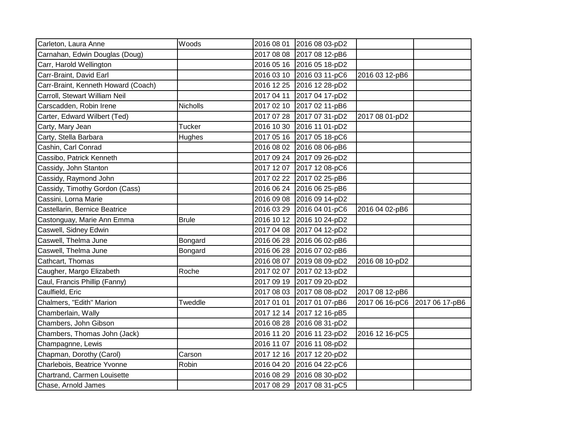| Carleton, Laura Anne                | Woods         |            | 2016 08 01 2016 08 03-pD2 |                |                |
|-------------------------------------|---------------|------------|---------------------------|----------------|----------------|
| Carnahan, Edwin Douglas (Doug)      |               |            | 2017 08 08 2017 08 12-pB6 |                |                |
| Carr, Harold Wellington             |               |            | 2016 05 16 2016 05 18-pD2 |                |                |
| Carr-Braint, David Earl             |               |            | 2016 03 10 2016 03 11-pC6 | 2016 03 12-pB6 |                |
| Carr-Braint, Kenneth Howard (Coach) |               |            | 2016 12 25 2016 12 28-pD2 |                |                |
| Carroll, Stewart William Neil       |               |            | 2017 04 11 2017 04 17-pD2 |                |                |
| Carscadden, Robin Irene             | Nicholls      |            | 2017 02 10 2017 02 11-pB6 |                |                |
| Carter, Edward Wilbert (Ted)        |               |            | 2017 07 28 2017 07 31-pD2 | 2017 08 01-pD2 |                |
| Carty, Mary Jean                    | <b>Tucker</b> |            | 2016 10 30 2016 11 01-pD2 |                |                |
| Carty, Stella Barbara               | Hughes        |            | 2017 05 16 2017 05 18-pC6 |                |                |
| Cashin, Carl Conrad                 |               |            | 2016 08 02 2016 08 06-pB6 |                |                |
| Cassibo, Patrick Kenneth            |               |            | 2017 09 24 2017 09 26-pD2 |                |                |
| Cassidy, John Stanton               |               |            | 2017 12 07 2017 12 08-pC6 |                |                |
| Cassidy, Raymond John               |               |            | 2017 02 22 2017 02 25-pB6 |                |                |
| Cassidy, Timothy Gordon (Cass)      |               |            | 2016 06 24 2016 06 25-pB6 |                |                |
| Cassini, Lorna Marie                |               |            | 2016 09 08 2016 09 14-pD2 |                |                |
| Castellarin, Bernice Beatrice       |               |            | 2016 03 29 2016 04 01-pC6 | 2016 04 02-pB6 |                |
| Castonguay, Marie Ann Emma          | <b>Brule</b>  |            | 2016 10 12 2016 10 24-pD2 |                |                |
| Caswell, Sidney Edwin               |               |            | 2017 04 08 2017 04 12-pD2 |                |                |
| Caswell, Thelma June                | Bongard       |            | 2016 06 28 2016 06 02-pB6 |                |                |
| Caswell, Thelma June                | Bongard       |            | 2016 06 28 2016 07 02-pB6 |                |                |
| Cathcart, Thomas                    |               |            | 2016 08 07 2019 08 09-pD2 | 2016 08 10-pD2 |                |
| Caugher, Margo Elizabeth            | Roche         |            | 2017 02 07 2017 02 13-pD2 |                |                |
| Caul, Francis Phillip (Fanny)       |               |            | 2017 09 19 2017 09 20-pD2 |                |                |
| Caulfield, Eric                     |               |            | 2017 08 03 2017 08 08-pD2 | 2017 08 12-pB6 |                |
| Chalmers, "Edith" Marion            | Tweddle       | 2017 01 01 | 2017 01 07-pB6            | 2017 06 16-pC6 | 2017 06 17-pB6 |
| Chamberlain, Wally                  |               |            | 2017 12 14 2017 12 16-pB5 |                |                |
| Chambers, John Gibson               |               |            | 2016 08 28 2016 08 31-pD2 |                |                |
| Chambers, Thomas John (Jack)        |               |            | 2016 11 20 2016 11 23-pD2 | 2016 12 16-pC5 |                |
| Champagnne, Lewis                   |               |            | 2016 11 07 2016 11 08-pD2 |                |                |
| Chapman, Dorothy (Carol)            | Carson        |            | 2017 12 16 2017 12 20-pD2 |                |                |
| Charlebois, Beatrice Yvonne         | Robin         |            | 2016 04 20 2016 04 22-pC6 |                |                |
| Chartrand, Carmen Louisette         |               |            | 2016 08 29 2016 08 30-pD2 |                |                |
| Chase, Arnold James                 |               |            | 2017 08 29 2017 08 31-pC5 |                |                |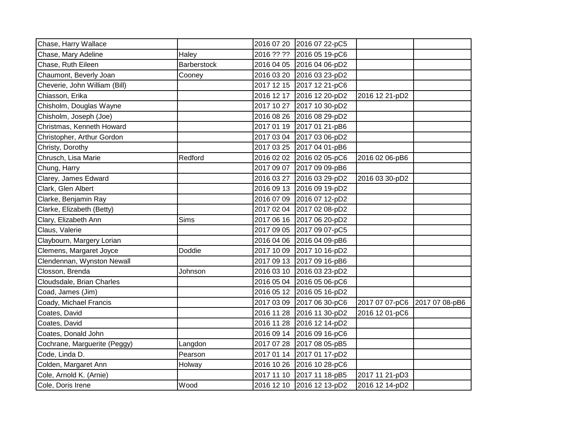| Chase, Harry Wallace          |             | 2016 07 20 | 2016 07 22-pC5 |                |                |
|-------------------------------|-------------|------------|----------------|----------------|----------------|
| Chase, Mary Adeline           | Haley       | 2016 ?? ?? | 2016 05 19-pC6 |                |                |
| Chase, Ruth Eileen            | Barberstock | 2016 04 05 | 2016 04 06-pD2 |                |                |
| Chaumont, Beverly Joan        | Cooney      | 2016 03 20 | 2016 03 23-pD2 |                |                |
| Cheverie, John William (Bill) |             | 2017 12 15 | 2017 12 21-pC6 |                |                |
| Chiasson, Erika               |             | 2016 12 17 | 2016 12 20-pD2 | 2016 12 21-pD2 |                |
| Chisholm, Douglas Wayne       |             | 2017 10 27 | 2017 10 30-pD2 |                |                |
| Chisholm, Joseph (Joe)        |             | 2016 08 26 | 2016 08 29-pD2 |                |                |
| Christmas, Kenneth Howard     |             | 2017 01 19 | 2017 01 21-pB6 |                |                |
| Christopher, Arthur Gordon    |             | 2017 03 04 | 2017 03 06-pD2 |                |                |
| Christy, Dorothy              |             | 2017 03 25 | 2017 04 01-pB6 |                |                |
| Chrusch, Lisa Marie           | Redford     | 2016 02 02 | 2016 02 05-pC6 | 2016 02 06-pB6 |                |
| Chung, Harry                  |             | 2017 09 07 | 2017 09 09-pB6 |                |                |
| Clarey, James Edward          |             | 2016 03 27 | 2016 03 29-pD2 | 2016 03 30-pD2 |                |
| Clark, Glen Albert            |             | 2016 09 13 | 2016 09 19-pD2 |                |                |
| Clarke, Benjamin Ray          |             | 2016 07 09 | 2016 07 12-pD2 |                |                |
| Clarke, Elizabeth (Betty)     |             | 2017 02 04 | 2017 02 08-pD2 |                |                |
| Clary, Elizabeth Ann          | Sims        | 2017 06 16 | 2017 06 20-pD2 |                |                |
| Claus, Valerie                |             | 2017 09 05 | 2017 09 07-pC5 |                |                |
| Claybourn, Margery Lorian     |             | 2016 04 06 | 2016 04 09-pB6 |                |                |
| Clemens, Margaret Joyce       | Doddie      | 2017 10 09 | 2017 10 16-pD2 |                |                |
| Clendennan, Wynston Newall    |             | 2017 09 13 | 2017 09 16-pB6 |                |                |
| Closson, Brenda               | Johnson     | 2016 03 10 | 2016 03 23-pD2 |                |                |
| Cloudsdale, Brian Charles     |             | 2016 05 04 | 2016 05 06-pC6 |                |                |
| Coad, James (Jim)             |             | 2016 05 12 | 2016 05 16-pD2 |                |                |
| Coady, Michael Francis        |             | 2017 03 09 | 2017 06 30-pC6 | 2017 07 07-pC6 | 2017 07 08-pB6 |
| Coates, David                 |             | 2016 11 28 | 2016 11 30-pD2 | 2016 12 01-pC6 |                |
| Coates, David                 |             | 2016 11 28 | 2016 12 14-pD2 |                |                |
| Coates, Donald John           |             | 2016 09 14 | 2016 09 16-pC6 |                |                |
| Cochrane, Marguerite (Peggy)  | Langdon     | 2017 07 28 | 2017 08 05-pB5 |                |                |
| Code, Linda D.                | Pearson     | 2017 01 14 | 2017 01 17-pD2 |                |                |
| Colden, Margaret Ann          | Holway      | 2016 10 26 | 2016 10 28-pC6 |                |                |
| Cole, Arnold K. (Arnie)       |             | 2017 11 10 | 2017 11 18-pB5 | 2017 11 21-pD3 |                |
| Cole, Doris Irene             | Wood        | 2016 12 10 | 2016 12 13-pD2 | 2016 12 14-pD2 |                |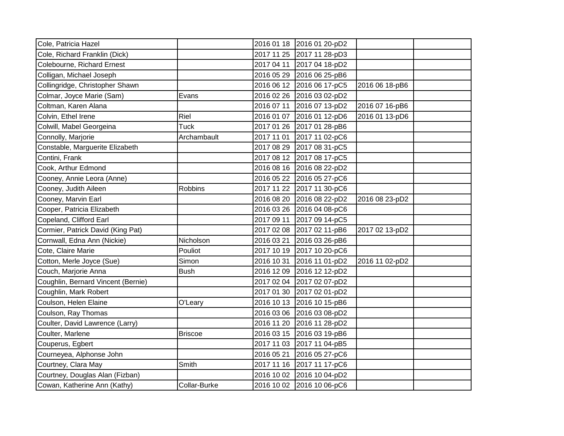| Cole, Patricia Hazel               |                |            | 2016 01 18 2016 01 20-pD2 |                |  |
|------------------------------------|----------------|------------|---------------------------|----------------|--|
| Cole, Richard Franklin (Dick)      |                |            | 2017 11 25 2017 11 28-pD3 |                |  |
| Colebourne, Richard Ernest         |                |            | 2017 04 11 2017 04 18-pD2 |                |  |
| Colligan, Michael Joseph           |                |            | 2016 05 29 2016 06 25-pB6 |                |  |
| Collingridge, Christopher Shawn    |                |            | 2016 06 12 2016 06 17-pC5 | 2016 06 18-pB6 |  |
| Colmar, Joyce Marie (Sam)          | Evans          |            | 2016 02 26 2016 03 02-pD2 |                |  |
| Coltman, Karen Alana               |                | 2016 07 11 | 2016 07 13-pD2            | 2016 07 16-pB6 |  |
| Colvin, Ethel Irene                | Riel           | 2016 01 07 | 2016 01 12-pD6            | 2016 01 13-pD6 |  |
| Colwill, Mabel Georgeina           | <b>Tuck</b>    |            | 2017 01 26 2017 01 28-pB6 |                |  |
| Connolly, Marjorie                 | Archambault    | 2017 11 01 | 2017 11 02-pC6            |                |  |
| Constable, Marguerite Elizabeth    |                | 2017 08 29 | 2017 08 31-pC5            |                |  |
| Contini, Frank                     |                |            | 2017 08 12 2017 08 17-pC5 |                |  |
| Cook, Arthur Edmond                |                |            | 2016 08 16 2016 08 22-pD2 |                |  |
| Cooney, Annie Leora (Anne)         |                |            | 2016 05 22 2016 05 27-pC6 |                |  |
| Cooney, Judith Aileen              | <b>Robbins</b> | 2017 11 22 | 2017 11 30-pC6            |                |  |
| Cooney, Marvin Earl                |                | 2016 08 20 | 2016 08 22-pD2            | 2016 08 23-pD2 |  |
| Cooper, Patricia Elizabeth         |                |            | 2016 03 26 2016 04 08-pC6 |                |  |
| Copeland, Clifford Earl            |                | 2017 09 11 | 2017 09 14-pC5            |                |  |
| Cormier, Patrick David (King Pat)  |                |            | 2017 02 08 2017 02 11-pB6 | 2017 02 13-pD2 |  |
| Cornwall, Edna Ann (Nickie)        | Nicholson      | 2016 03 21 | 2016 03 26-pB6            |                |  |
| Cote, Claire Marie                 | Pouliot        |            | 2017 10 19 2017 10 20-pC6 |                |  |
| Cotton, Merle Joyce (Sue)          | Simon          | 2016 10 31 | 2016 11 01-pD2            | 2016 11 02-pD2 |  |
| Couch, Marjorie Anna               | Bush           | 2016 12 09 | 2016 12 12-pD2            |                |  |
| Coughlin, Bernard Vincent (Bernie) |                | 2017 02 04 | 2017 02 07-pD2            |                |  |
| Coughlin, Mark Robert              |                | 2017 01 30 | 2017 02 01-pD2            |                |  |
| Coulson, Helen Elaine              | O'Leary        | 2016 10 13 | 2016 10 15-pB6            |                |  |
| Coulson, Ray Thomas                |                | 2016 03 06 | 2016 03 08-pD2            |                |  |
| Coulter, David Lawrence (Larry)    |                | 2016 11 20 | 2016 11 28-pD2            |                |  |
| Coulter, Marlene                   | <b>Briscoe</b> |            | 2016 03 15 2016 03 19-pB6 |                |  |
| Couperus, Egbert                   |                |            | 2017 11 03 2017 11 04-pB5 |                |  |
| Courneyea, Alphonse John           |                | 2016 05 21 | 2016 05 27-pC6            |                |  |
| Courtney, Clara May                | Smith          |            | 2017 11 16 2017 11 17-pC6 |                |  |
| Courtney, Douglas Alan (Fizban)    |                |            | 2016 10 02 2016 10 04-pD2 |                |  |
| Cowan, Katherine Ann (Kathy)       | Collar-Burke   |            | 2016 10 02 2016 10 06-pC6 |                |  |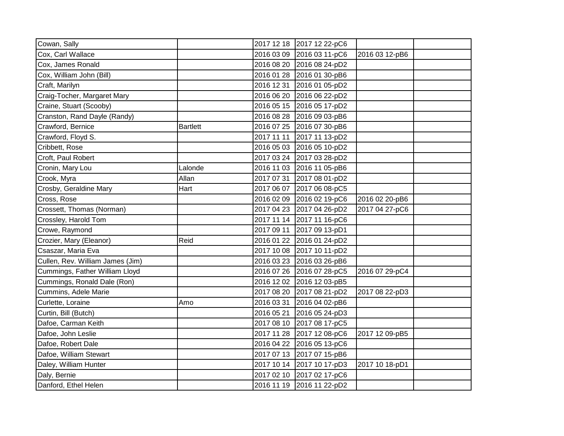| Cowan, Sally                     |                 | 2017 12 18 2017 12 22-pC6 |                |  |
|----------------------------------|-----------------|---------------------------|----------------|--|
| Cox, Carl Wallace                |                 | 2016 03 09 2016 03 11-pC6 | 2016 03 12-pB6 |  |
| Cox, James Ronald                |                 | 2016 08 20 2016 08 24-pD2 |                |  |
| Cox, William John (Bill)         |                 | 2016 01 28 2016 01 30-pB6 |                |  |
| Craft, Marilyn                   |                 | 2016 12 31 2016 01 05-pD2 |                |  |
| Craig-Tocher, Margaret Mary      |                 | 2016 06 20 2016 06 22-pD2 |                |  |
| Craine, Stuart (Scooby)          |                 | 2016 05 15 2016 05 17-pD2 |                |  |
| Cranston, Rand Dayle (Randy)     |                 | 2016 08 28 2016 09 03-pB6 |                |  |
| Crawford, Bernice                | <b>Bartlett</b> | 2016 07 25 2016 07 30-pB6 |                |  |
| Crawford, Floyd S.               |                 | 2017 11 11 2017 11 13-pD2 |                |  |
| Cribbett, Rose                   |                 | 2016 05 03 2016 05 10-pD2 |                |  |
| Croft, Paul Robert               |                 | 2017 03 24 2017 03 28-pD2 |                |  |
| Cronin, Mary Lou                 | Lalonde         | 2016 11 03 2016 11 05-pB6 |                |  |
| Crook, Myra                      | Allan           | 2017 07 31 2017 08 01-pD2 |                |  |
| Crosby, Geraldine Mary           | Hart            | 2017 06 07 2017 06 08-pC5 |                |  |
| Cross, Rose                      |                 | 2016 02 09 2016 02 19-pC6 | 2016 02 20-pB6 |  |
| Crossett, Thomas (Norman)        |                 | 2017 04 23 2017 04 26-pD2 | 2017 04 27-pC6 |  |
| Crossley, Harold Tom             |                 | 2017 11 14 2017 11 16-pC6 |                |  |
| Crowe, Raymond                   |                 | 2017 09 11 2017 09 13-pD1 |                |  |
| Crozier, Mary (Eleanor)          | Reid            | 2016 01 22 2016 01 24-pD2 |                |  |
| Csaszar, Maria Eva               |                 | 2017 10 08 2017 10 11-pD2 |                |  |
| Cullen, Rev. William James (Jim) |                 | 2016 03 23 2016 03 26-pB6 |                |  |
| Cummings, Father William Lloyd   |                 | 2016 07 26 2016 07 28-pC5 | 2016 07 29-pC4 |  |
| Cummings, Ronald Dale (Ron)      |                 | 2016 12 02 2016 12 03-pB5 |                |  |
| Cummins, Adele Marie             |                 | 2017 08 20 2017 08 21-pD2 | 2017 08 22-pD3 |  |
| Curlette, Loraine                | Amo             | 2016 03 31 2016 04 02-pB6 |                |  |
| Curtin, Bill (Butch)             |                 | 2016 05 21 2016 05 24-pD3 |                |  |
| Dafoe, Carman Keith              |                 | 2017 08 10 2017 08 17-pC5 |                |  |
| Dafoe, John Leslie               |                 | 2017 11 28 2017 12 08-pC6 | 2017 12 09-pB5 |  |
| Dafoe, Robert Dale               |                 | 2016 04 22 2016 05 13-pC6 |                |  |
| Dafoe, William Stewart           |                 | 2017 07 13 2017 07 15-pB6 |                |  |
| Daley, William Hunter            |                 | 2017 10 14 2017 10 17-pD3 | 2017 10 18-pD1 |  |
| Daly, Bernie                     |                 | 2017 02 10 2017 02 17-pC6 |                |  |
| Danford, Ethel Helen             |                 | 2016 11 19 2016 11 22-pD2 |                |  |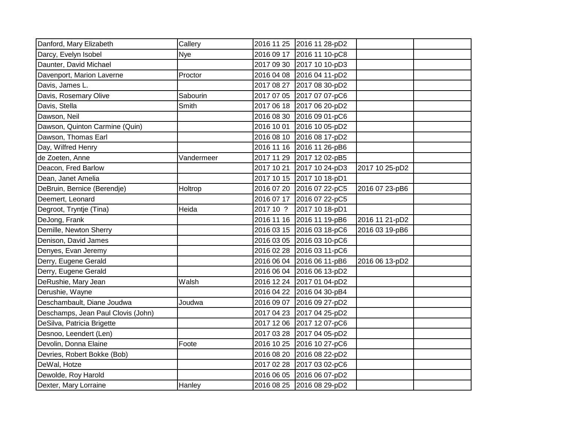| Danford, Mary Elizabeth            | Callery    |           | 2016 11 25 2016 11 28-pD2 |                |  |
|------------------------------------|------------|-----------|---------------------------|----------------|--|
| Darcy, Evelyn Isobel               | Nye        |           | 2016 09 17 2016 11 10-pC8 |                |  |
| Daunter, David Michael             |            |           | 2017 09 30 2017 10 10-pD3 |                |  |
| Davenport, Marion Laverne          | Proctor    |           | 2016 04 08 2016 04 11-pD2 |                |  |
| Davis, James L.                    |            |           | 2017 08 27 2017 08 30-pD2 |                |  |
| Davis, Rosemary Olive              | Sabourin   |           | 2017 07 05 2017 07 07-pC6 |                |  |
| Davis, Stella                      | Smith      |           | 2017 06 18 2017 06 20-pD2 |                |  |
| Dawson, Neil                       |            |           | 2016 08 30 2016 09 01-pC6 |                |  |
| Dawson, Quinton Carmine (Quin)     |            |           | 2016 10 01 2016 10 05-pD2 |                |  |
| Dawson, Thomas Earl                |            |           | 2016 08 10 2016 08 17-pD2 |                |  |
| Day, Wilfred Henry                 |            |           | 2016 11 16 2016 11 26-pB6 |                |  |
| de Zoeten, Anne                    | Vandermeer |           | 2017 11 29 2017 12 02-pB5 |                |  |
| Deacon, Fred Barlow                |            |           | 2017 10 21 2017 10 24-pD3 | 2017 10 25-pD2 |  |
| Dean, Janet Amelia                 |            |           | 2017 10 15 2017 10 18-pD1 |                |  |
| DeBruin, Bernice (Berendje)        | Holtrop    |           | 2016 07 20 2016 07 22-pC5 | 2016 07 23-pB6 |  |
| Deemert, Leonard                   |            |           | 2016 07 17 2016 07 22-pC5 |                |  |
| Degroot, Tryntje (Tina)            | Heida      | 2017 10 ? | 2017 10 18-pD1            |                |  |
| DeJong, Frank                      |            |           | 2016 11 16 2016 11 19-pB6 | 2016 11 21-pD2 |  |
| Demille, Newton Sherry             |            |           | 2016 03 15 2016 03 18-pC6 | 2016 03 19-pB6 |  |
| Denison, David James               |            |           | 2016 03 05 2016 03 10-pC6 |                |  |
| Denyes, Evan Jeremy                |            |           | 2016 02 28 2016 03 11-pC6 |                |  |
| Derry, Eugene Gerald               |            |           | 2016 06 04 2016 06 11-pB6 | 2016 06 13-pD2 |  |
| Derry, Eugene Gerald               |            |           | 2016 06 04 2016 06 13-pD2 |                |  |
| DeRushie, Mary Jean                | Walsh      |           | 2016 12 24 2017 01 04-pD2 |                |  |
| Derushie, Wayne                    |            |           | 2016 04 22 2016 04 30-pB4 |                |  |
| Deschambault, Diane Joudwa         | Joudwa     |           | 2016 09 07 2016 09 27-pD2 |                |  |
| Deschamps, Jean Paul Clovis (John) |            |           | 2017 04 23 2017 04 25-pD2 |                |  |
| DeSilva, Patricia Brigette         |            |           | 2017 12 06 2017 12 07-pC6 |                |  |
| Desnoo, Leendert (Len)             |            |           | 2017 03 28 2017 04 05-pD2 |                |  |
| Devolin, Donna Elaine              | Foote      |           | 2016 10 25 2016 10 27-pC6 |                |  |
| Devries, Robert Bokke (Bob)        |            |           | 2016 08 20 2016 08 22-pD2 |                |  |
| DeWal, Hotze                       |            |           | 2017 02 28 2017 03 02-pC6 |                |  |
| Dewolde, Roy Harold                |            |           | 2016 06 05 2016 06 07-pD2 |                |  |
| Dexter, Mary Lorraine              | Hanley     |           | 2016 08 25 2016 08 29-pD2 |                |  |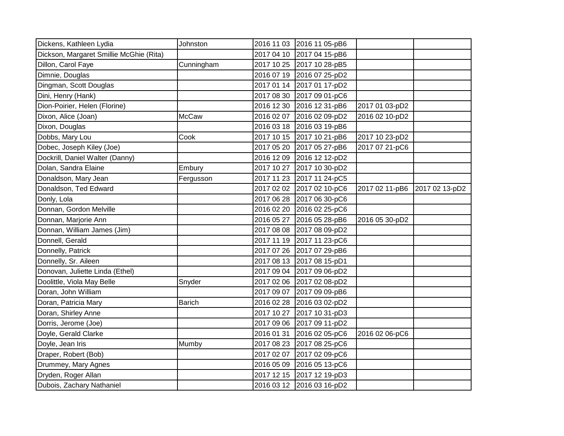| Dickens, Kathleen Lydia                 | Johnston      | 2016 11 03 2016 11 05-pB6 |                |                |
|-----------------------------------------|---------------|---------------------------|----------------|----------------|
| Dickson, Margaret Smillie McGhie (Rita) |               | 2017 04 10 2017 04 15-pB6 |                |                |
| Dillon, Carol Faye                      | Cunningham    | 2017 10 25 2017 10 28-pB5 |                |                |
| Dimnie, Douglas                         |               | 2016 07 19 2016 07 25-pD2 |                |                |
| Dingman, Scott Douglas                  |               | 2017 01 14 2017 01 17-pD2 |                |                |
| Dini, Henry (Hank)                      |               | 2017 08 30 2017 09 01-pC6 |                |                |
| Dion-Poirier, Helen (Florine)           |               | 2016 12 30 2016 12 31-pB6 | 2017 01 03-pD2 |                |
| Dixon, Alice (Joan)                     | <b>McCaw</b>  | 2016 02 07 2016 02 09-pD2 | 2016 02 10-pD2 |                |
| Dixon, Douglas                          |               | 2016 03 18 2016 03 19-pB6 |                |                |
| Dobbs, Mary Lou                         | Cook          | 2017 10 15 2017 10 21-pB6 | 2017 10 23-pD2 |                |
| Dobec, Joseph Kiley (Joe)               |               | 2017 05 20 2017 05 27-pB6 | 2017 07 21-pC6 |                |
| Dockrill, Daniel Walter (Danny)         |               | 2016 12 09 2016 12 12-pD2 |                |                |
| Dolan, Sandra Elaine                    | Embury        | 2017 10 27 2017 10 30-pD2 |                |                |
| Donaldson, Mary Jean                    | Fergusson     | 2017 11 23 2017 11 24-pC5 |                |                |
| Donaldson, Ted Edward                   |               | 2017 02 02 2017 02 10-pC6 | 2017 02 11-pB6 | 2017 02 13-pD2 |
| Donly, Lola                             |               | 2017 06 28 2017 06 30-pC6 |                |                |
| Donnan, Gordon Melville                 |               | 2016 02 20 2016 02 25-pC6 |                |                |
| Donnan, Marjorie Ann                    |               | 2016 05 27 2016 05 28-pB6 | 2016 05 30-pD2 |                |
| Donnan, William James (Jim)             |               | 2017 08 08 2017 08 09-pD2 |                |                |
| Donnell, Gerald                         |               | 2017 11 19 2017 11 23-pC6 |                |                |
| Donnelly, Patrick                       |               | 2017 07 26 2017 07 29-pB6 |                |                |
| Donnelly, Sr. Aileen                    |               | 2017 08 13 2017 08 15-pD1 |                |                |
| Donovan, Juliette Linda (Ethel)         |               | 2017 09 04 2017 09 06-pD2 |                |                |
| Doolittle, Viola May Belle              | Snyder        | 2017 02 06 2017 02 08-pD2 |                |                |
| Doran, John William                     |               | 2017 09 07 2017 09 09-pB6 |                |                |
| Doran, Patricia Mary                    | <b>Barich</b> | 2016 02 28 2016 03 02-pD2 |                |                |
| Doran, Shirley Anne                     |               | 2017 10 27 2017 10 31-pD3 |                |                |
| Dorris, Jerome (Joe)                    |               | 2017 09 06 2017 09 11-pD2 |                |                |
| Doyle, Gerald Clarke                    |               | 2016 01 31 2016 02 05-pC6 | 2016 02 06-pC6 |                |
| Doyle, Jean Iris                        | Mumby         | 2017 08 23 2017 08 25-pC6 |                |                |
| Draper, Robert (Bob)                    |               | 2017 02 07 2017 02 09-pC6 |                |                |
| Drummey, Mary Agnes                     |               | 2016 05 09 2016 05 13-pC6 |                |                |
| Dryden, Roger Allan                     |               | 2017 12 15 2017 12 19-pD3 |                |                |
| Dubois, Zachary Nathaniel               |               | 2016 03 12 2016 03 16-pD2 |                |                |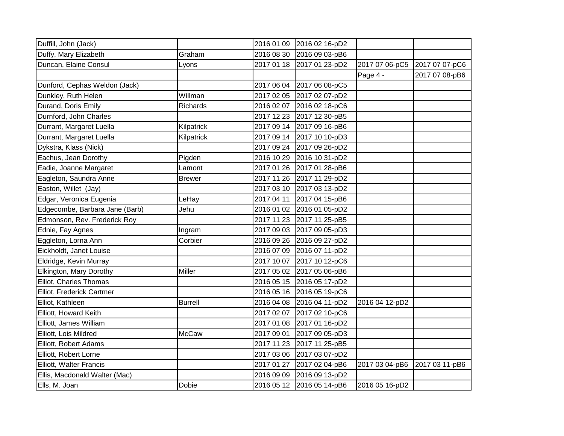| Duffill, John (Jack)           |                |            | 2016 01 09 2016 02 16-pD2 |                |                |
|--------------------------------|----------------|------------|---------------------------|----------------|----------------|
| Duffy, Mary Elizabeth          | Graham         |            | 2016 08 30 2016 09 03-pB6 |                |                |
| Duncan, Elaine Consul          | Lyons          | 2017 01 18 | 2017 01 23-pD2            | 2017 07 06-pC5 | 2017 07 07-pC6 |
|                                |                |            |                           | Page 4 -       | 2017 07 08-pB6 |
| Dunford, Cephas Weldon (Jack)  |                | 2017 06 04 | 2017 06 08-pC5            |                |                |
| Dunkley, Ruth Helen            | Willman        | 2017 02 05 | 2017 02 07-pD2            |                |                |
| Durand, Doris Emily            | Richards       | 2016 02 07 | 2016 02 18-pC6            |                |                |
| Durnford, John Charles         |                |            | 2017 12 23 2017 12 30-pB5 |                |                |
| Durrant, Margaret Luella       | Kilpatrick     |            | 2017 09 14 2017 09 16-pB6 |                |                |
| Durrant, Margaret Luella       | Kilpatrick     |            | 2017 09 14 2017 10 10-pD3 |                |                |
| Dykstra, Klass (Nick)          |                | 2017 09 24 | 2017 09 26-pD2            |                |                |
| Eachus, Jean Dorothy           | Pigden         | 2016 10 29 | 2016 10 31-pD2            |                |                |
| Eadie, Joanne Margaret         | Lamont         | 2017 01 26 | 2017 01 28-pB6            |                |                |
| Eagleton, Saundra Anne         | <b>Brewer</b>  | 2017 11 26 | 2017 11 29-pD2            |                |                |
| Easton, Willet (Jay)           |                | 2017 03 10 | 2017 03 13-pD2            |                |                |
| Edgar, Veronica Eugenia        | LeHay          | 2017 04 11 | 2017 04 15-pB6            |                |                |
| Edgecombe, Barbara Jane (Barb) | Jehu           | 2016 01 02 | 2016 01 05-pD2            |                |                |
| Edmonson, Rev. Frederick Roy   |                | 2017 11 23 | 2017 11 25-pB5            |                |                |
| Ednie, Fay Agnes               | Ingram         |            | 2017 09 03 2017 09 05-pD3 |                |                |
| Eggleton, Lorna Ann            | Corbier        |            | 2016 09 26 2016 09 27-pD2 |                |                |
| Eickholdt, Janet Louise        |                | 2016 07 09 | 2016 07 11-pD2            |                |                |
| Eldridge, Kevin Murray         |                | 2017 10 07 | 2017 10 12-pC6            |                |                |
| Elkington, Mary Dorothy        | Miller         | 2017 05 02 | 2017 05 06-pB6            |                |                |
| Elliot, Charles Thomas         |                | 2016 05 15 | 2016 05 17-pD2            |                |                |
| Elliot, Frederick Cartmer      |                | 2016 05 16 | 2016 05 19-pC6            |                |                |
| Elliot, Kathleen               | <b>Burrell</b> | 2016 04 08 | 2016 04 11-pD2            | 2016 04 12-pD2 |                |
| Elliott, Howard Keith          |                | 2017 02 07 | 2017 02 10-pC6            |                |                |
| Elliott, James William         |                | 2017 01 08 | 2017 01 16-pD2            |                |                |
| Elliott, Lois Mildred          | <b>McCaw</b>   | 2017 09 01 | 2017 09 05-pD3            |                |                |
| Elliott, Robert Adams          |                | 2017 11 23 | 2017 11 25-pB5            |                |                |
| Elliott, Robert Lorne          |                | 2017 03 06 | 2017 03 07-pD2            |                |                |
| Elliott, Walter Francis        |                | 2017 01 27 | 2017 02 04-pB6            | 2017 03 04-pB6 | 2017 03 11-pB6 |
| Ellis, Macdonald Walter (Mac)  |                | 2016 09 09 | 2016 09 13-pD2            |                |                |
| Ells, M. Joan                  | Dobie          |            | 2016 05 12 2016 05 14-pB6 | 2016 05 16-pD2 |                |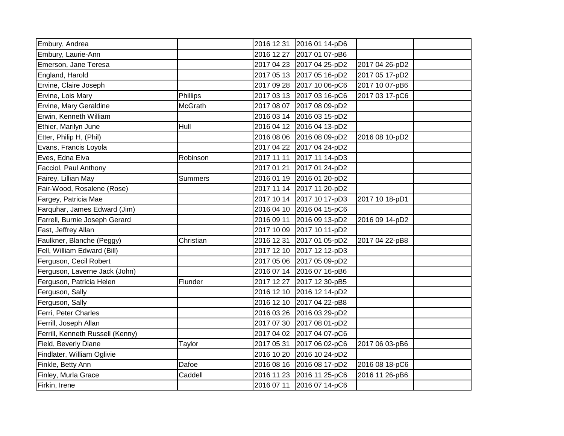| Embury, Andrea                   |                |            | 2016 12 31 2016 01 14-pD6 |                |  |
|----------------------------------|----------------|------------|---------------------------|----------------|--|
| Embury, Laurie-Ann               |                |            | 2016 12 27 2017 01 07-pB6 |                |  |
| Emerson, Jane Teresa             |                |            | 2017 04 23 2017 04 25-pD2 | 2017 04 26-pD2 |  |
| England, Harold                  |                |            | 2017 05 13 2017 05 16-pD2 | 2017 05 17-pD2 |  |
| Ervine, Claire Joseph            |                |            | 2017 09 28 2017 10 06-pC6 | 2017 10 07-pB6 |  |
| Ervine, Lois Mary                | Phillips       |            | 2017 03 13 2017 03 16-pC6 | 2017 03 17-pC6 |  |
| Ervine, Mary Geraldine           | McGrath        |            | 2017 08 07 2017 08 09-pD2 |                |  |
| Erwin, Kenneth William           |                |            | 2016 03 14 2016 03 15-pD2 |                |  |
| Ethier, Marilyn June             | Hull           |            | 2016 04 12 2016 04 13-pD2 |                |  |
| Etter, Philip H, (Phil)          |                |            | 2016 08 06 2016 08 09-pD2 | 2016 08 10-pD2 |  |
| Evans, Francis Loyola            |                |            | 2017 04 22 2017 04 24-pD2 |                |  |
| Eves, Edna Elva                  | Robinson       |            | 2017 11 11 2017 11 14-pD3 |                |  |
| Facciol, Paul Anthony            |                | 2017 01 21 | 2017 01 24-pD2            |                |  |
| Fairey, Lillian May              | <b>Summers</b> |            | 2016 01 19 2016 01 20-pD2 |                |  |
| Fair-Wood, Rosalene (Rose)       |                |            | 2017 11 14 2017 11 20-pD2 |                |  |
| Fargey, Patricia Mae             |                |            | 2017 10 14 2017 10 17-pD3 | 2017 10 18-pD1 |  |
| Farquhar, James Edward (Jim)     |                |            | 2016 04 10 2016 04 15-pC6 |                |  |
| Farrell, Burnie Joseph Gerard    |                |            | 2016 09 11 2016 09 13-pD2 | 2016 09 14-pD2 |  |
| Fast, Jeffrey Allan              |                |            | 2017 10 09 2017 10 11-pD2 |                |  |
| Faulkner, Blanche (Peggy)        | Christian      |            | 2016 12 31 2017 01 05-pD2 | 2017 04 22-pB8 |  |
| Fell, William Edward (Bill)      |                |            | 2017 12 10 2017 12 12-pD3 |                |  |
| Ferguson, Cecil Robert           |                |            | 2017 05 06 2017 05 09-pD2 |                |  |
| Ferguson, Laverne Jack (John)    |                |            | 2016 07 14 2016 07 16-pB6 |                |  |
| Ferguson, Patricia Helen         | Flunder        |            | 2017 12 27 2017 12 30-pB5 |                |  |
| Ferguson, Sally                  |                |            | 2016 12 10 2016 12 14-pD2 |                |  |
| Ferguson, Sally                  |                |            | 2016 12 10 2017 04 22-pB8 |                |  |
| Ferri, Peter Charles             |                |            | 2016 03 26 2016 03 29-pD2 |                |  |
| Ferrill, Joseph Allan            |                |            | 2017 07 30 2017 08 01-pD2 |                |  |
| Ferrill, Kenneth Russell (Kenny) |                |            | 2017 04 02 2017 04 07-pC6 |                |  |
| Field, Beverly Diane             | Taylor         |            | 2017 05 31 2017 06 02-pC6 | 2017 06 03-pB6 |  |
| Findlater, William Oglivie       |                |            | 2016 10 20 2016 10 24-pD2 |                |  |
| Finkle, Betty Ann                | Dafoe          |            | 2016 08 16 2016 08 17-pD2 | 2016 08 18-pC6 |  |
| Finley, Murla Grace              | Caddell        |            | 2016 11 23 2016 11 25-pC6 | 2016 11 26-pB6 |  |
| Firkin, Irene                    |                |            | 2016 07 11 2016 07 14-pC6 |                |  |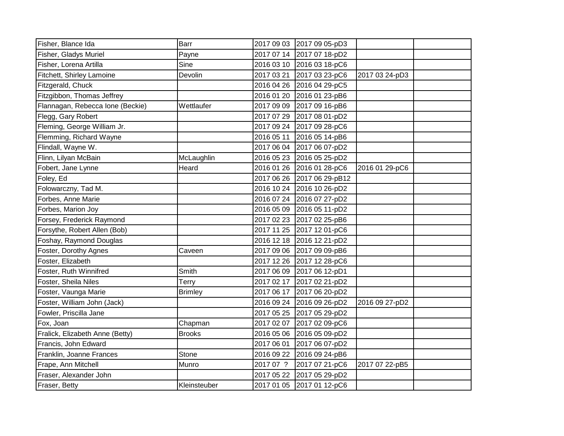| Fisher, Blance Ida               | Barr           |            | 2017 09 03 2017 09 05-pD3 |                |  |
|----------------------------------|----------------|------------|---------------------------|----------------|--|
| Fisher, Gladys Muriel            | Payne          |            | 2017 07 14 2017 07 18-pD2 |                |  |
| Fisher, Lorena Artilla           | Sine           | 2016 03 10 | 2016 03 18-pC6            |                |  |
| Fitchett, Shirley Lamoine        | Devolin        | 2017 03 21 | 2017 03 23-pC6            | 2017 03 24-pD3 |  |
| Fitzgerald, Chuck                |                | 2016 04 26 | 2016 04 29-pC5            |                |  |
| Fitzgibbon, Thomas Jeffrey       |                | 2016 01 20 | 2016 01 23-pB6            |                |  |
| Flannagan, Rebecca Ione (Beckie) | Wettlaufer     | 2017 09 09 | 2017 09 16-pB6            |                |  |
| Flegg, Gary Robert               |                | 2017 07 29 | 2017 08 01-pD2            |                |  |
| Fleming, George William Jr.      |                | 2017 09 24 | 2017 09 28-pC6            |                |  |
| Flemming, Richard Wayne          |                | 2016 05 11 | 2016 05 14-pB6            |                |  |
| Flindall, Wayne W.               |                | 2017 06 04 | 2017 06 07-pD2            |                |  |
| Flinn, Lilyan McBain             | McLaughlin     | 2016 05 23 | 2016 05 25-pD2            |                |  |
| Fobert, Jane Lynne               | Heard          | 2016 01 26 | 2016 01 28-pC6            | 2016 01 29-pC6 |  |
| Foley, Ed                        |                | 2017 06 26 | 2017 06 29-pB12           |                |  |
| Folowarczny, Tad M.              |                | 2016 10 24 | 2016 10 26-pD2            |                |  |
| Forbes, Anne Marie               |                | 2016 07 24 | 2016 07 27-pD2            |                |  |
| Forbes, Marion Joy               |                | 2016 05 09 | 2016 05 11-pD2            |                |  |
| Forsey, Frederick Raymond        |                | 2017 02 23 | 2017 02 25-pB6            |                |  |
| Forsythe, Robert Allen (Bob)     |                | 2017 11 25 | 2017 12 01-pC6            |                |  |
| Foshay, Raymond Douglas          |                | 2016 12 18 | 2016 12 21-pD2            |                |  |
| Foster, Dorothy Agnes            | Caveen         | 2017 09 06 | 2017 09 09-pB6            |                |  |
| Foster, Elizabeth                |                | 2017 12 26 | 2017 12 28-pC6            |                |  |
| Foster, Ruth Winnifred           | Smith          | 2017 06 09 | 2017 06 12-pD1            |                |  |
| Foster, Sheila Niles             | Terry          | 2017 02 17 | 2017 02 21-pD2            |                |  |
| Foster, Vaunga Marie             | <b>Brimley</b> | 2017 06 17 | 2017 06 20-pD2            |                |  |
| Foster, William John (Jack)      |                | 2016 09 24 | 2016 09 26-pD2            | 2016 09 27-pD2 |  |
| Fowler, Priscilla Jane           |                | 2017 05 25 | 2017 05 29-pD2            |                |  |
| Fox, Joan                        | Chapman        | 2017 02 07 | 2017 02 09-pC6            |                |  |
| Fralick, Elizabeth Anne (Betty)  | <b>Brooks</b>  | 2016 05 06 | 2016 05 09-pD2            |                |  |
| Francis, John Edward             |                | 2017 06 01 | 2017 06 07-pD2            |                |  |
| Franklin, Joanne Frances         | Stone          | 2016 09 22 | 2016 09 24-pB6            |                |  |
| Frape, Ann Mitchell              | Munro          | 2017 07 ?  | 2017 07 21-pC6            | 2017 07 22-pB5 |  |
| Fraser, Alexander John           |                | 2017 05 22 | 2017 05 29-pD2            |                |  |
| Fraser, Betty                    | Kleinsteuber   | 2017 01 05 | 2017 01 12-pC6            |                |  |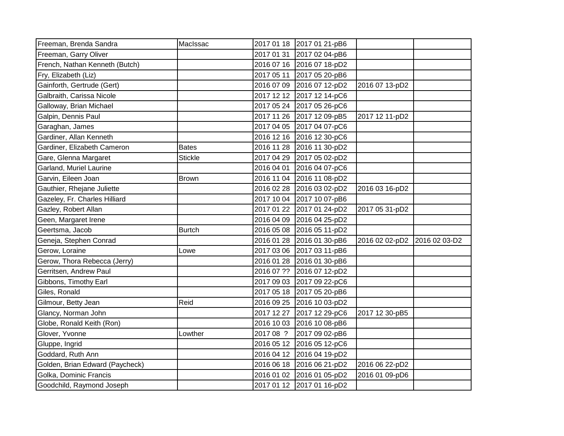| Freeman, Brenda Sandra          | MacIssac       |           | 2017 01 18 2017 01 21-pB6 |                |               |
|---------------------------------|----------------|-----------|---------------------------|----------------|---------------|
| Freeman, Garry Oliver           |                |           | 2017 01 31 2017 02 04-pB6 |                |               |
| French, Nathan Kenneth (Butch)  |                |           | 2016 07 16 2016 07 18-pD2 |                |               |
| Fry, Elizabeth (Liz)            |                |           | 2017 05 11 2017 05 20-pB6 |                |               |
| Gainforth, Gertrude (Gert)      |                |           | 2016 07 09 2016 07 12-pD2 | 2016 07 13-pD2 |               |
| Galbraith, Carissa Nicole       |                |           | 2017 12 12 2017 12 14-pC6 |                |               |
| Galloway, Brian Michael         |                |           | 2017 05 24 2017 05 26-pC6 |                |               |
| Galpin, Dennis Paul             |                |           | 2017 11 26 2017 12 09-pB5 | 2017 12 11-pD2 |               |
| Garaghan, James                 |                |           | 2017 04 05 2017 04 07-pC6 |                |               |
| Gardiner, Allan Kenneth         |                |           | 2016 12 16 2016 12 30-pC6 |                |               |
| Gardiner, Elizabeth Cameron     | <b>Bates</b>   |           | 2016 11 28 2016 11 30-pD2 |                |               |
| Gare, Glenna Margaret           | <b>Stickle</b> |           | 2017 04 29 2017 05 02-pD2 |                |               |
| Garland, Muriel Laurine         |                |           | 2016 04 01 2016 04 07-pC6 |                |               |
| Garvin, Eileen Joan             | <b>Brown</b>   |           | 2016 11 04 2016 11 08-pD2 |                |               |
| Gauthier, Rhejane Juliette      |                |           | 2016 02 28 2016 03 02-pD2 | 2016 03 16-pD2 |               |
| Gazeley, Fr. Charles Hilliard   |                |           | 2017 10 04 2017 10 07-pB6 |                |               |
| Gazley, Robert Allan            |                |           | 2017 01 22 2017 01 24-pD2 | 2017 05 31-pD2 |               |
| Geen, Margaret Irene            |                |           | 2016 04 09 2016 04 25-pD2 |                |               |
| Geertsma, Jacob                 | <b>Burtch</b>  |           | 2016 05 08 2016 05 11-pD2 |                |               |
| Geneja, Stephen Conrad          |                |           | 2016 01 28 2016 01 30-pB6 | 2016 02 02-pD2 | 2016 02 03-D2 |
| Gerow, Loraine                  | Lowe           |           | 2017 03 06 2017 03 11-pB6 |                |               |
| Gerow, Thora Rebecca (Jerry)    |                |           | 2016 01 28 2016 01 30-pB6 |                |               |
| Gerritsen, Andrew Paul          |                |           | 2016 07 ?? 2016 07 12-pD2 |                |               |
| Gibbons, Timothy Earl           |                |           | 2017 09 03 2017 09 22-pC6 |                |               |
| Giles, Ronald                   |                |           | 2017 05 18 2017 05 20-pB6 |                |               |
| Gilmour, Betty Jean             | Reid           |           | 2016 09 25 2016 10 03-pD2 |                |               |
| Glancy, Norman John             |                |           | 2017 12 27 2017 12 29-pC6 | 2017 12 30-pB5 |               |
| Globe, Ronald Keith (Ron)       |                |           | 2016 10 03 2016 10 08-pB6 |                |               |
| Glover, Yvonne                  | Lowther        | 2017 08 ? | 2017 09 02-pB6            |                |               |
| Gluppe, Ingrid                  |                |           | 2016 05 12 2016 05 12-pC6 |                |               |
| Goddard, Ruth Ann               |                |           | 2016 04 12 2016 04 19-pD2 |                |               |
| Golden, Brian Edward (Paycheck) |                |           | 2016 06 18 2016 06 21-pD2 | 2016 06 22-pD2 |               |
| Golka, Dominic Francis          |                |           | 2016 01 02 2016 01 05-pD2 | 2016 01 09-pD6 |               |
| Goodchild, Raymond Joseph       |                |           | 2017 01 12 2017 01 16-pD2 |                |               |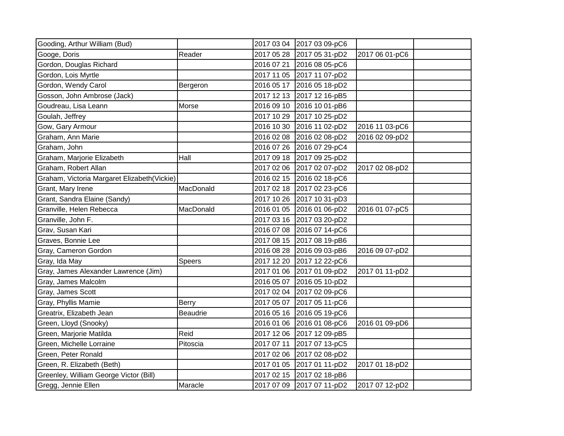| Gooding, Arthur William (Bud)               |                 |            | 2017 03 04 2017 03 09-pC6 |                |  |
|---------------------------------------------|-----------------|------------|---------------------------|----------------|--|
| Googe, Doris                                | Reader          |            | 2017 05 28 2017 05 31-pD2 | 2017 06 01-pC6 |  |
| Gordon, Douglas Richard                     |                 | 2016 07 21 | 2016 08 05-pC6            |                |  |
| Gordon, Lois Myrtle                         |                 | 2017 11 05 | 2017 11 07-pD2            |                |  |
| Gordon, Wendy Carol                         | Bergeron        | 2016 05 17 | 2016 05 18-pD2            |                |  |
| Gosson, John Ambrose (Jack)                 |                 | 2017 12 13 | 2017 12 16-pB5            |                |  |
| Goudreau, Lisa Leann                        | Morse           | 2016 09 10 | 2016 10 01-pB6            |                |  |
| Goulah, Jeffrey                             |                 | 2017 10 29 | 2017 10 25-pD2            |                |  |
| Gow, Gary Armour                            |                 | 2016 10 30 | 2016 11 02-pD2            | 2016 11 03-pC6 |  |
| Graham, Ann Marie                           |                 | 2016 02 08 | 2016 02 08-pD2            | 2016 02 09-pD2 |  |
| Graham, John                                |                 | 2016 07 26 | 2016 07 29-pC4            |                |  |
| Graham, Marjorie Elizabeth                  | Hall            | 2017 09 18 | 2017 09 25-pD2            |                |  |
| Graham, Robert Allan                        |                 | 2017 02 06 | 2017 02 07-pD2            | 2017 02 08-pD2 |  |
| Graham, Victoria Margaret Elizabeth(Vickie) |                 | 2016 02 15 | 2016 02 18-pC6            |                |  |
| Grant, Mary Irene                           | MacDonald       | 2017 02 18 | 2017 02 23-pC6            |                |  |
| Grant, Sandra Elaine (Sandy)                |                 | 2017 10 26 | 2017 10 31-pD3            |                |  |
| Granville, Helen Rebecca                    | MacDonald       | 2016 01 05 | 2016 01 06-pD2            | 2016 01 07-pC5 |  |
| Granville, John F.                          |                 | 2017 03 16 | 2017 03 20-pD2            |                |  |
| Grav, Susan Kari                            |                 | 2016 07 08 | 2016 07 14-pC6            |                |  |
| Graves, Bonnie Lee                          |                 |            | 2017 08 15 2017 08 19-pB6 |                |  |
| Gray, Cameron Gordon                        |                 | 2016 08 28 | 2016 09 03-pB6            | 2016 09 07-pD2 |  |
| Gray, Ida May                               | Speers          | 2017 12 20 | 2017 12 22-pC6            |                |  |
| Gray, James Alexander Lawrence (Jim)        |                 | 2017 01 06 | 2017 01 09-pD2            | 2017 01 11-pD2 |  |
| Gray, James Malcolm                         |                 | 2016 05 07 | 2016 05 10-pD2            |                |  |
| Gray, James Scott                           |                 | 2017 02 04 | 2017 02 09-pC6            |                |  |
| Gray, Phyllis Mamie                         | <b>Berry</b>    | 2017 05 07 | 2017 05 11-pC6            |                |  |
| Greatrix, Elizabeth Jean                    | <b>Beaudrie</b> | 2016 05 16 | 2016 05 19-pC6            |                |  |
| Green, Lloyd (Snooky)                       |                 | 2016 01 06 | 2016 01 08-pC6            | 2016 01 09-pD6 |  |
| Green, Marjorie Matilda                     | Reid            | 2017 12 06 | 2017 12 09-pB5            |                |  |
| Green, Michelle Lorraine                    | Pitoscia        | 2017 07 11 | 2017 07 13-pC5            |                |  |
| Green, Peter Ronald                         |                 | 2017 02 06 | 2017 02 08-pD2            |                |  |
| Green, R. Elizabeth (Beth)                  |                 | 2017 01 05 | 2017 01 11-pD2            | 2017 01 18-pD2 |  |
| Greenley, William George Victor (Bill)      |                 | 2017 02 15 | 2017 02 18-pB6            |                |  |
| Gregg, Jennie Ellen                         | Maracle         | 2017 07 09 | 2017 07 11-pD2            | 2017 07 12-pD2 |  |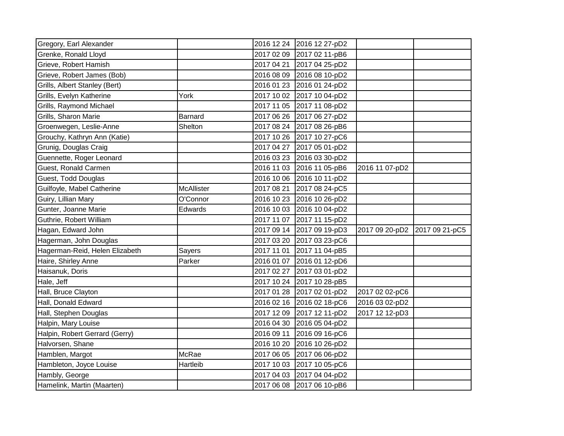| Gregory, Earl Alexander        |                   |            | 2016 12 24 2016 12 27-pD2 |                |                |
|--------------------------------|-------------------|------------|---------------------------|----------------|----------------|
| Grenke, Ronald Lloyd           |                   |            | 2017 02 09 2017 02 11-pB6 |                |                |
| Grieve, Robert Hamish          |                   |            | 2017 04 21 2017 04 25-pD2 |                |                |
| Grieve, Robert James (Bob)     |                   |            | 2016 08 09 2016 08 10-pD2 |                |                |
| Grills, Albert Stanley (Bert)  |                   |            | 2016 01 23 2016 01 24-pD2 |                |                |
| Grills, Evelyn Katherine       | York              |            | 2017 10 02 2017 10 04-pD2 |                |                |
| Grills, Raymond Michael        |                   |            | 2017 11 05 2017 11 08-pD2 |                |                |
| Grills, Sharon Marie           | <b>Barnard</b>    |            | 2017 06 26 2017 06 27-pD2 |                |                |
| Groenwegen, Leslie-Anne        | Shelton           |            | 2017 08 24 2017 08 26-pB6 |                |                |
| Grouchy, Kathryn Ann (Katie)   |                   |            | 2017 10 26 2017 10 27-pC6 |                |                |
| Grunig, Douglas Craig          |                   |            | 2017 04 27 2017 05 01-pD2 |                |                |
| Guennette, Roger Leonard       |                   |            | 2016 03 23 2016 03 30-pD2 |                |                |
| Guest, Ronald Carmen           |                   |            | 2016 11 03 2016 11 05-pB6 | 2016 11 07-pD2 |                |
| Guest, Todd Douglas            |                   |            | 2016 10 06 2016 10 11-pD2 |                |                |
| Guilfoyle, Mabel Catherine     | <b>McAllister</b> |            | 2017 08 21 2017 08 24-pC5 |                |                |
| Guiry, Lillian Mary            | O'Connor          |            | 2016 10 23 2016 10 26-pD2 |                |                |
| Gunter, Joanne Marie           | Edwards           |            | 2016 10 03 2016 10 04-pD2 |                |                |
| Guthrie, Robert William        |                   |            | 2017 11 07 2017 11 15-pD2 |                |                |
| Hagan, Edward John             |                   |            | 2017 09 14 2017 09 19-pD3 | 2017 09 20-pD2 | 2017 09 21-pC5 |
| Hagerman, John Douglas         |                   |            | 2017 03 20 2017 03 23-pC6 |                |                |
| Hagerman-Reid, Helen Elizabeth | Sayers            |            | 2017 11 01 2017 11 04-pB5 |                |                |
| Haire, Shirley Anne            | Parker            |            | 2016 01 07 2016 01 12-pD6 |                |                |
| Haisanuk, Doris                |                   |            | 2017 02 27 2017 03 01-pD2 |                |                |
| Hale, Jeff                     |                   |            | 2017 10 24 2017 10 28-pB5 |                |                |
| Hall, Bruce Clayton            |                   |            | 2017 01 28 2017 02 01-pD2 | 2017 02 02-pC6 |                |
| Hall, Donald Edward            |                   |            | 2016 02 16 2016 02 18-pC6 | 2016 03 02-pD2 |                |
| Hall, Stephen Douglas          |                   |            | 2017 12 09 2017 12 11-pD2 | 2017 12 12-pD3 |                |
| Halpin, Mary Louise            |                   |            | 2016 04 30 2016 05 04-pD2 |                |                |
| Halpin, Robert Gerrard (Gerry) |                   |            | 2016 09 11 2016 09 16-pC6 |                |                |
| Halvorsen, Shane               |                   | 2016 10 20 | 2016 10 26-pD2            |                |                |
| Hamblen, Margot                | McRae             |            | 2017 06 05 2017 06 06-pD2 |                |                |
| Hambleton, Joyce Louise        | Hartleib          |            | 2017 10 03 2017 10 05-pC6 |                |                |
| Hambly, George                 |                   |            | 2017 04 03 2017 04 04-pD2 |                |                |
| Hamelink, Martin (Maarten)     |                   |            | 2017 06 08 2017 06 10-pB6 |                |                |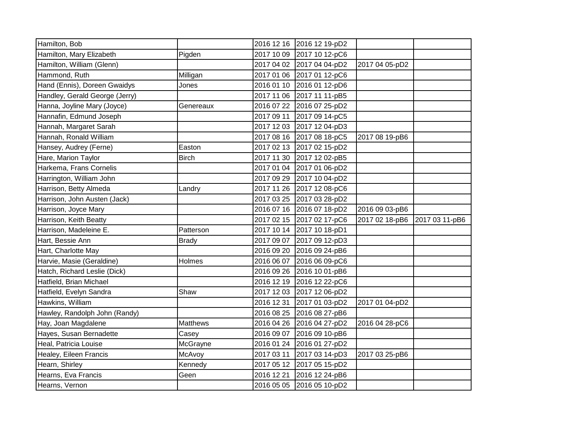| Hamilton, Bob                  |                 |            | 2016 12 16 2016 12 19-pD2 |                |                |
|--------------------------------|-----------------|------------|---------------------------|----------------|----------------|
| Hamilton, Mary Elizabeth       | Pigden          |            | 2017 10 09 2017 10 12-pC6 |                |                |
| Hamilton, William (Glenn)      |                 |            | 2017 04 02 2017 04 04-pD2 | 2017 04 05-pD2 |                |
| Hammond, Ruth                  | Milligan        |            | 2017 01 06 2017 01 12-pC6 |                |                |
| Hand (Ennis), Doreen Gwaidys   | Jones           |            | 2016 01 10 2016 01 12-pD6 |                |                |
| Handley, Gerald George (Jerry) |                 |            | 2017 11 06 2017 11 11-pB5 |                |                |
| Hanna, Joyline Mary (Joyce)    | Genereaux       |            | 2016 07 22 2016 07 25-pD2 |                |                |
| Hannafin, Edmund Joseph        |                 |            | 2017 09 11 2017 09 14-pC5 |                |                |
| Hannah, Margaret Sarah         |                 |            | 2017 12 03 2017 12 04-pD3 |                |                |
| Hannah, Ronald William         |                 |            | 2017 08 16 2017 08 18-pC5 | 2017 08 19-pB6 |                |
| Hansey, Audrey (Ferne)         | Easton          |            | 2017 02 13 2017 02 15-pD2 |                |                |
| Hare, Marion Taylor            | <b>Birch</b>    |            | 2017 11 30 2017 12 02-pB5 |                |                |
| Harkema, Frans Cornelis        |                 |            | 2017 01 04 2017 01 06-pD2 |                |                |
| Harrington, William John       |                 |            | 2017 09 29 2017 10 04-pD2 |                |                |
| Harrison, Betty Almeda         | Landry          |            | 2017 11 26 2017 12 08-pC6 |                |                |
| Harrison, John Austen (Jack)   |                 |            | 2017 03 25 2017 03 28-pD2 |                |                |
| Harrison, Joyce Mary           |                 |            | 2016 07 16 2016 07 18-pD2 | 2016 09 03-pB6 |                |
| Harrison, Keith Beatty         |                 |            | 2017 02 15 2017 02 17-pC6 | 2017 02 18-pB6 | 2017 03 11-pB6 |
| Harrison, Madeleine E.         | Patterson       |            | 2017 10 14 2017 10 18-pD1 |                |                |
| Hart, Bessie Ann               | <b>Brady</b>    |            | 2017 09 07 2017 09 12-pD3 |                |                |
| Hart, Charlotte May            |                 |            | 2016 09 20 2016 09 24-pB6 |                |                |
| Harvie, Masie (Geraldine)      | Holmes          |            | 2016 06 07 2016 06 09-pC6 |                |                |
| Hatch, Richard Leslie (Dick)   |                 |            | 2016 09 26 2016 10 01-pB6 |                |                |
| Hatfield, Brian Michael        |                 |            | 2016 12 19 2016 12 22-pC6 |                |                |
| Hatfield, Evelyn Sandra        | Shaw            |            | 2017 12 03 2017 12 06-pD2 |                |                |
| Hawkins, William               |                 | 2016 12 31 | 2017 01 03-pD2            | 2017 01 04-pD2 |                |
| Hawley, Randolph John (Randy)  |                 |            | 2016 08 25 2016 08 27-pB6 |                |                |
| Hay, Joan Magdalene            | <b>Matthews</b> |            | 2016 04 26 2016 04 27-pD2 | 2016 04 28-pC6 |                |
| Hayes, Susan Bernadette        | Casey           |            | 2016 09 07 2016 09 10-pB6 |                |                |
| Heal, Patricia Louise          | McGrayne        |            | 2016 01 24 2016 01 27-pD2 |                |                |
| Healey, Eileen Francis         | McAvoy          | 2017 03 11 | 2017 03 14-pD3            | 2017 03 25-pB6 |                |
| Hearn, Shirley                 | Kennedy         |            | 2017 05 12 2017 05 15-pD2 |                |                |
| Hearns, Eva Francis            | Geen            | 2016 12 21 | 2016 12 24-pB6            |                |                |
| Hearns, Vernon                 |                 |            | 2016 05 05 2016 05 10-pD2 |                |                |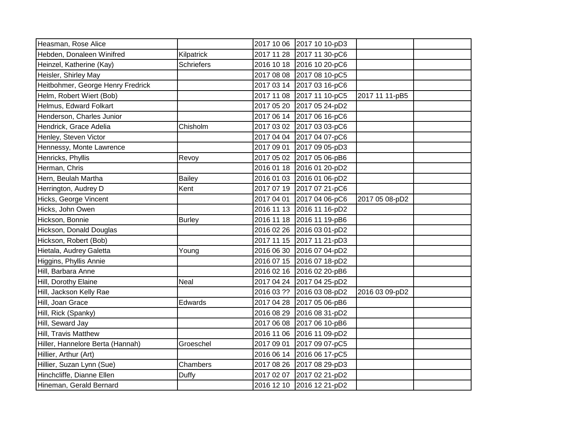| Heasman, Rose Alice               |               | 2017 10 06 2017 10 10-pD3 |                |  |
|-----------------------------------|---------------|---------------------------|----------------|--|
| Hebden, Donaleen Winifred         | Kilpatrick    | 2017 11 28 2017 11 30-pC6 |                |  |
| Heinzel, Katherine (Kay)          | Schriefers    | 2016 10 18 2016 10 20-pC6 |                |  |
| Heisler, Shirley May              |               | 2017 08 08 2017 08 10-pC5 |                |  |
| Heitbohmer, George Henry Fredrick |               | 2017 03 14 2017 03 16-pC6 |                |  |
| Helm, Robert Wiert (Bob)          |               | 2017 11 08 2017 11 10-pC5 | 2017 11 11-pB5 |  |
| Helmus, Edward Folkart            |               | 2017 05 20 2017 05 24-pD2 |                |  |
| Henderson, Charles Junior         |               | 2017 06 14 2017 06 16-pC6 |                |  |
| Hendrick, Grace Adelia            | Chisholm      | 2017 03 02 2017 03 03-pC6 |                |  |
| Henley, Steven Victor             |               | 2017 04 04 2017 04 07-pC6 |                |  |
| Hennessy, Monte Lawrence          |               | 2017 09 01 2017 09 05-pD3 |                |  |
| Henricks, Phyllis                 | Revoy         | 2017 05 02 2017 05 06-pB6 |                |  |
| Herman, Chris                     |               | 2016 01 18 2016 01 20-pD2 |                |  |
| Hern, Beulah Martha               | <b>Bailey</b> | 2016 01 03 2016 01 06-pD2 |                |  |
| Herrington, Audrey D              | Kent          | 2017 07 19 2017 07 21-pC6 |                |  |
| Hicks, George Vincent             |               | 2017 04 01 2017 04 06-pC6 | 2017 05 08-pD2 |  |
| Hicks, John Owen                  |               | 2016 11 13 2016 11 16-pD2 |                |  |
| Hickson, Bonnie                   | <b>Burley</b> | 2016 11 18 2016 11 19-pB6 |                |  |
| Hickson, Donald Douglas           |               | 2016 02 26 2016 03 01-pD2 |                |  |
| Hickson, Robert (Bob)             |               | 2017 11 15 2017 11 21-pD3 |                |  |
| Hietala, Audrey Galetta           | Young         | 2016 06 30 2016 07 04-pD2 |                |  |
| Higgins, Phyllis Annie            |               | 2016 07 15 2016 07 18-pD2 |                |  |
| Hill, Barbara Anne                |               | 2016 02 16 2016 02 20-pB6 |                |  |
| Hill, Dorothy Elaine              | <b>Neal</b>   | 2017 04 24 2017 04 25-pD2 |                |  |
| Hill, Jackson Kelly Rae           |               | 2016 03 ?? 2016 03 08-pD2 | 2016 03 09-pD2 |  |
| Hill, Joan Grace                  | Edwards       | 2017 04 28 2017 05 06-pB6 |                |  |
| Hill, Rick (Spanky)               |               | 2016 08 29 2016 08 31-pD2 |                |  |
| Hill, Seward Jay                  |               | 2017 06 08 2017 06 10-pB6 |                |  |
| Hill, Travis Matthew              |               | 2016 11 06 2016 11 09-pD2 |                |  |
| Hiller, Hannelore Berta (Hannah)  | Groeschel     | 2017 09 01 2017 09 07-pC5 |                |  |
| Hillier, Arthur (Art)             |               | 2016 06 14 2016 06 17-pC5 |                |  |
| Hillier, Suzan Lynn (Sue)         | Chambers      | 2017 08 26 2017 08 29-pD3 |                |  |
| Hinchcliffe, Dianne Ellen         | Duffy         | 2017 02 07 2017 02 21-pD2 |                |  |
| Hineman, Gerald Bernard           |               | 2016 12 10 2016 12 21-pD2 |                |  |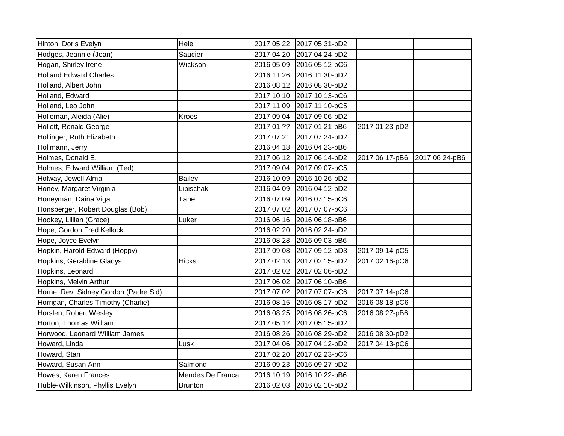| Hinton, Doris Evelyn                  | Hele             | 2017 05 22 2017 05 31-pD2 |                |                |
|---------------------------------------|------------------|---------------------------|----------------|----------------|
| Hodges, Jeannie (Jean)                | Saucier          | 2017 04 20 2017 04 24-pD2 |                |                |
| Hogan, Shirley Irene                  | Wickson          | 2016 05 09 2016 05 12-pC6 |                |                |
| <b>Holland Edward Charles</b>         |                  | 2016 11 26 2016 11 30-pD2 |                |                |
| Holland, Albert John                  |                  | 2016 08 12 2016 08 30-pD2 |                |                |
| Holland, Edward                       |                  | 2017 10 10 2017 10 13-pC6 |                |                |
| Holland, Leo John                     |                  | 2017 11 09 2017 11 10-pC5 |                |                |
| Holleman, Aleida (Alie)               | Kroes            | 2017 09 04 2017 09 06-pD2 |                |                |
| Hollett, Ronald George                |                  | 2017 01 ?? 2017 01 21-pB6 | 2017 01 23-pD2 |                |
| Hollinger, Ruth Elizabeth             |                  | 2017 07 21 2017 07 24-pD2 |                |                |
| Hollmann, Jerry                       |                  | 2016 04 18 2016 04 23-pB6 |                |                |
| Holmes, Donald E.                     |                  | 2017 06 12 2017 06 14-pD2 | 2017 06 17-pB6 | 2017 06 24-pB6 |
| Holmes, Edward William (Ted)          |                  | 2017 09 04 2017 09 07-pC5 |                |                |
| Holway, Jewell Alma                   | <b>Bailey</b>    | 2016 10 09 2016 10 26-pD2 |                |                |
| Honey, Margaret Virginia              | Lipischak        | 2016 04 09 2016 04 12-pD2 |                |                |
| Honeyman, Daina Viga                  | Tane             | 2016 07 09 2016 07 15-pC6 |                |                |
| Honsberger, Robert Douglas (Bob)      |                  | 2017 07 02 2017 07 07-pC6 |                |                |
| Hookey, Lillian (Grace)               | Luker            | 2016 06 16 2016 06 18-pB6 |                |                |
| Hope, Gordon Fred Kellock             |                  | 2016 02 20 2016 02 24-pD2 |                |                |
| Hope, Joyce Evelyn                    |                  | 2016 08 28 2016 09 03-pB6 |                |                |
| Hopkin, Harold Edward (Hoppy)         |                  | 2017 09 08 2017 09 12-pD3 | 2017 09 14-pC5 |                |
| Hopkins, Geraldine Gladys             | <b>Hicks</b>     | 2017 02 13 2017 02 15-pD2 | 2017 02 16-pC6 |                |
| Hopkins, Leonard                      |                  | 2017 02 02 2017 02 06-pD2 |                |                |
| Hopkins, Melvin Arthur                |                  | 2017 06 02 2017 06 10-pB6 |                |                |
| Horne, Rev. Sidney Gordon (Padre Sid) |                  | 2017 07 02 2017 07 07-pC6 | 2017 07 14-pC6 |                |
| Horrigan, Charles Timothy (Charlie)   |                  | 2016 08 15 2016 08 17-pD2 | 2016 08 18-pC6 |                |
| Horslen, Robert Wesley                |                  | 2016 08 25 2016 08 26-pC6 | 2016 08 27-pB6 |                |
| Horton, Thomas William                |                  | 2017 05 12 2017 05 15-pD2 |                |                |
| Horwood, Leonard William James        |                  | 2016 08 26 2016 08 29-pD2 | 2016 08 30-pD2 |                |
| Howard, Linda                         | Lusk             | 2017 04 06 2017 04 12-pD2 | 2017 04 13-pC6 |                |
| Howard, Stan                          |                  | 2017 02 20 2017 02 23-pC6 |                |                |
| Howard, Susan Ann                     | Salmond          | 2016 09 23 2016 09 27-pD2 |                |                |
| Howes, Karen Frances                  | Mendes De Franca | 2016 10 19 2016 10 22-pB6 |                |                |
| Huble-Wilkinson, Phyllis Evelyn       | <b>Brunton</b>   | 2016 02 03 2016 02 10-pD2 |                |                |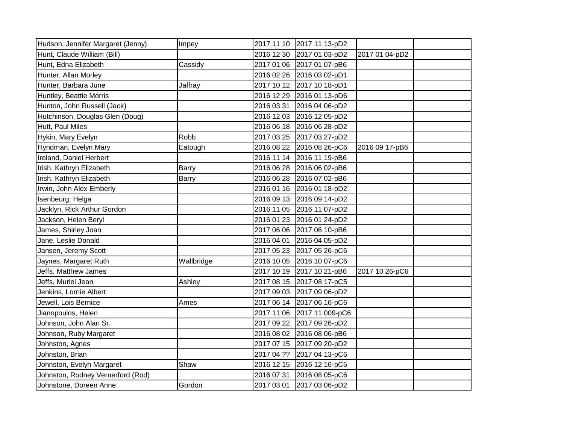| Hudson, Jennifer Margaret (Jenny) | Impey        | 2017 11 10 2017 11 13-pD2  |                |  |
|-----------------------------------|--------------|----------------------------|----------------|--|
| Hunt, Claude William (Bill)       |              | 2016 12 30 2017 01 03-pD2  | 2017 01 04-pD2 |  |
| Hunt, Edna Elizabeth              | Cassidy      | 2017 01 06 2017 01 07-pB6  |                |  |
| Hunter, Allan Morley              |              | 2016 02 26 2016 03 02-pD1  |                |  |
| Hunter, Barbara June              | Jaffray      | 2017 10 12 2017 10 18-pD1  |                |  |
| Huntley, Beattie Morris           |              | 2016 12 29 2016 01 13-pD6  |                |  |
| Hunton, John Russell (Jack)       |              | 2016 03 31 2016 04 06-pD2  |                |  |
| Hutchinson, Douglas Glen (Doug)   |              | 2016 12 03 2016 12 05-pD2  |                |  |
| Hutt, Paul Miles                  |              | 2016 06 18 2016 06 28-pD2  |                |  |
| Hykin, Mary Evelyn                | Robb         | 2017 03 25 2017 03 27-pD2  |                |  |
| Hyndman, Evelyn Mary              | Eatough      | 2016 08 22 2016 08 26-pC6  | 2016 09 17-pB6 |  |
| Ireland, Daniel Herbert           |              | 2016 11 14 2016 11 19-pB6  |                |  |
| Irish, Kathryn Elizabeth          | <b>Barry</b> | 2016 06 28 2016 06 02-pB6  |                |  |
| Irish, Kathryn Elizabeth          | Barry        | 2016 06 28 2016 07 02-pB6  |                |  |
| Irwin, John Alex Emberly          |              | 2016 01 16 2016 01 18-pD2  |                |  |
| Isenbeurg, Helga                  |              | 2016 09 13 2016 09 14-pD2  |                |  |
| Jacklyn, Rick Arthur Gordon       |              | 2016 11 05 2016 11 07-pD2  |                |  |
| Jackson, Helen Beryl              |              | 2016 01 23 2016 01 24-pD2  |                |  |
| James, Shirley Joan               |              | 2017 06 06 2017 06 10-pB6  |                |  |
| Jane, Leslie Donald               |              | 2016 04 01 2016 04 05-pD2  |                |  |
| Jansen, Jeremy Scott              |              | 2017 05 23 2017 05 26-pC6  |                |  |
| Jaynes, Margaret Ruth             | Wallbridge   | 2016 10 05 2016 10 07-pC6  |                |  |
| Jeffs, Matthew James              |              | 2017 10 19 2017 10 21-pB6  | 2017 10 26-pC6 |  |
| Jeffs, Muriel Jean                | Ashley       | 2017 08 15 2017 08 17-pC5  |                |  |
| Jenkins, Lornie Albert            |              | 2017 09 03 2017 09 06-pD2  |                |  |
| Jewell, Lois Bernice              | Ames         | 2017 06 14 2017 06 16-pC6  |                |  |
| Jianopoulos, Helen                |              | 2017 11 06 2017 11 009-pC6 |                |  |
| Johnson, John Alan Sr.            |              | 2017 09 22 2017 09 26-pD2  |                |  |
| Johnson, Ruby Margaret            |              | 2016 08 02 2016 08 06-pB6  |                |  |
| Johnston, Agnes                   |              | 2017 07 15 2017 09 20-pD2  |                |  |
| Johnston, Brian                   |              | 2017 04 ?? 2017 04 13-pC6  |                |  |
| Johnston, Evelyn Margaret         | Shaw         | 2016 12 15 2016 12 16-pC5  |                |  |
| Johnston, Rodney Vernerford (Rod) |              | 2016 07 31 2016 08 05-pC6  |                |  |
| Johnstone, Doreen Anne            | Gordon       | 2017 03 01 2017 03 06-pD2  |                |  |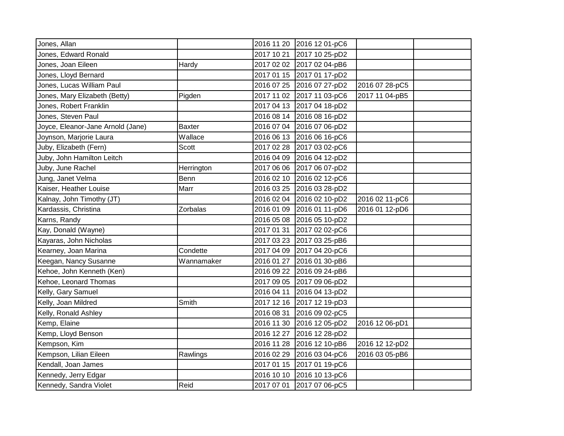| Jones, Allan                      |               |            | 2016 11 20 2016 12 01-pC6 |                |  |
|-----------------------------------|---------------|------------|---------------------------|----------------|--|
| Jones, Edward Ronald              |               |            | 2017 10 21 2017 10 25-pD2 |                |  |
| Jones, Joan Eileen                | Hardy         |            | 2017 02 02 2017 02 04-pB6 |                |  |
| Jones, Lloyd Bernard              |               |            | 2017 01 15 2017 01 17-pD2 |                |  |
| Jones, Lucas William Paul         |               |            | 2016 07 25 2016 07 27-pD2 | 2016 07 28-pC5 |  |
| Jones, Mary Elizabeth (Betty)     | Pigden        |            | 2017 11 02 2017 11 03-pC6 | 2017 11 04-pB5 |  |
| Jones, Robert Franklin            |               |            | 2017 04 13 2017 04 18-pD2 |                |  |
| Jones, Steven Paul                |               |            | 2016 08 14 2016 08 16-pD2 |                |  |
| Joyce, Eleanor-Jane Arnold (Jane) | <b>Baxter</b> |            | 2016 07 04 2016 07 06-pD2 |                |  |
| Joynson, Marjorie Laura           | Wallace       |            | 2016 06 13 2016 06 16-pC6 |                |  |
| Juby, Elizabeth (Fern)            | Scott         |            | 2017 02 28 2017 03 02-pC6 |                |  |
| Juby, John Hamilton Leitch        |               |            | 2016 04 09 2016 04 12-pD2 |                |  |
| Juby, June Rachel                 | Herrington    |            | 2017 06 06 2017 06 07-pD2 |                |  |
| Jung, Janet Velma                 | <b>Benn</b>   |            | 2016 02 10 2016 02 12-pC6 |                |  |
| Kaiser, Heather Louise            | Marr          |            | 2016 03 25 2016 03 28-pD2 |                |  |
| Kalnay, John Timothy (JT)         |               |            | 2016 02 04 2016 02 10-pD2 | 2016 02 11-pC6 |  |
| Kardassis, Christina              | Zorbalas      |            | 2016 01 09 2016 01 11-pD6 | 2016 01 12-pD6 |  |
| Karns, Randy                      |               |            | 2016 05 08 2016 05 10-pD2 |                |  |
| Kay, Donald (Wayne)               |               |            | 2017 01 31 2017 02 02-pC6 |                |  |
| Kayaras, John Nicholas            |               |            | 2017 03 23 2017 03 25-pB6 |                |  |
| Kearney, Joan Marina              | Condette      |            | 2017 04 09 2017 04 20-pC6 |                |  |
| Keegan, Nancy Susanne             | Wannamaker    |            | 2016 01 27 2016 01 30-pB6 |                |  |
| Kehoe, John Kenneth (Ken)         |               |            | 2016 09 22 2016 09 24-pB6 |                |  |
| Kehoe, Leonard Thomas             |               |            | 2017 09 05 2017 09 06-pD2 |                |  |
| Kelly, Gary Samuel                |               |            | 2016 04 11 2016 04 13-pD2 |                |  |
| Kelly, Joan Mildred               | Smith         |            | 2017 12 16 2017 12 19-pD3 |                |  |
| Kelly, Ronald Ashley              |               |            | 2016 08 31 2016 09 02-pC5 |                |  |
| Kemp, Elaine                      |               |            | 2016 11 30 2016 12 05-pD2 | 2016 12 06-pD1 |  |
| Kemp, Lloyd Benson                |               |            | 2016 12 27 2016 12 28-pD2 |                |  |
| Kempson, Kim                      |               |            | 2016 11 28 2016 12 10-pB6 | 2016 12 12-pD2 |  |
| Kempson, Lilian Eileen            | Rawlings      |            | 2016 02 29 2016 03 04-pC6 | 2016 03 05-pB6 |  |
| Kendall, Joan James               |               |            | 2017 01 15 2017 01 19-pC6 |                |  |
| Kennedy, Jerry Edgar              |               | 2016 10 10 | 2016 10 13-pC6            |                |  |
| Kennedy, Sandra Violet            | Reid          |            | 2017 07 01 2017 07 06-pC5 |                |  |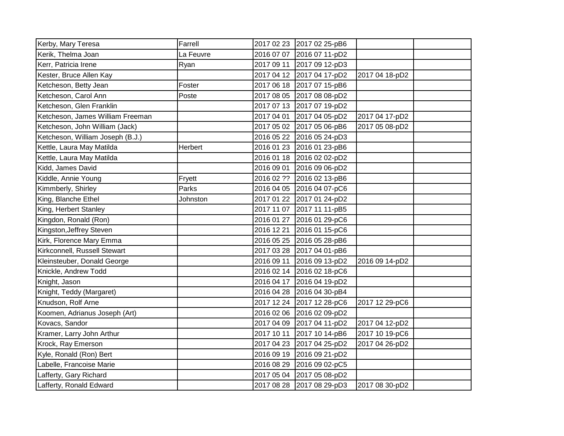| Kerby, Mary Teresa               | Farrell   |            | 2017 02 23 2017 02 25-pB6 |                |  |
|----------------------------------|-----------|------------|---------------------------|----------------|--|
| Kerik, Thelma Joan               | La Feuvre |            | 2016 07 07 2016 07 11-pD2 |                |  |
| Kerr, Patricia Irene             | Ryan      |            | 2017 09 11 2017 09 12-pD3 |                |  |
| Kester, Bruce Allen Kay          |           |            | 2017 04 12 2017 04 17-pD2 | 2017 04 18-pD2 |  |
| Ketcheson, Betty Jean            | Foster    |            | 2017 06 18 2017 07 15-pB6 |                |  |
| Ketcheson, Carol Ann             | Poste     |            | 2017 08 05 2017 08 08-pD2 |                |  |
| Ketcheson, Glen Franklin         |           |            | 2017 07 13 2017 07 19-pD2 |                |  |
| Ketcheson, James William Freeman |           |            | 2017 04 01 2017 04 05-pD2 | 2017 04 17-pD2 |  |
| Ketcheson, John William (Jack)   |           |            | 2017 05 02 2017 05 06-pB6 | 2017 05 08-pD2 |  |
| Ketcheson, William Joseph (B.J.) |           |            | 2016 05 22 2016 05 24-pD3 |                |  |
| Kettle, Laura May Matilda        | Herbert   |            | 2016 01 23 2016 01 23-pB6 |                |  |
| Kettle, Laura May Matilda        |           |            | 2016 01 18 2016 02 02-pD2 |                |  |
| Kidd, James David                |           |            | 2016 09 01 2016 09 06-pD2 |                |  |
| Kiddle, Annie Young              | Fryett    |            | 2016 02 ?? 2016 02 13-pB6 |                |  |
| Kimmberly, Shirley               | Parks     |            | 2016 04 05 2016 04 07-pC6 |                |  |
| King, Blanche Ethel              | Johnston  |            | 2017 01 22 2017 01 24-pD2 |                |  |
| King, Herbert Stanley            |           |            | 2017 11 07 2017 11 11-pB5 |                |  |
| Kingdon, Ronald (Ron)            |           |            | 2016 01 27 2016 01 29-pC6 |                |  |
| Kingston, Jeffrey Steven         |           | 2016 12 21 | 2016 01 15-pC6            |                |  |
| Kirk, Florence Mary Emma         |           |            | 2016 05 25 2016 05 28-pB6 |                |  |
| Kirkconnell, Russell Stewart     |           |            | 2017 03 28 2017 04 01-pB6 |                |  |
| Kleinsteuber, Donald George      |           |            | 2016 09 11 2016 09 13-pD2 | 2016 09 14-pD2 |  |
| Knickle, Andrew Todd             |           |            | 2016 02 14 2016 02 18-pC6 |                |  |
| Knight, Jason                    |           |            | 2016 04 17 2016 04 19-pD2 |                |  |
| Knight, Teddy (Margaret)         |           |            | 2016 04 28 2016 04 30-pB4 |                |  |
| Knudson, Rolf Arne               |           |            | 2017 12 24 2017 12 28-pC6 | 2017 12 29-pC6 |  |
| Koomen, Adrianus Joseph (Art)    |           |            | 2016 02 06 2016 02 09-pD2 |                |  |
| Kovacs, Sandor                   |           |            | 2017 04 09 2017 04 11-pD2 | 2017 04 12-pD2 |  |
| Kramer, Larry John Arthur        |           |            | 2017 10 11 2017 10 14-pB6 | 2017 10 19-pC6 |  |
| Krock, Ray Emerson               |           |            | 2017 04 23 2017 04 25-pD2 | 2017 04 26-pD2 |  |
| Kyle, Ronald (Ron) Bert          |           |            | 2016 09 19 2016 09 21-pD2 |                |  |
| Labelle, Francoise Marie         |           |            | 2016 08 29 2016 09 02-pC5 |                |  |
| Lafferty, Gary Richard           |           |            | 2017 05 04 2017 05 08-pD2 |                |  |
| Lafferty, Ronald Edward          |           |            | 2017 08 28 2017 08 29-pD3 | 2017 08 30-pD2 |  |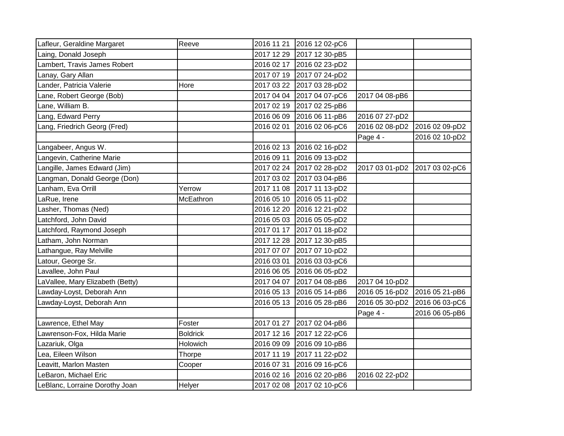| Lafleur, Geraldine Margaret      | Reeve           |            | 2016 11 21 2016 12 02-pC6 |                |                |
|----------------------------------|-----------------|------------|---------------------------|----------------|----------------|
| Laing, Donald Joseph             |                 |            | 2017 12 29 2017 12 30-pB5 |                |                |
| Lambert, Travis James Robert     |                 |            | 2016 02 17 2016 02 23-pD2 |                |                |
| Lanay, Gary Allan                |                 |            | 2017 07 19 2017 07 24-pD2 |                |                |
| Lander, Patricia Valerie         | Hore            |            | 2017 03 22 2017 03 28-pD2 |                |                |
| Lane, Robert George (Bob)        |                 | 2017 04 04 | 2017 04 07-pC6            | 2017 04 08-pB6 |                |
| Lane, William B.                 |                 |            | 2017 02 19 2017 02 25-pB6 |                |                |
| Lang, Edward Perry               |                 | 2016 06 09 | 2016 06 11-pB6            | 2016 07 27-pD2 |                |
| Lang, Friedrich Georg (Fred)     |                 | 2016 02 01 | 2016 02 06-pC6            | 2016 02 08-pD2 | 2016 02 09-pD2 |
|                                  |                 |            |                           | Page 4 -       | 2016 02 10-pD2 |
| Langabeer, Angus W.              |                 |            | 2016 02 13 2016 02 16-pD2 |                |                |
| Langevin, Catherine Marie        |                 | 2016 09 11 | 2016 09 13-pD2            |                |                |
| Langille, James Edward (Jim)     |                 |            | 2017 02 24 2017 02 28-pD2 | 2017 03 01-pD2 | 2017 03 02-pC6 |
| Langman, Donald George (Don)     |                 |            | 2017 03 02 2017 03 04-pB6 |                |                |
| Lanham, Eva Orrill               | Yerrow          |            | 2017 11 08 2017 11 13-pD2 |                |                |
| LaRue, Irene                     | McEathron       | 2016 05 10 | 2016 05 11-pD2            |                |                |
| Lasher, Thomas (Ned)             |                 |            | 2016 12 20 2016 12 21-pD2 |                |                |
| Latchford, John David            |                 |            | 2016 05 03 2016 05 05-pD2 |                |                |
| Latchford, Raymond Joseph        |                 | 2017 01 17 | 2017 01 18-pD2            |                |                |
| Latham, John Norman              |                 |            | 2017 12 28 2017 12 30-pB5 |                |                |
| Lathangue, Ray Melville          |                 | 2017 07 07 | 2017 07 10-pD2            |                |                |
| Latour, George Sr.               |                 | 2016 03 01 | 2016 03 03-pC6            |                |                |
| Lavallee, John Paul              |                 |            | 2016 06 05 2016 06 05-pD2 |                |                |
| LaVallee, Mary Elizabeth (Betty) |                 | 2017 04 07 | 2017 04 08-pB6            | 2017 04 10-pD2 |                |
| Lawday-Loyst, Deborah Ann        |                 | 2016 05 13 | 2016 05 14-pB6            | 2016 05 16-pD2 | 2016 05 21-pB6 |
| Lawday-Loyst, Deborah Ann        |                 | 2016 05 13 | 2016 05 28-pB6            | 2016 05 30-pD2 | 2016 06 03-pC6 |
|                                  |                 |            |                           | Page 4 -       | 2016 06 05-pB6 |
| Lawrence, Ethel May              | Foster          | 2017 01 27 | 2017 02 04-pB6            |                |                |
| Lawrenson-Fox, Hilda Marie       | <b>Boldrick</b> |            | 2017 12 16 2017 12 22-pC6 |                |                |
| Lazariuk, Olga                   | Holowich        |            | 2016 09 09 2016 09 10-pB6 |                |                |
| Lea, Eileen Wilson               | Thorpe          |            | 2017 11 19 2017 11 22-pD2 |                |                |
| Leavitt, Marlon Masten           | Cooper          | 2016 07 31 | 2016 09 16-pC6            |                |                |
| LeBaron, Michael Eric            |                 | 2016 02 16 | 2016 02 20-pB6            | 2016 02 22-pD2 |                |
| LeBlanc, Lorraine Dorothy Joan   | Helyer          |            | 2017 02 08 2017 02 10-pC6 |                |                |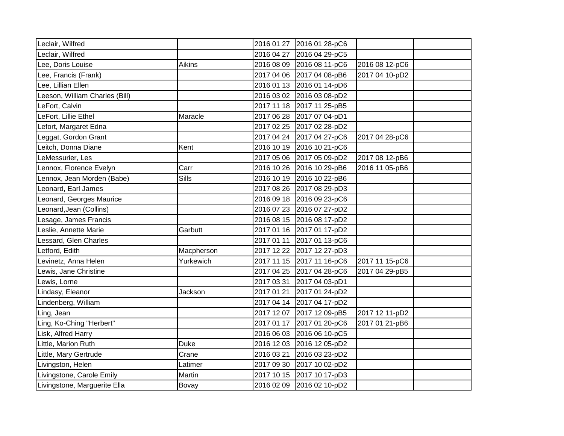| Leclair, Wilfred               |              |            | 2016 01 27 2016 01 28-pC6 |                |  |
|--------------------------------|--------------|------------|---------------------------|----------------|--|
| Leclair, Wilfred               |              |            | 2016 04 27 2016 04 29-pC5 |                |  |
| Lee, Doris Louise              | Aikins       |            | 2016 08 09 2016 08 11-pC6 | 2016 08 12-pC6 |  |
| Lee, Francis (Frank)           |              |            | 2017 04 06 2017 04 08-pB6 | 2017 04 10-pD2 |  |
| Lee, Lillian Ellen             |              |            | 2016 01 13 2016 01 14-pD6 |                |  |
| Leeson, William Charles (Bill) |              |            | 2016 03 02 2016 03 08-pD2 |                |  |
| LeFort, Calvin                 |              |            | 2017 11 18 2017 11 25-pB5 |                |  |
| LeFort, Lillie Ethel           | Maracle      |            | 2017 06 28 2017 07 04-pD1 |                |  |
| Lefort, Margaret Edna          |              |            | 2017 02 25 2017 02 28-pD2 |                |  |
| Leggat, Gordon Grant           |              |            | 2017 04 24 2017 04 27-pC6 | 2017 04 28-pC6 |  |
| Leitch, Donna Diane            | Kent         |            | 2016 10 19 2016 10 21-pC6 |                |  |
| LeMessurier, Les               |              |            | 2017 05 06 2017 05 09-pD2 | 2017 08 12-pB6 |  |
| Lennox, Florence Evelyn        | Carr         |            | 2016 10 26 2016 10 29-pB6 | 2016 11 05-pB6 |  |
| Lennox, Jean Morden (Babe)     | <b>Sills</b> |            | 2016 10 19 2016 10 22-pB6 |                |  |
| Leonard, Earl James            |              |            | 2017 08 26 2017 08 29-pD3 |                |  |
| Leonard, Georges Maurice       |              |            | 2016 09 18 2016 09 23-pC6 |                |  |
| Leonard, Jean (Collins)        |              |            | 2016 07 23 2016 07 27-pD2 |                |  |
| Lesage, James Francis          |              |            | 2016 08 15 2016 08 17-pD2 |                |  |
| Leslie, Annette Marie          | Garbutt      |            | 2017 01 16 2017 01 17-pD2 |                |  |
| essard, Glen Charles           |              |            | 2017 01 11 2017 01 13-pC6 |                |  |
| Letford, Edith                 | Macpherson   |            | 2017 12 22 2017 12 27-pD3 |                |  |
| Levinetz, Anna Helen           | Yurkewich    |            | 2017 11 15 2017 11 16-pC6 | 2017 11 15-pC6 |  |
| Lewis, Jane Christine          |              |            | 2017 04 25 2017 04 28-pC6 | 2017 04 29-pB5 |  |
| Lewis, Lorne                   |              |            | 2017 03 31 2017 04 03-pD1 |                |  |
| Lindasy, Eleanor               | Jackson      |            | 2017 01 21 2017 01 24-pD2 |                |  |
| Lindenberg, William            |              |            | 2017 04 14 2017 04 17-pD2 |                |  |
| Ling, Jean                     |              |            | 2017 12 07 2017 12 09-pB5 | 2017 12 11-pD2 |  |
| Ling, Ko-Ching "Herbert"       |              |            | 2017 01 17 2017 01 20-pC6 | 2017 01 21-pB6 |  |
| Lisk, Alfred Harry             |              |            | 2016 06 03 2016 06 10-pC5 |                |  |
| Little, Marion Ruth            | <b>Duke</b>  |            | 2016 12 03 2016 12 05-pD2 |                |  |
| Little, Mary Gertrude          | Crane        | 2016 03 21 | 2016 03 23-pD2            |                |  |
| Livingston, Helen              | Latimer      |            | 2017 09 30 2017 10 02-pD2 |                |  |
| Livingstone, Carole Emily      | Martin       |            | 2017 10 15 2017 10 17-pD3 |                |  |
| Livingstone, Marguerite Ella   | Bovay        |            | 2016 02 09 2016 02 10-pD2 |                |  |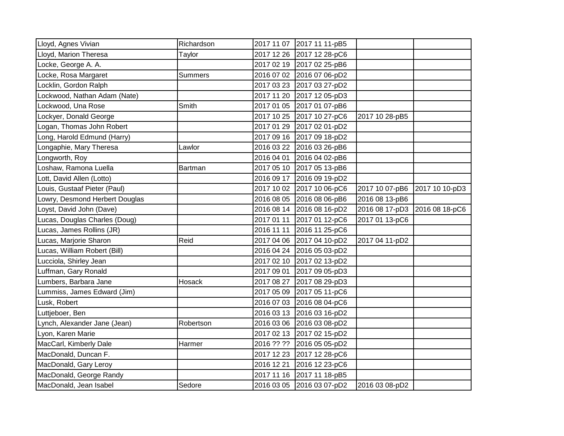| Lloyd, Agnes Vivian            | Richardson     |            | 2017 11 07 2017 11 11-pB5 |                               |                |
|--------------------------------|----------------|------------|---------------------------|-------------------------------|----------------|
| Lloyd, Marion Theresa          | Taylor         |            | 2017 12 26 2017 12 28-pC6 |                               |                |
| Locke, George A. A.            |                |            | 2017 02 19 2017 02 25-pB6 |                               |                |
| Locke, Rosa Margaret           | <b>Summers</b> |            | 2016 07 02 2016 07 06-pD2 |                               |                |
| Locklin, Gordon Ralph          |                |            | 2017 03 23 2017 03 27-pD2 |                               |                |
| Lockwood, Nathan Adam (Nate)   |                |            | 2017 11 20 2017 12 05-pD3 |                               |                |
| Lockwood, Una Rose             | Smith          |            | 2017 01 05 2017 01 07-pB6 |                               |                |
| Lockyer, Donald George         |                |            | 2017 10 25 2017 10 27-pC6 | 2017 10 28-pB5                |                |
| Logan, Thomas John Robert      |                |            | 2017 01 29 2017 02 01-pD2 |                               |                |
| Long, Harold Edmund (Harry)    |                |            | 2017 09 16 2017 09 18-pD2 |                               |                |
| Longaphie, Mary Theresa        | Lawlor         |            | 2016 03 22 2016 03 26-pB6 |                               |                |
| Longworth, Roy                 |                |            | 2016 04 01 2016 04 02-pB6 |                               |                |
| Loshaw, Ramona Luella          | Bartman        |            | 2017 05 10 2017 05 13-pB6 |                               |                |
| Lott, David Allen (Lotto)      |                |            | 2016 09 17 2016 09 19-pD2 |                               |                |
| Louis, Gustaaf Pieter (Paul)   |                |            | 2017 10 02 2017 10 06-pC6 | 2017 10 07-pB6                | 2017 10 10-pD3 |
| Lowry, Desmond Herbert Douglas |                |            | 2016 08 05 2016 08 06-pB6 | 2016 08 13-pB6                |                |
| Loyst, David John (Dave)       |                |            | 2016 08 14 2016 08 16-pD2 | 2016 08 17-pD3 2016 08 18-pC6 |                |
| Lucas, Douglas Charles (Doug)  |                |            | 2017 01 11 2017 01 12-pC6 | 2017 01 13-pC6                |                |
| Lucas, James Rollins (JR)      |                | 2016 11 11 | 2016 11 25-pC6            |                               |                |
| Lucas, Marjorie Sharon         | Reid           |            | 2017 04 06 2017 04 10-pD2 | 2017 04 11-pD2                |                |
| Lucas, William Robert (Bill)   |                |            | 2016 04 24 2016 05 03-pD2 |                               |                |
| Lucciola, Shirley Jean         |                |            | 2017 02 10 2017 02 13-pD2 |                               |                |
| Luffman, Gary Ronald           |                | 2017 09 01 | 2017 09 05-pD3            |                               |                |
| Lumbers, Barbara Jane          | Hosack         |            | 2017 08 27 2017 08 29-pD3 |                               |                |
| Lummiss, James Edward (Jim)    |                |            | 2017 05 09 2017 05 11-pC6 |                               |                |
| Lusk, Robert                   |                |            | 2016 07 03 2016 08 04-pC6 |                               |                |
| Luttjeboer, Ben                |                |            | 2016 03 13 2016 03 16-pD2 |                               |                |
| Lynch, Alexander Jane (Jean)   | Robertson      |            | 2016 03 06 2016 03 08-pD2 |                               |                |
| Lyon, Karen Marie              |                |            | 2017 02 13 2017 02 15-pD2 |                               |                |
| MacCarl, Kimberly Dale         | Harmer         |            | 2016 ?? ?? 2016 05 05-pD2 |                               |                |
| MacDonald, Duncan F.           |                |            | 2017 12 23 2017 12 28-pC6 |                               |                |
| MacDonald, Gary Leroy          |                | 2016 12 21 | 2016 12 23-pC6            |                               |                |
| MacDonald, George Randy        |                | 2017 11 16 | 2017 11 18-pB5            |                               |                |
| MacDonald, Jean Isabel         | Sedore         |            | 2016 03 05 2016 03 07-pD2 | 2016 03 08-pD2                |                |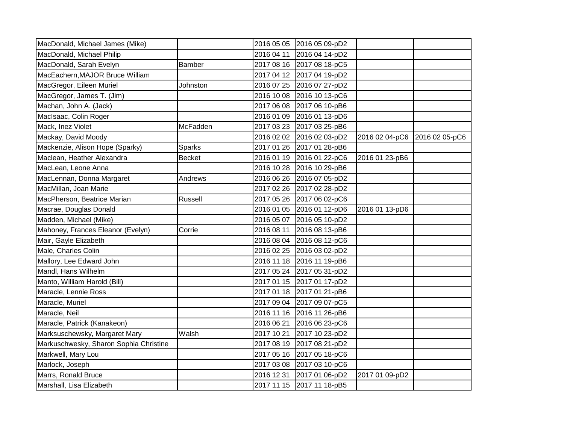| MacDonald, Michael James (Mike)        |               |            | 2016 05 05 2016 05 09-pD2 |                |                |
|----------------------------------------|---------------|------------|---------------------------|----------------|----------------|
| MacDonald, Michael Philip              |               |            | 2016 04 11 2016 04 14-pD2 |                |                |
| MacDonald, Sarah Evelyn                | Bamber        |            | 2017 08 16 2017 08 18-pC5 |                |                |
| MacEachern, MAJOR Bruce William        |               |            | 2017 04 12 2017 04 19-pD2 |                |                |
| MacGregor, Eileen Muriel               | Johnston      |            | 2016 07 25 2016 07 27-pD2 |                |                |
| MacGregor, James T. (Jim)              |               |            | 2016 10 08 2016 10 13-pC6 |                |                |
| Machan, John A. (Jack)                 |               |            | 2017 06 08 2017 06 10-pB6 |                |                |
| MacIsaac, Colin Roger                  |               |            | 2016 01 09 2016 01 13-pD6 |                |                |
| Mack, Inez Violet                      | McFadden      |            | 2017 03 23 2017 03 25-pB6 |                |                |
| Mackay, David Moody                    |               |            | 2016 02 02 2016 02 03-pD2 | 2016 02 04-pC6 | 2016 02 05-pC6 |
| Mackenzie, Alison Hope (Sparky)        | <b>Sparks</b> |            | 2017 01 26 2017 01 28-pB6 |                |                |
| Maclean, Heather Alexandra             | <b>Becket</b> |            | 2016 01 19 2016 01 22-pC6 | 2016 01 23-pB6 |                |
| MacLean, Leone Anna                    |               |            | 2016 10 28 2016 10 29-pB6 |                |                |
| MacLennan, Donna Margaret              | Andrews       |            | 2016 06 26 2016 07 05-pD2 |                |                |
| MacMillan, Joan Marie                  |               |            | 2017 02 26 2017 02 28-pD2 |                |                |
| MacPherson, Beatrice Marian            | Russell       |            | 2017 05 26 2017 06 02-pC6 |                |                |
| Macrae, Douglas Donald                 |               |            | 2016 01 05 2016 01 12-pD6 | 2016 01 13-pD6 |                |
| Madden, Michael (Mike)                 |               |            | 2016 05 07 2016 05 10-pD2 |                |                |
| Mahoney, Frances Eleanor (Evelyn)      | Corrie        | 2016 08 11 | 2016 08 13-pB6            |                |                |
| Mair, Gayle Elizabeth                  |               |            | 2016 08 04 2016 08 12-pC6 |                |                |
| Male, Charles Colin                    |               |            | 2016 02 25 2016 03 02-pD2 |                |                |
| Mallory, Lee Edward John               |               |            | 2016 11 18 2016 11 19-pB6 |                |                |
| Mandl, Hans Wilhelm                    |               |            | 2017 05 24 2017 05 31-pD2 |                |                |
| Manto, William Harold (Bill)           |               |            | 2017 01 15 2017 01 17-pD2 |                |                |
| Maracle, Lennie Ross                   |               |            | 2017 01 18 2017 01 21-pB6 |                |                |
| Maracle, Muriel                        |               |            | 2017 09 04 2017 09 07-pC5 |                |                |
| Maracle, Neil                          |               |            | 2016 11 16 2016 11 26-pB6 |                |                |
| Maracle, Patrick (Kanakeon)            |               | 2016 06 21 | 2016 06 23-pC6            |                |                |
| Marksuschewsky, Margaret Mary          | Walsh         | 2017 10 21 | 2017 10 23-pD2            |                |                |
| Markuschwesky, Sharon Sophia Christine |               |            | 2017 08 19 2017 08 21-pD2 |                |                |
| Markwell, Mary Lou                     |               |            | 2017 05 16 2017 05 18-pC6 |                |                |
| Marlock, Joseph                        |               |            | 2017 03 08 2017 03 10-pC6 |                |                |
| Marrs, Ronald Bruce                    |               | 2016 12 31 | 2017 01 06-pD2            | 2017 01 09-pD2 |                |
| Marshall, Lisa Elizabeth               |               |            | 2017 11 15 2017 11 18-pB5 |                |                |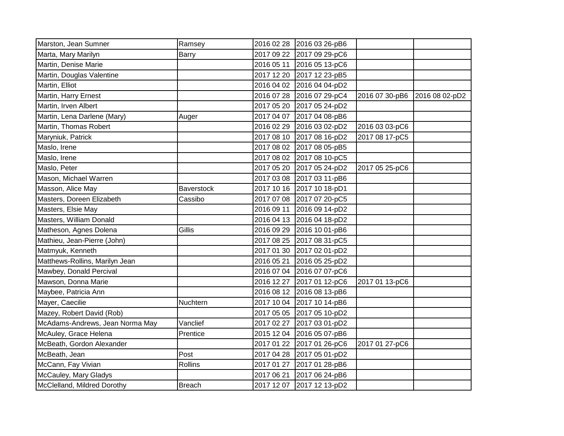| Marston, Jean Sumner            | Ramsey            |            | 2016 02 28 2016 03 26-pB6 |                |                |
|---------------------------------|-------------------|------------|---------------------------|----------------|----------------|
| Marta, Mary Marilyn             | Barry             |            | 2017 09 22 2017 09 29-pC6 |                |                |
| Martin, Denise Marie            |                   |            | 2016 05 11 2016 05 13-pC6 |                |                |
| Martin, Douglas Valentine       |                   |            | 2017 12 20 2017 12 23-pB5 |                |                |
| Martin, Elliot                  |                   |            | 2016 04 02 2016 04 04-pD2 |                |                |
| Martin, Harry Ernest            |                   |            | 2016 07 28 2016 07 29-pC4 | 2016 07 30-pB6 | 2016 08 02-pD2 |
| Martin, Irven Albert            |                   |            | 2017 05 20 2017 05 24-pD2 |                |                |
| Martin, Lena Darlene (Mary)     | Auger             |            | 2017 04 07 2017 04 08-pB6 |                |                |
| Martin, Thomas Robert           |                   |            | 2016 02 29 2016 03 02-pD2 | 2016 03 03-pC6 |                |
| Maryniuk, Patrick               |                   |            | 2017 08 10 2017 08 16-pD2 | 2017 08 17-pC5 |                |
| Maslo, Irene                    |                   |            | 2017 08 02 2017 08 05-pB5 |                |                |
| Maslo, Irene                    |                   |            | 2017 08 02 2017 08 10-pC5 |                |                |
| Maslo, Peter                    |                   |            | 2017 05 20 2017 05 24-pD2 | 2017 05 25-pC6 |                |
| Mason, Michael Warren           |                   |            | 2017 03 08 2017 03 11-pB6 |                |                |
| Masson, Alice May               | <b>Baverstock</b> |            | 2017 10 16 2017 10 18-pD1 |                |                |
| Masters, Doreen Elizabeth       | Cassibo           |            | 2017 07 08 2017 07 20-pC5 |                |                |
| Masters, Elsie May              |                   |            | 2016 09 11 2016 09 14-pD2 |                |                |
| Masters, William Donald         |                   |            | 2016 04 13 2016 04 18-pD2 |                |                |
| Matheson, Agnes Dolena          | Gillis            |            | 2016 09 29 2016 10 01-pB6 |                |                |
| Mathieu, Jean-Pierre (John)     |                   |            | 2017 08 25 2017 08 31-pC5 |                |                |
| Matmyuk, Kenneth                |                   |            | 2017 01 30 2017 02 01-pD2 |                |                |
| Matthews-Rollins, Marilyn Jean  |                   |            | 2016 05 21 2016 05 25-pD2 |                |                |
| Mawbey, Donald Percival         |                   |            | 2016 07 04 2016 07 07-pC6 |                |                |
| Mawson, Donna Marie             |                   |            | 2016 12 27 2017 01 12-pC6 | 2017 01 13-pC6 |                |
| Maybee, Patricia Ann            |                   |            | 2016 08 12 2016 08 13-pB6 |                |                |
| Mayer, Caecilie                 | Nuchtern          |            | 2017 10 04 2017 10 14-pB6 |                |                |
| Mazey, Robert David (Rob)       |                   |            | 2017 05 05 2017 05 10-pD2 |                |                |
| McAdams-Andrews, Jean Norma May | Vanclief          |            | 2017 02 27 2017 03 01-pD2 |                |                |
| McAuley, Grace Helena           | Prentice          |            | 2015 12 04 2016 05 07-pB6 |                |                |
| McBeath, Gordon Alexander       |                   |            | 2017 01 22 2017 01 26-pC6 | 2017 01 27-pC6 |                |
| McBeath, Jean                   | Post              |            | 2017 04 28 2017 05 01-pD2 |                |                |
| McCann, Fay Vivian              | Rollins           |            | 2017 01 27 2017 01 28-pB6 |                |                |
| McCauley, Mary Gladys           |                   | 2017 06 21 | 2017 06 24-pB6            |                |                |
| McClelland, Mildred Dorothy     | <b>Breach</b>     |            | 2017 12 07 2017 12 13-pD2 |                |                |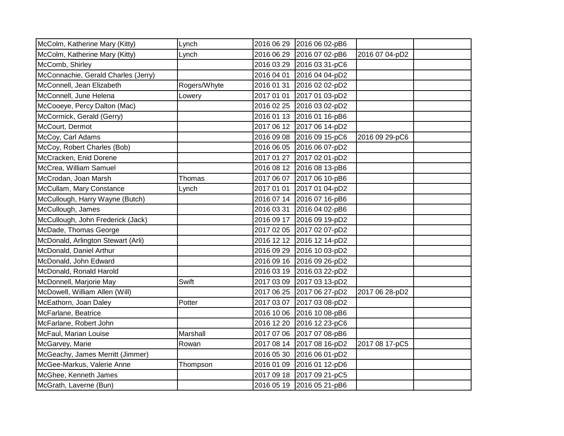| McColm, Katherine Mary (Kitty)      | Lynch        | 2016 06 29 2016 06 02-pB6 |                |  |
|-------------------------------------|--------------|---------------------------|----------------|--|
| McColm, Katherine Mary (Kitty)      | Lynch        | 2016 06 29 2016 07 02-pB6 | 2016 07 04-pD2 |  |
| McComb, Shirley                     |              | 2016 03 29 2016 03 31-pC6 |                |  |
| McConnachie, Gerald Charles (Jerry) |              | 2016 04 01 2016 04 04-pD2 |                |  |
| McConnell, Jean Elizabeth           | Rogers/Whyte | 2016 01 31 2016 02 02-pD2 |                |  |
| McConnell, June Helena              | Lowery       | 2017 01 01 2017 01 03-pD2 |                |  |
| McCooeye, Percy Dalton (Mac)        |              | 2016 02 25 2016 03 02-pD2 |                |  |
| McCormick, Gerald (Gerry)           |              | 2016 01 13 2016 01 16-pB6 |                |  |
| McCourt, Dermot                     |              | 2017 06 12 2017 06 14-pD2 |                |  |
| McCoy, Carl Adams                   |              | 2016 09 08 2016 09 15-pC6 | 2016 09 29-pC6 |  |
| McCoy, Robert Charles (Bob)         |              | 2016 06 05 2016 06 07-pD2 |                |  |
| McCracken, Enid Dorene              |              | 2017 01 27 2017 02 01-pD2 |                |  |
| McCrea, William Samuel              |              | 2016 08 12 2016 08 13-pB6 |                |  |
| McCrodan, Joan Marsh                | Thomas       | 2017 06 07 2017 06 10-pB6 |                |  |
| McCullam, Mary Constance            | Lynch        | 2017 01 01 2017 01 04-pD2 |                |  |
| McCullough, Harry Wayne (Butch)     |              | 2016 07 14 2016 07 16-pB6 |                |  |
| McCullough, James                   |              | 2016 03 31 2016 04 02-pB6 |                |  |
| McCullough, John Frederick (Jack)   |              | 2016 09 17 2016 09 19-pD2 |                |  |
| McDade, Thomas George               |              | 2017 02 05 2017 02 07-pD2 |                |  |
| McDonald, Arlington Stewart (Arli)  |              | 2016 12 12 2016 12 14-pD2 |                |  |
| McDonald, Daniel Arthur             |              | 2016 09 29 2016 10 03-pD2 |                |  |
| McDonald, John Edward               |              | 2016 09 16 2016 09 26-pD2 |                |  |
| McDonald, Ronald Harold             |              | 2016 03 19 2016 03 22-pD2 |                |  |
| McDonnell, Marjorie May             | Swift        | 2017 03 09 2017 03 13-pD2 |                |  |
| McDowell, William Allen (Will)      |              | 2017 06 25 2017 06 27-pD2 | 2017 06 28-pD2 |  |
| McEathorn, Joan Daley               | Potter       | 2017 03 07 2017 03 08-pD2 |                |  |
| McFarlane, Beatrice                 |              | 2016 10 06 2016 10 08-pB6 |                |  |
| McFarlane, Robert John              |              | 2016 12 20 2016 12 23-pC6 |                |  |
| McFaul, Marian Louise               | Marshall     | 2017 07 06 2017 07 08-pB6 |                |  |
| McGarvey, Marie                     | Rowan        | 2017 08 14 2017 08 16-pD2 | 2017 08 17-pC5 |  |
| McGeachy, James Merritt (Jimmer)    |              | 2016 05 30 2016 06 01-pD2 |                |  |
| McGee-Markus, Valerie Anne          | Thompson     | 2016 01 09 2016 01 12-pD6 |                |  |
| McGhee, Kenneth James               |              | 2017 09 18 2017 09 21-pC5 |                |  |
| McGrath, Laverne (Bun)              |              | 2016 05 19 2016 05 21-pB6 |                |  |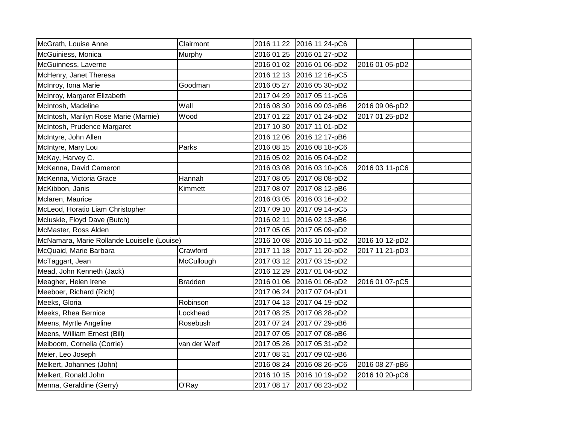| McGrath, Louise Anne                        | Clairmont      |            | 2016 11 22 2016 11 24-pC6 |                |  |
|---------------------------------------------|----------------|------------|---------------------------|----------------|--|
| McGuiniess, Monica                          | Murphy         |            | 2016 01 25 2016 01 27-pD2 |                |  |
| McGuinness, Laverne                         |                |            | 2016 01 02 2016 01 06-pD2 | 2016 01 05-pD2 |  |
| McHenry, Janet Theresa                      |                |            | 2016 12 13 2016 12 16-pC5 |                |  |
| McInroy, Iona Marie                         | Goodman        |            | 2016 05 27 2016 05 30-pD2 |                |  |
| McInroy, Margaret Elizabeth                 |                |            | 2017 04 29 2017 05 11-pC6 |                |  |
| McIntosh, Madeline                          | Wall           | 2016 08 30 | 2016 09 03-pB6            | 2016 09 06-pD2 |  |
| McIntosh, Marilyn Rose Marie (Marnie)       | Wood           |            | 2017 01 22 2017 01 24-pD2 | 2017 01 25-pD2 |  |
| McIntosh, Prudence Margaret                 |                |            | 2017 10 30 2017 11 01-pD2 |                |  |
| McIntyre, John Allen                        |                |            | 2016 12 06 2016 12 17-pB6 |                |  |
| McIntyre, Mary Lou                          | Parks          |            | 2016 08 15 2016 08 18-pC6 |                |  |
| McKay, Harvey C.                            |                |            | 2016 05 02 2016 05 04-pD2 |                |  |
| McKenna, David Cameron                      |                |            | 2016 03 08 2016 03 10-pC6 | 2016 03 11-pC6 |  |
| McKenna, Victoria Grace                     | Hannah         |            | 2017 08 05 2017 08 08-pD2 |                |  |
| McKibbon, Janis                             | Kimmett        |            | 2017 08 07 2017 08 12-pB6 |                |  |
| Mclaren, Maurice                            |                |            | 2016 03 05 2016 03 16-pD2 |                |  |
| McLeod, Horatio Liam Christopher            |                |            | 2017 09 10 2017 09 14-pC5 |                |  |
| Mcluskie, Floyd Dave (Butch)                |                |            | 2016 02 11 2016 02 13-pB6 |                |  |
| McMaster, Ross Alden                        |                |            | 2017 05 05 2017 05 09-pD2 |                |  |
| McNamara, Marie Rollande Louiselle (Louise) |                |            | 2016 10 08 2016 10 11-pD2 | 2016 10 12-pD2 |  |
| McQuaid, Marie Barbara                      | Crawford       |            | 2017 11 18 2017 11 20-pD2 | 2017 11 21-pD3 |  |
| McTaggart, Jean                             | McCullough     |            | 2017 03 12 2017 03 15-pD2 |                |  |
| Mead, John Kenneth (Jack)                   |                |            | 2016 12 29 2017 01 04-pD2 |                |  |
| Meagher, Helen Irene                        | <b>Bradden</b> |            | 2016 01 06 2016 01 06-pD2 | 2016 01 07-pC5 |  |
| Meeboer, Richard (Rich)                     |                |            | 2017 06 24 2017 07 04-pD1 |                |  |
| Meeks, Gloria                               | Robinson       |            | 2017 04 13 2017 04 19-pD2 |                |  |
| Meeks, Rhea Bernice                         | Lockhead       |            | 2017 08 25 2017 08 28-pD2 |                |  |
| Meens, Myrtle Angeline                      | Rosebush       |            | 2017 07 24 2017 07 29-pB6 |                |  |
| Meens, William Ernest (Bill)                |                |            | 2017 07 05 2017 07 08-pB6 |                |  |
| Meiboom, Cornelia (Corrie)                  | van der Werf   |            | 2017 05 26 2017 05 31-pD2 |                |  |
| Meier, Leo Joseph                           |                |            | 2017 08 31 2017 09 02-pB6 |                |  |
| Melkert, Johannes (John)                    |                |            | 2016 08 24 2016 08 26-pC6 | 2016 08 27-pB6 |  |
| Melkert, Ronald John                        |                |            | 2016 10 15 2016 10 19-pD2 | 2016 10 20-pC6 |  |
| Menna, Geraldine (Gerry)                    | O'Ray          |            | 2017 08 17 2017 08 23-pD2 |                |  |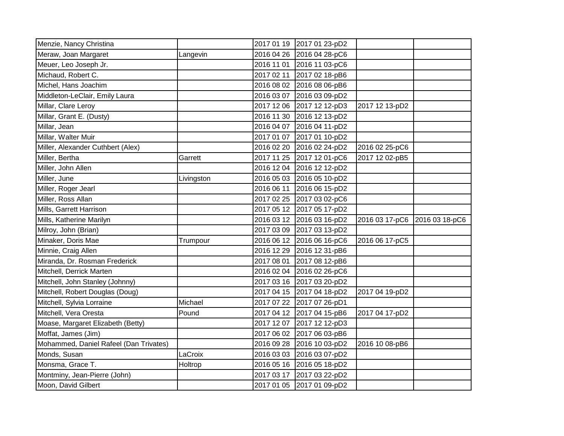| Menzie, Nancy Christina                |            | 2017 01 19 2017 01 23-pD2 |                |                |
|----------------------------------------|------------|---------------------------|----------------|----------------|
| Meraw, Joan Margaret                   | Langevin   | 2016 04 26 2016 04 28-pC6 |                |                |
| Meuer, Leo Joseph Jr.                  |            | 2016 11 01 2016 11 03-pC6 |                |                |
| Michaud, Robert C.                     |            | 2017 02 11 2017 02 18-pB6 |                |                |
| Michel, Hans Joachim                   |            | 2016 08 02 2016 08 06-pB6 |                |                |
| Middleton-LeClair, Emily Laura         |            | 2016 03 07 2016 03 09-pD2 |                |                |
| Millar, Clare Leroy                    |            | 2017 12 06 2017 12 12-pD3 | 2017 12 13-pD2 |                |
| Millar, Grant E. (Dusty)               |            | 2016 11 30 2016 12 13-pD2 |                |                |
| Millar, Jean                           |            | 2016 04 07 2016 04 11-pD2 |                |                |
| Millar, Walter Muir                    |            | 2017 01 07 2017 01 10-pD2 |                |                |
| Miller, Alexander Cuthbert (Alex)      |            | 2016 02 20 2016 02 24-pD2 | 2016 02 25-pC6 |                |
| Miller, Bertha                         | Garrett    | 2017 11 25 2017 12 01-pC6 | 2017 12 02-pB5 |                |
| Miller, John Allen                     |            | 2016 12 04 2016 12 12-pD2 |                |                |
| Miller, June                           | Livingston | 2016 05 03 2016 05 10-pD2 |                |                |
| Miller, Roger Jearl                    |            | 2016 06 11 2016 06 15-pD2 |                |                |
| Miller, Ross Allan                     |            | 2017 02 25 2017 03 02-pC6 |                |                |
| Mills, Garrett Harrison                |            | 2017 05 12 2017 05 17-pD2 |                |                |
| Mills, Katherine Marilyn               |            | 2016 03 12 2016 03 16-pD2 | 2016 03 17-pC6 | 2016 03 18-pC6 |
| Milroy, John (Brian)                   |            | 2017 03 09 2017 03 13-pD2 |                |                |
| Minaker, Doris Mae                     | Trumpour   | 2016 06 12 2016 06 16-pC6 | 2016 06 17-pC5 |                |
| Minnie, Craig Allen                    |            | 2016 12 29 2016 12 31-pB6 |                |                |
| Miranda, Dr. Rosman Frederick          |            | 2017 08 01 2017 08 12-pB6 |                |                |
| Mitchell, Derrick Marten               |            | 2016 02 04 2016 02 26-pC6 |                |                |
| Mitchell, John Stanley (Johnny)        |            | 2017 03 16 2017 03 20-pD2 |                |                |
| Mitchell, Robert Douglas (Doug)        |            | 2017 04 15 2017 04 18-pD2 | 2017 04 19-pD2 |                |
| Mitchell, Sylvia Lorraine              | Michael    | 2017 07 22 2017 07 26-pD1 |                |                |
| Mitchell, Vera Oresta                  | Pound      | 2017 04 12 2017 04 15-pB6 | 2017 04 17-pD2 |                |
| Moase, Margaret Elizabeth (Betty)      |            | 2017 12 07 2017 12 12-pD3 |                |                |
| Moffat, James (Jim)                    |            | 2017 06 02 2017 06 03-pB6 |                |                |
| Mohammed, Daniel Rafeel (Dan Trivates) |            | 2016 09 28 2016 10 03-pD2 | 2016 10 08-pB6 |                |
| Monds, Susan                           | LaCroix    | 2016 03 03 2016 03 07-pD2 |                |                |
| Monsma, Grace T.                       | Holtrop    | 2016 05 16 2016 05 18-pD2 |                |                |
| Montminy, Jean-Pierre (John)           |            | 2017 03 17 2017 03 22-pD2 |                |                |
| Moon, David Gilbert                    |            | 2017 01 05 2017 01 09-pD2 |                |                |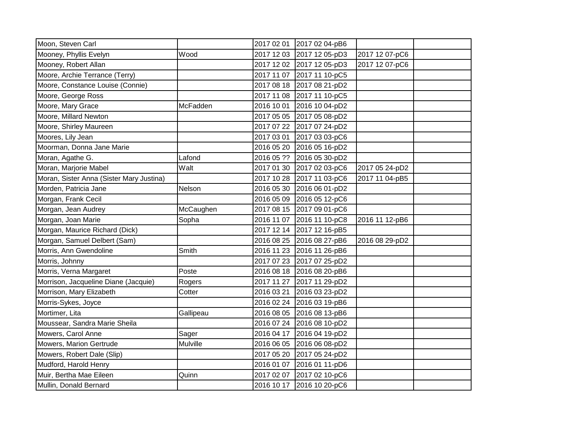| Moon, Steven Carl                        |           |            | 2017 02 01 2017 02 04-pB6 |                |  |
|------------------------------------------|-----------|------------|---------------------------|----------------|--|
| Mooney, Phyllis Evelyn                   | Wood      |            | 2017 12 03 2017 12 05-pD3 | 2017 12 07-pC6 |  |
| Mooney, Robert Allan                     |           |            | 2017 12 02 2017 12 05-pD3 | 2017 12 07-pC6 |  |
| Moore, Archie Terrance (Terry)           |           |            | 2017 11 07 2017 11 10-pC5 |                |  |
| Moore, Constance Louise (Connie)         |           |            | 2017 08 18 2017 08 21-pD2 |                |  |
| Moore, George Ross                       |           |            | 2017 11 08 2017 11 10-pC5 |                |  |
| Moore, Mary Grace                        | McFadden  |            | 2016 10 01 2016 10 04-pD2 |                |  |
| Moore, Millard Newton                    |           |            | 2017 05 05 2017 05 08-pD2 |                |  |
| Moore, Shirley Maureen                   |           |            | 2017 07 22 2017 07 24-pD2 |                |  |
| Moores, Lily Jean                        |           | 2017 03 01 | 2017 03 03-pC6            |                |  |
| Moorman, Donna Jane Marie                |           |            | 2016 05 20 2016 05 16-pD2 |                |  |
| Moran, Agathe G.                         | Lafond    |            | 2016 05 ?? 2016 05 30-pD2 |                |  |
| Moran, Marjorie Mabel                    | Walt      |            | 2017 01 30 2017 02 03-pC6 | 2017 05 24-pD2 |  |
| Moran, Sister Anna (Sister Mary Justina) |           |            | 2017 10 28 2017 11 03-pC6 | 2017 11 04-pB5 |  |
| Morden, Patricia Jane                    | Nelson    |            | 2016 05 30 2016 06 01-pD2 |                |  |
| Morgan, Frank Cecil                      |           |            | 2016 05 09 2016 05 12-pC6 |                |  |
| Morgan, Jean Audrey                      | McCaughen |            | 2017 08 15 2017 09 01-pC6 |                |  |
| Morgan, Joan Marie                       | Sopha     |            | 2016 11 07 2016 11 10-pC8 | 2016 11 12-pB6 |  |
| Morgan, Maurice Richard (Dick)           |           |            | 2017 12 14 2017 12 16-pB5 |                |  |
| Morgan, Samuel Delbert (Sam)             |           |            | 2016 08 25 2016 08 27-pB6 | 2016 08 29-pD2 |  |
| Morris, Ann Gwendoline                   | Smith     |            | 2016 11 23 2016 11 26-pB6 |                |  |
| Morris, Johnny                           |           |            | 2017 07 23 2017 07 25-pD2 |                |  |
| Morris, Verna Margaret                   | Poste     |            | 2016 08 18 2016 08 20-pB6 |                |  |
| Morrison, Jacqueline Diane (Jacquie)     | Rogers    |            | 2017 11 27 2017 11 29-pD2 |                |  |
| Morrison, Mary Elizabeth                 | Cotter    |            | 2016 03 21 2016 03 23-pD2 |                |  |
| Morris-Sykes, Joyce                      |           |            | 2016 02 24 2016 03 19-pB6 |                |  |
| Mortimer, Lita                           | Gallipeau |            | 2016 08 05 2016 08 13-pB6 |                |  |
| Moussear, Sandra Marie Sheila            |           |            | 2016 07 24 2016 08 10-pD2 |                |  |
| Mowers, Carol Anne                       | Sager     |            | 2016 04 17 2016 04 19-pD2 |                |  |
| Mowers, Marion Gertrude                  | Mulville  |            | 2016 06 05 2016 06 08-pD2 |                |  |
| Mowers, Robert Dale (Slip)               |           |            | 2017 05 20 2017 05 24-pD2 |                |  |
| Mudford, Harold Henry                    |           |            | 2016 01 07 2016 01 11-pD6 |                |  |
| Muir, Bertha Mae Eileen                  | Quinn     |            | 2017 02 07 2017 02 10-pC6 |                |  |
| Mullin, Donald Bernard                   |           |            | 2016 10 17 2016 10 20-pC6 |                |  |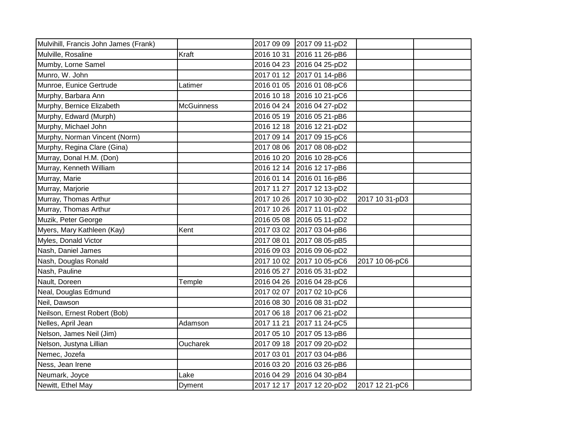| Mulvihill, Francis John James (Frank) |                   |            | 2017 09 09 2017 09 11-pD2 |                |  |
|---------------------------------------|-------------------|------------|---------------------------|----------------|--|
| Mulville, Rosaline                    | Kraft             |            | 2016 10 31 2016 11 26-pB6 |                |  |
| Mumby, Lorne Samel                    |                   |            | 2016 04 23 2016 04 25-pD2 |                |  |
| Munro, W. John                        |                   |            | 2017 01 12 2017 01 14-pB6 |                |  |
| Munroe, Eunice Gertrude               | Latimer           |            | 2016 01 05 2016 01 08-pC6 |                |  |
| Murphy, Barbara Ann                   |                   |            | 2016 10 18 2016 10 21-pC6 |                |  |
| Murphy, Bernice Elizabeth             | <b>McGuinness</b> |            | 2016 04 24 2016 04 27-pD2 |                |  |
| Murphy, Edward (Murph)                |                   |            | 2016 05 19 2016 05 21-pB6 |                |  |
| Murphy, Michael John                  |                   |            | 2016 12 18 2016 12 21-pD2 |                |  |
| Murphy, Norman Vincent (Norm)         |                   |            | 2017 09 14 2017 09 15-pC6 |                |  |
| Murphy, Regina Clare (Gina)           |                   |            | 2017 08 06 2017 08 08-pD2 |                |  |
| Murray, Donal H.M. (Don)              |                   |            | 2016 10 20 2016 10 28-pC6 |                |  |
| Murray, Kenneth William               |                   |            | 2016 12 14 2016 12 17-pB6 |                |  |
| Murray, Marie                         |                   |            | 2016 01 14 2016 01 16-pB6 |                |  |
| Murray, Marjorie                      |                   |            | 2017 11 27 2017 12 13-pD2 |                |  |
| Murray, Thomas Arthur                 |                   |            | 2017 10 26 2017 10 30-pD2 | 2017 10 31-pD3 |  |
| Murray, Thomas Arthur                 |                   |            | 2017 10 26 2017 11 01-pD2 |                |  |
| Muzik, Peter George                   |                   |            | 2016 05 08 2016 05 11-pD2 |                |  |
| Myers, Mary Kathleen (Kay)            | Kent              |            | 2017 03 02 2017 03 04-pB6 |                |  |
| Myles, Donald Victor                  |                   |            | 2017 08 01 2017 08 05-pB5 |                |  |
| Nash, Daniel James                    |                   |            | 2016 09 03 2016 09 06-pD2 |                |  |
| Nash, Douglas Ronald                  |                   |            | 2017 10 02 2017 10 05-pC6 | 2017 10 06-pC6 |  |
| Nash, Pauline                         |                   |            | 2016 05 27 2016 05 31-pD2 |                |  |
| Nault, Doreen                         | Temple            |            | 2016 04 26 2016 04 28-pC6 |                |  |
| Neal, Douglas Edmund                  |                   |            | 2017 02 07 2017 02 10-pC6 |                |  |
| Neil, Dawson                          |                   |            | 2016 08 30 2016 08 31-pD2 |                |  |
| Neilson, Ernest Robert (Bob)          |                   |            | 2017 06 18 2017 06 21-pD2 |                |  |
| Nelles, April Jean                    | Adamson           | 2017 11 21 | 2017 11 24-pC5            |                |  |
| Nelson, James Neil (Jim)              |                   |            | 2017 05 10 2017 05 13-pB6 |                |  |
| Nelson, Justyna Lillian               | Oucharek          |            | 2017 09 18 2017 09 20-pD2 |                |  |
| Nemec, Jozefa                         |                   | 2017 03 01 | 2017 03 04-pB6            |                |  |
| Ness, Jean Irene                      |                   |            | 2016 03 20 2016 03 26-pB6 |                |  |
| Neumark, Joyce                        | Lake              |            | 2016 04 29 2016 04 30-pB4 |                |  |
| Newitt, Ethel May                     | Dyment            |            | 2017 12 17 2017 12 20-pD2 | 2017 12 21-pC6 |  |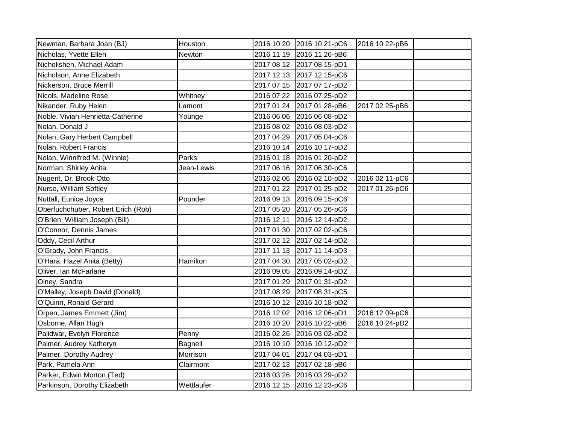| Newman, Barbara Joan (BJ)          | Houston    | 2016 10 20 | 2016 10 21-pC6            | 2016 10 22-pB6 |  |
|------------------------------------|------------|------------|---------------------------|----------------|--|
| Nicholas, Yvette Ellen             | Newton     | 2016 11 19 | 2016 11 26-pB6            |                |  |
| Nicholishen, Michael Adam          |            |            | 2017 08 12 2017 08 15-pD1 |                |  |
| Nicholson, Anne Elizabeth          |            |            | 2017 12 13 2017 12 15-pC6 |                |  |
| Nickerson, Bruce Merrill           |            | 2017 07 15 | 2017 07 17-pD2            |                |  |
| Nicols, Madeline Rose              | Whitney    | 2016 07 22 | 2016 07 25-pD2            |                |  |
| Nikander, Ruby Helen               | Lamont     | 2017 01 24 | 2017 01 28-pB6            | 2017 02 25-pB6 |  |
| Noble, Vivian Henrietta-Catherine  | Younge     | 2016 06 06 | 2016 06 08-pD2            |                |  |
| Nolan, Donald J                    |            |            | 2016 08 02 2016 08 03-pD2 |                |  |
| Nolan, Gary Herbert Campbell       |            | 2017 04 29 | 2017 05 04-pC6            |                |  |
| Nolan, Robert Francis              |            | 2016 10 14 | 2016 10 17-pD2            |                |  |
| Nolan, Winnifred M. (Winnie)       | Parks      | 2016 01 18 | 2016 01 20-pD2            |                |  |
| Norman, Shirley Anita              | Jean-Lewis | 2017 06 16 | 2017 06 30-pC6            |                |  |
| Nugent, Dr. Brook Otto             |            | 2016 02 06 | 2016 02 10-pD2            | 2016 02 11-pC6 |  |
| Nurse, William Softley             |            | 2017 01 22 | 2017 01 25-pD2            | 2017 01 26-pC6 |  |
| Nuttall, Eunice Joyce              | Pounder    | 2016 09 13 | 2016 09 15-pC6            |                |  |
| Oberfuchchuber, Robert Erich (Rob) |            | 2017 05 20 | 2017 05 26-pC6            |                |  |
| O'Brien, William Joseph (Bill)     |            | 2016 12 11 | 2016 12 14-pD2            |                |  |
| O'Connor, Dennis James             |            | 2017 01 30 | 2017 02 02-pC6            |                |  |
| Oddy, Cecil Arthur                 |            |            | 2017 02 12 2017 02 14-pD2 |                |  |
| O'Grady, John Francis              |            |            | 2017 11 13 2017 11 14-pD3 |                |  |
| O'Hara, Hazel Anita (Betty)        | Hamilton   | 2017 04 30 | 2017 05 02-pD2            |                |  |
| Oliver, Ian McFarlane              |            | 2016 09 05 | 2016 09 14-pD2            |                |  |
| Olney, Sandra                      |            | 2017 01 29 | 2017 01 31-pD2            |                |  |
| O'Malley, Joseph David (Donald)    |            | 2017 08 29 | 2017 08 31-pC5            |                |  |
| O'Quinn, Ronald Gerard             |            |            | 2016 10 12 2016 10 18-pD2 |                |  |
| Orpen, James Emmett (Jim)          |            | 2016 12 02 | 2016 12 06-pD1            | 2016 12 09-pC6 |  |
| Osborne, Allan Hugh                |            | 2016 10 20 | 2016 10 22-pB6            | 2016 10 24-pD2 |  |
| Palidwar, Evelyn Florence          | Penny      | 2016 02 26 | 2016 03 02-pD2            |                |  |
| Palmer, Audrey Katheryn            | Bagnell    | 2016 10 10 | 2016 10 12-pD2            |                |  |
| Palmer, Dorothy Audrey             | Morrison   | 2017 04 01 | 2017 04 03-pD1            |                |  |
| Park, Pamela Ann                   | Clairmont  | 2017 02 13 | 2017 02 18-pB6            |                |  |
| Parker, Edwin Morton (Ted)         |            | 2016 03 26 | 2016 03 29-pD2            |                |  |
| Parkinson, Dorothy Elizabeth       | Wettlaufer |            | 2016 12 15 2016 12 23-pC6 |                |  |
|                                    |            |            |                           |                |  |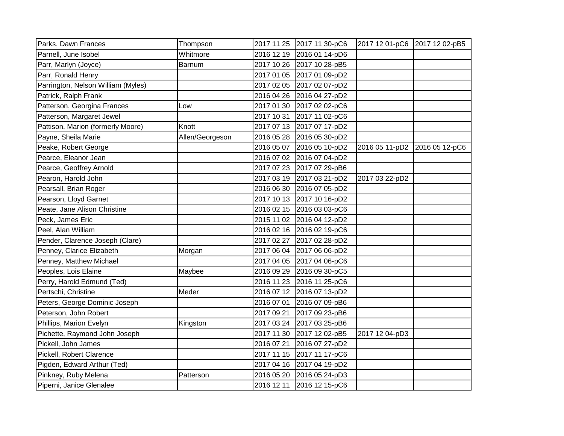| Parks, Dawn Frances                | Thompson        |            | 2017 11 25 2017 11 30-pC6 | 2017 12 01-pC6 2017 12 02-pB5 |                |
|------------------------------------|-----------------|------------|---------------------------|-------------------------------|----------------|
| Parnell, June Isobel               | Whitmore        |            | 2016 12 19 2016 01 14-pD6 |                               |                |
| Parr, Marlyn (Joyce)               | Barnum          |            | 2017 10 26 2017 10 28-pB5 |                               |                |
| Parr, Ronald Henry                 |                 |            | 2017 01 05 2017 01 09-pD2 |                               |                |
| Parrington, Nelson William (Myles) |                 |            | 2017 02 05 2017 02 07-pD2 |                               |                |
| Patrick, Ralph Frank               |                 |            | 2016 04 26 2016 04 27-pD2 |                               |                |
| Patterson, Georgina Frances        | Low             | 2017 01 30 | 2017 02 02-pC6            |                               |                |
| Patterson, Margaret Jewel          |                 | 2017 10 31 | 2017 11 02-pC6            |                               |                |
| Pattison, Marion (formerly Moore)  | Knott           | 2017 07 13 | 2017 07 17-pD2            |                               |                |
| Payne, Sheila Marie                | Allen/Georgeson | 2016 05 28 | 2016 05 30-pD2            |                               |                |
| Peake, Robert George               |                 |            | 2016 05 07 2016 05 10-pD2 | 2016 05 11-pD2                | 2016 05 12-pC6 |
| Pearce, Eleanor Jean               |                 |            | 2016 07 02 2016 07 04-pD2 |                               |                |
| Pearce, Geoffrey Arnold            |                 |            | 2017 07 23 2017 07 29-pB6 |                               |                |
| Pearon, Harold John                |                 |            | 2017 03 19 2017 03 21-pD2 | 2017 03 22-pD2                |                |
| Pearsall, Brian Roger              |                 |            | 2016 06 30 2016 07 05-pD2 |                               |                |
| Pearson, Lloyd Garnet              |                 |            | 2017 10 13 2017 10 16-pD2 |                               |                |
| Peate, Jane Alison Christine       |                 |            | 2016 02 15 2016 03 03-pC6 |                               |                |
| Peck, James Eric                   |                 |            | 2015 11 02 2016 04 12-pD2 |                               |                |
| Peel, Alan William                 |                 |            | 2016 02 16 2016 02 19-pC6 |                               |                |
| Pender, Clarence Joseph (Clare)    |                 | 2017 02 27 | 2017 02 28-pD2            |                               |                |
| Penney, Clarice Elizabeth          | Morgan          |            | 2017 06 04 2017 06 06-pD2 |                               |                |
| Penney, Matthew Michael            |                 |            | 2017 04 05 2017 04 06-pC6 |                               |                |
| Peoples, Lois Elaine               | Maybee          | 2016 09 29 | 2016 09 30-pC5            |                               |                |
| Perry, Harold Edmund (Ted)         |                 |            | 2016 11 23 2016 11 25-pC6 |                               |                |
| Pertschi, Christine                | Meder           |            | 2016 07 12 2016 07 13-pD2 |                               |                |
| Peters, George Dominic Joseph      |                 | 2016 07 01 | 2016 07 09-pB6            |                               |                |
| Peterson, John Robert              |                 | 2017 09 21 | 2017 09 23-pB6            |                               |                |
| Phillips, Marion Evelyn            | Kingston        |            | 2017 03 24 2017 03 25-pB6 |                               |                |
| Pichette, Raymond John Joseph      |                 | 2017 11 30 | 2017 12 02-pB5            | 2017 12 04-pD3                |                |
| Pickell, John James                |                 | 2016 07 21 | 2016 07 27-pD2            |                               |                |
| Pickell, Robert Clarence           |                 | 2017 11 15 | 2017 11 17-pC6            |                               |                |
| Pigden, Edward Arthur (Ted)        |                 | 2017 04 16 | 2017 04 19-pD2            |                               |                |
| Pinkney, Ruby Melena               | Patterson       | 2016 05 20 | 2016 05 24-pD3            |                               |                |
| Piperni, Janice Glenalee           |                 | 2016 12 11 | 2016 12 15-pC6            |                               |                |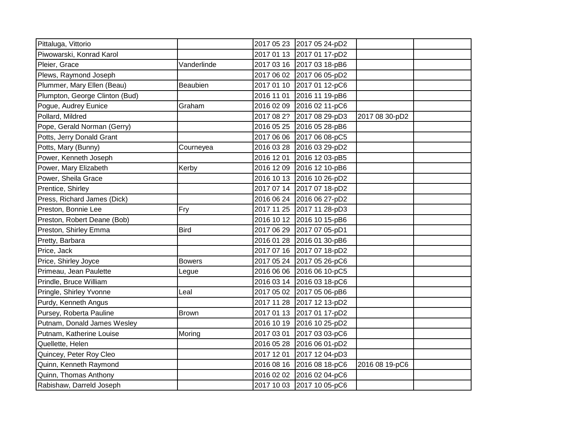| Pittaluga, Vittorio            |               | 2017 05 23 2017 05 24-pD2 |                |  |
|--------------------------------|---------------|---------------------------|----------------|--|
| Piwowarski, Konrad Karol       |               | 2017 01 13 2017 01 17-pD2 |                |  |
| Pleier, Grace                  | Vanderlinde   | 2017 03 16 2017 03 18-pB6 |                |  |
| Plews, Raymond Joseph          |               | 2017 06 02 2017 06 05-pD2 |                |  |
| Plummer, Mary Ellen (Beau)     | Beaubien      | 2017 01 10 2017 01 12-pC6 |                |  |
| Plumpton, George Clinton (Bud) |               | 2016 11 01 2016 11 19-pB6 |                |  |
| Pogue, Audrey Eunice           | Graham        | 2016 02 09 2016 02 11-pC6 |                |  |
| Pollard, Mildred               |               | 2017 08 2? 2017 08 29-pD3 | 2017 08 30-pD2 |  |
| Pope, Gerald Norman (Gerry)    |               | 2016 05 25 2016 05 28-pB6 |                |  |
| Potts, Jerry Donald Grant      |               | 2017 06 06 2017 06 08-pC5 |                |  |
| Potts, Mary (Bunny)            | Courneyea     | 2016 03 28 2016 03 29-pD2 |                |  |
| Power, Kenneth Joseph          |               | 2016 12 01 2016 12 03-pB5 |                |  |
| Power, Mary Elizabeth          | Kerby         | 2016 12 09 2016 12 10-pB6 |                |  |
| Power, Sheila Grace            |               | 2016 10 13 2016 10 26-pD2 |                |  |
| Prentice, Shirley              |               | 2017 07 14 2017 07 18-pD2 |                |  |
| Press, Richard James (Dick)    |               | 2016 06 24 2016 06 27-pD2 |                |  |
| Preston, Bonnie Lee            | Fry           | 2017 11 25 2017 11 28-pD3 |                |  |
| Preston, Robert Deane (Bob)    |               | 2016 10 12 2016 10 15-pB6 |                |  |
| Preston, Shirley Emma          | <b>Bird</b>   | 2017 06 29 2017 07 05-pD1 |                |  |
| Pretty, Barbara                |               | 2016 01 28 2016 01 30-pB6 |                |  |
| Price, Jack                    |               | 2017 07 16 2017 07 18-pD2 |                |  |
| Price, Shirley Joyce           | <b>Bowers</b> | 2017 05 24 2017 05 26-pC6 |                |  |
| Primeau, Jean Paulette         | Legue         | 2016 06 06 2016 06 10-pC5 |                |  |
| Prindle, Bruce William         |               | 2016 03 14 2016 03 18-pC6 |                |  |
| Pringle, Shirley Yvonne        | Leal.         | 2017 05 02 2017 05 06-pB6 |                |  |
| Purdy, Kenneth Angus           |               | 2017 11 28 2017 12 13-pD2 |                |  |
| Pursey, Roberta Pauline        | <b>Brown</b>  | 2017 01 13 2017 01 17-pD2 |                |  |
| Putnam, Donald James Wesley    |               | 2016 10 19 2016 10 25-pD2 |                |  |
| Putnam, Katherine Louise       | Moring        | 2017 03 01 2017 03 03-pC6 |                |  |
| Quellette, Helen               |               | 2016 05 28 2016 06 01-pD2 |                |  |
| Quincey, Peter Roy Cleo        |               | 2017 12 01 2017 12 04-pD3 |                |  |
| Quinn, Kenneth Raymond         |               | 2016 08 16 2016 08 18-pC6 | 2016 08 19-pC6 |  |
| Quinn, Thomas Anthony          |               | 2016 02 02 2016 02 04-pC6 |                |  |
| Rabishaw, Darreld Joseph       |               | 2017 10 03 2017 10 05-pC6 |                |  |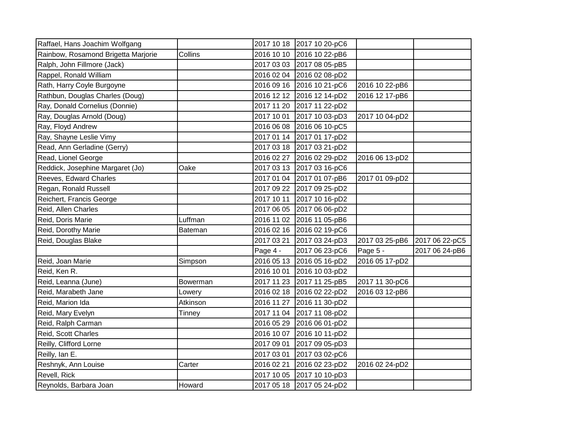| Raffael, Hans Joachim Wolfgang      |          |            | 2017 10 18 2017 10 20-pC6 |                |                |
|-------------------------------------|----------|------------|---------------------------|----------------|----------------|
| Rainbow, Rosamond Brigetta Marjorie | Collins  |            | 2016 10 10 2016 10 22-pB6 |                |                |
| Ralph, John Fillmore (Jack)         |          |            | 2017 03 03 2017 08 05-pB5 |                |                |
| Rappel, Ronald William              |          |            | 2016 02 04 2016 02 08-pD2 |                |                |
| Rath, Harry Coyle Burgoyne          |          |            | 2016 09 16 2016 10 21-pC6 | 2016 10 22-pB6 |                |
| Rathbun, Douglas Charles (Doug)     |          | 2016 12 12 | 2016 12 14-pD2            | 2016 12 17-pB6 |                |
| Ray, Donald Cornelius (Donnie)      |          |            | 2017 11 20 2017 11 22-pD2 |                |                |
| Ray, Douglas Arnold (Doug)          |          | 2017 10 01 | 2017 10 03-pD3            | 2017 10 04-pD2 |                |
| Ray, Floyd Andrew                   |          | 2016 06 08 | 2016 06 10-pC5            |                |                |
| Ray, Shayne Leslie Vimy             |          |            | 2017 01 14 2017 01 17-pD2 |                |                |
| Read, Ann Gerladine (Gerry)         |          | 2017 03 18 | 2017 03 21-pD2            |                |                |
| Read, Lionel George                 |          | 2016 02 27 | 2016 02 29-pD2            | 2016 06 13-pD2 |                |
| Reddick, Josephine Margaret (Jo)    | Oake     |            | 2017 03 13 2017 03 16-pC6 |                |                |
| Reeves, Edward Charles              |          | 2017 01 04 | 2017 01 07-pB6            | 2017 01 09-pD2 |                |
| Regan, Ronald Russell               |          |            | 2017 09 22 2017 09 25-pD2 |                |                |
| Reichert, Francis George            |          | 2017 10 11 | 2017 10 16-pD2            |                |                |
| Reid, Allen Charles                 |          | 2017 06 05 | 2017 06 06-pD2            |                |                |
| Reid, Doris Marie                   | Luffman  | 2016 11 02 | 2016 11 05-pB6            |                |                |
| Reid, Dorothy Marie                 | Bateman  |            | 2016 02 16 2016 02 19-pC6 |                |                |
| Reid, Douglas Blake                 |          | 2017 03 21 | 2017 03 24-pD3            | 2017 03 25-pB6 | 2017 06 22-pC5 |
|                                     |          | Page 4 -   | 2017 06 23-pC6            | Page 5 -       | 2017 06 24-pB6 |
| Reid, Joan Marie                    | Simpson  |            | 2016 05 13 2016 05 16-pD2 | 2016 05 17-pD2 |                |
| Reid, Ken R.                        |          | 2016 10 01 | 2016 10 03-pD2            |                |                |
| Reid, Leanna (June)                 | Bowerman |            | 2017 11 23 2017 11 25-pB5 | 2017 11 30-pC6 |                |
| Reid, Marabeth Jane                 | Lowery   |            | 2016 02 18 2016 02 22-pD2 | 2016 03 12-pB6 |                |
| Reid, Marion Ida                    | Atkinson | 2016 11 27 | 2016 11 30-pD2            |                |                |
| Reid, Mary Evelyn                   | Tinney   | 2017 11 04 | 2017 11 08-pD2            |                |                |
| Reid, Ralph Carman                  |          | 2016 05 29 | 2016 06 01-pD2            |                |                |
| Reid, Scott Charles                 |          | 2016 10 07 | 2016 10 11-pD2            |                |                |
| Reilly, Clifford Lorne              |          | 2017 09 01 | 2017 09 05-pD3            |                |                |
| Reilly, Ian E.                      |          | 2017 03 01 | 2017 03 02-pC6            |                |                |
| Reshnyk, Ann Louise                 | Carter   | 2016 02 21 | 2016 02 23-pD2            | 2016 02 24-pD2 |                |
| Revell, Rick                        |          |            | 2017 10 05 2017 10 10-pD3 |                |                |
| Reynolds, Barbara Joan              | Howard   |            | 2017 05 18 2017 05 24-pD2 |                |                |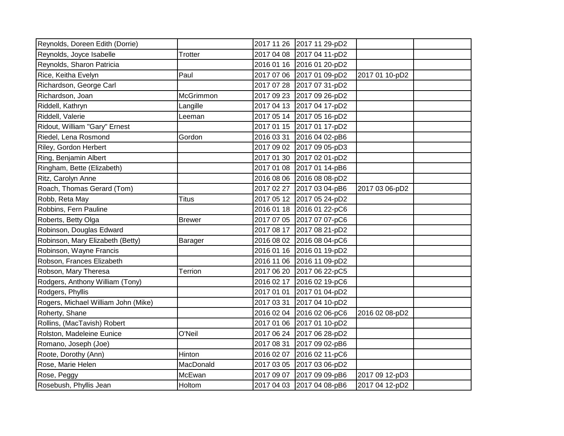| Reynolds, Doreen Edith (Dorrie)     |               |            | 2017 11 26 2017 11 29-pD2 |                |  |
|-------------------------------------|---------------|------------|---------------------------|----------------|--|
| Reynolds, Joyce Isabelle            | Trotter       |            | 2017 04 08 2017 04 11-pD2 |                |  |
| Reynolds, Sharon Patricia           |               |            | 2016 01 16 2016 01 20-pD2 |                |  |
| Rice, Keitha Evelyn                 | Paul          |            | 2017 07 06 2017 01 09-pD2 | 2017 01 10-pD2 |  |
| Richardson, George Carl             |               |            | 2017 07 28 2017 07 31-pD2 |                |  |
| Richardson, Joan                    | McGrimmon     | 2017 09 23 | 2017 09 26-pD2            |                |  |
| Riddell, Kathryn                    | Langille      |            | 2017 04 13 2017 04 17-pD2 |                |  |
| Riddell, Valerie                    | Leeman        |            | 2017 05 14 2017 05 16-pD2 |                |  |
| Ridout, William "Gary" Ernest       |               |            | 2017 01 15 2017 01 17-pD2 |                |  |
| Riedel, Lena Rosmond                | Gordon        | 2016 03 31 | 2016 04 02-pB6            |                |  |
| Riley, Gordon Herbert               |               |            | 2017 09 02 2017 09 05-pD3 |                |  |
| Ring, Benjamin Albert               |               |            | 2017 01 30 2017 02 01-pD2 |                |  |
| Ringham, Bette (Elizabeth)          |               |            | 2017 01 08 2017 01 14-pB6 |                |  |
| Ritz, Carolyn Anne                  |               |            | 2016 08 06 2016 08 08-pD2 |                |  |
| Roach, Thomas Gerard (Tom)          |               |            | 2017 02 27 2017 03 04-pB6 | 2017 03 06-pD2 |  |
| Robb, Reta May                      | Titus         | 2017 05 12 | 2017 05 24-pD2            |                |  |
| Robbins, Fern Pauline               |               |            | 2016 01 18 2016 01 22-pC6 |                |  |
| Roberts, Betty Olga                 | <b>Brewer</b> |            | 2017 07 05 2017 07 07-pC6 |                |  |
| Robinson, Douglas Edward            |               | 2017 08 17 | 2017 08 21-pD2            |                |  |
| Robinson, Mary Elizabeth (Betty)    | Barager       |            | 2016 08 02 2016 08 04-pC6 |                |  |
| Robinson, Wayne Francis             |               |            | 2016 01 16 2016 01 19-pD2 |                |  |
| Robson, Frances Elizabeth           |               |            | 2016 11 06 2016 11 09-pD2 |                |  |
| Robson, Mary Theresa                | Terrion       |            | 2017 06 20 2017 06 22-pC5 |                |  |
| Rodgers, Anthony William (Tony)     |               | 2016 02 17 | 2016 02 19-pC6            |                |  |
| Rodgers, Phyllis                    |               | 2017 01 01 | 2017 01 04-pD2            |                |  |
| Rogers, Michael William John (Mike) |               | 2017 03 31 | 2017 04 10-pD2            |                |  |
| Roherty, Shane                      |               |            | 2016 02 04 2016 02 06-pC6 | 2016 02 08-pD2 |  |
| Rollins, (MacTavish) Robert         |               | 2017 01 06 | 2017 01 10-pD2            |                |  |
| Rolston, Madeleine Eunice           | O'Neil        |            | 2017 06 24 2017 06 28-pD2 |                |  |
| Romano, Joseph (Joe)                |               | 2017 08 31 | 2017 09 02-pB6            |                |  |
| Roote, Dorothy (Ann)                | Hinton        | 2016 02 07 | 2016 02 11-pC6            |                |  |
| Rose, Marie Helen                   | MacDonald     |            | 2017 03 05 2017 03 06-pD2 |                |  |
| Rose, Peggy                         | McEwan        | 2017 09 07 | 2017 09 09-pB6            | 2017 09 12-pD3 |  |
| Rosebush, Phyllis Jean              | Holtom        |            | 2017 04 03 2017 04 08-pB6 | 2017 04 12-pD2 |  |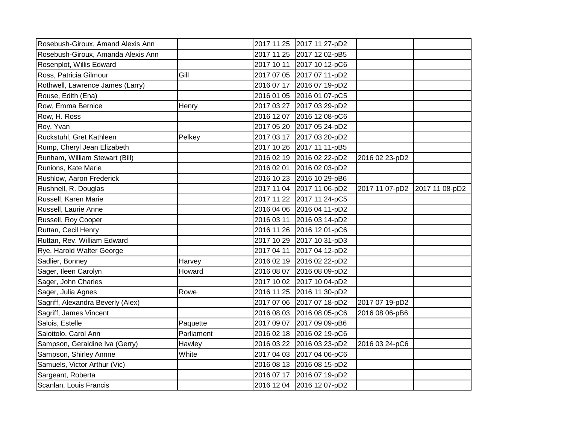| Rosebush-Giroux, Amand Alexis Ann  |            | 2017 11 25 2017 11 27-pD2 |                               |  |
|------------------------------------|------------|---------------------------|-------------------------------|--|
| Rosebush-Giroux, Amanda Alexis Ann |            | 2017 11 25 2017 12 02-pB5 |                               |  |
| Rosenplot, Willis Edward           |            | 2017 10 11 2017 10 12-pC6 |                               |  |
| Ross, Patricia Gilmour             | Gill       | 2017 07 05 2017 07 11-pD2 |                               |  |
| Rothwell, Lawrence James (Larry)   |            | 2016 07 17 2016 07 19-pD2 |                               |  |
| Rouse, Edith (Ena)                 |            | 2016 01 05 2016 01 07-pC5 |                               |  |
| Row, Emma Bernice                  | Henry      | 2017 03 27 2017 03 29-pD2 |                               |  |
| Row, H. Ross                       |            | 2016 12 07 2016 12 08-pC6 |                               |  |
| Roy, Yvan                          |            | 2017 05 20 2017 05 24-pD2 |                               |  |
| Ruckstuhl, Gret Kathleen           | Pelkey     | 2017 03 17 2017 03 20-pD2 |                               |  |
| Rump, Cheryl Jean Elizabeth        |            | 2017 10 26 2017 11 11-pB5 |                               |  |
| Runham, William Stewart (Bill)     |            | 2016 02 19 2016 02 22-pD2 | 2016 02 23-pD2                |  |
| Runions, Kate Marie                |            | 2016 02 01 2016 02 03-pD2 |                               |  |
| Rushlow, Aaron Frederick           |            | 2016 10 23 2016 10 29-pB6 |                               |  |
| Rushnell, R. Douglas               |            | 2017 11 04 2017 11 06-pD2 | 2017 11 07-pD2 2017 11 08-pD2 |  |
| Russell, Karen Marie               |            | 2017 11 22 2017 11 24-pC5 |                               |  |
| Russell, Laurie Anne               |            | 2016 04 06 2016 04 11-pD2 |                               |  |
| Russell, Roy Cooper                |            | 2016 03 11 2016 03 14-pD2 |                               |  |
| Ruttan, Cecil Henry                |            | 2016 11 26 2016 12 01-pC6 |                               |  |
| Ruttan, Rev. William Edward        |            | 2017 10 29 2017 10 31-pD3 |                               |  |
| Rye, Harold Walter George          |            | 2017 04 11 2017 04 12-pD2 |                               |  |
| Sadlier, Bonney                    | Harvey     | 2016 02 19 2016 02 22-pD2 |                               |  |
| Sager, Ileen Carolyn               | Howard     | 2016 08 07 2016 08 09-pD2 |                               |  |
| Sager, John Charles                |            | 2017 10 02 2017 10 04-pD2 |                               |  |
| Sager, Julia Agnes                 | Rowe       | 2016 11 25 2016 11 30-pD2 |                               |  |
| Sagriff, Alexandra Beverly (Alex)  |            | 2017 07 06 2017 07 18-pD2 | 2017 07 19-pD2                |  |
| Sagriff, James Vincent             |            | 2016 08 03 2016 08 05-pC6 | 2016 08 06-pB6                |  |
| Salois, Estelle                    | Paquette   | 2017 09 07 2017 09 09-pB6 |                               |  |
| Salottolo, Carol Ann               | Parliament | 2016 02 18 2016 02 19-pC6 |                               |  |
| Sampson, Geraldine Iva (Gerry)     | Hawley     | 2016 03 22 2016 03 23-pD2 | 2016 03 24-pC6                |  |
| Sampson, Shirley Annne             | White      | 2017 04 03 2017 04 06-pC6 |                               |  |
| Samuels, Victor Arthur (Vic)       |            | 2016 08 13 2016 08 15-pD2 |                               |  |
| Sargeant, Roberta                  |            | 2016 07 17 2016 07 19-pD2 |                               |  |
| Scanlan, Louis Francis             |            | 2016 12 04 2016 12 07-pD2 |                               |  |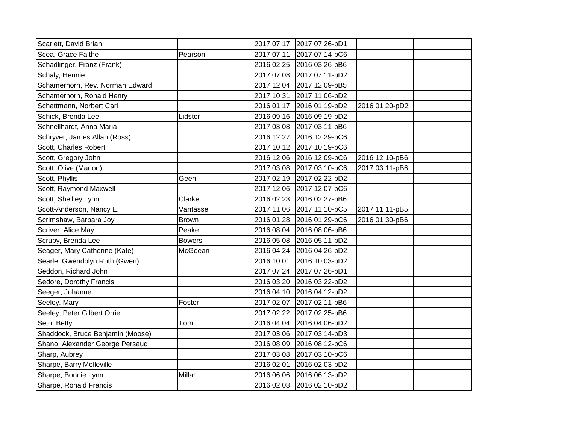| Scarlett, David Brian            |               |            | 2017 07 17 2017 07 26-pD1 |                |  |
|----------------------------------|---------------|------------|---------------------------|----------------|--|
| Scea, Grace Faithe               | Pearson       |            | 2017 07 11 2017 07 14-pC6 |                |  |
| Schadlinger, Franz (Frank)       |               |            | 2016 02 25 2016 03 26-pB6 |                |  |
| Schaly, Hennie                   |               |            | 2017 07 08 2017 07 11-pD2 |                |  |
| Schamerhorn, Rev. Norman Edward  |               |            | 2017 12 04 2017 12 09-pB5 |                |  |
| Schamerhorn, Ronald Henry        |               |            | 2017 10 31 2017 11 06-pD2 |                |  |
| Schattmann, Norbert Carl         |               |            | 2016 01 17 2016 01 19-pD2 | 2016 01 20-pD2 |  |
| Schick, Brenda Lee               | Lidster       |            | 2016 09 16 2016 09 19-pD2 |                |  |
| Schnellhardt, Anna Maria         |               |            | 2017 03 08 2017 03 11-pB6 |                |  |
| Schryver, James Allan (Ross)     |               |            | 2016 12 27 2016 12 29-pC6 |                |  |
| Scott, Charles Robert            |               |            | 2017 10 12 2017 10 19-pC6 |                |  |
| Scott, Gregory John              |               |            | 2016 12 06 2016 12 09-pC6 | 2016 12 10-pB6 |  |
| Scott, Olive (Marion)            |               |            | 2017 03 08 2017 03 10-pC6 | 2017 03 11-pB6 |  |
| Scott, Phyllis                   | Geen          |            | 2017 02 19 2017 02 22-pD2 |                |  |
| Scott, Raymond Maxwell           |               |            | 2017 12 06 2017 12 07-pC6 |                |  |
| Scott, Sheiliey Lynn             | Clarke        |            | 2016 02 23 2016 02 27-pB6 |                |  |
| Scott-Anderson, Nancy E.         | Vantassel     |            | 2017 11 06 2017 11 10-pC5 | 2017 11 11-pB5 |  |
| Scrimshaw, Barbara Joy           | <b>Brown</b>  |            | 2016 01 28 2016 01 29-pC6 | 2016 01 30-pB6 |  |
| Scriver, Alice May               | Peake         |            | 2016 08 04 2016 08 06-pB6 |                |  |
| Scruby, Brenda Lee               | <b>Bowers</b> |            | 2016 05 08 2016 05 11-pD2 |                |  |
| Seager, Mary Catherine (Kate)    | McGeean       |            | 2016 04 24 2016 04 26-pD2 |                |  |
| Searle, Gwendolyn Ruth (Gwen)    |               |            | 2016 10 01 2016 10 03-pD2 |                |  |
| Seddon, Richard John             |               |            | 2017 07 24 2017 07 26-pD1 |                |  |
| Sedore, Dorothy Francis          |               |            | 2016 03 20 2016 03 22-pD2 |                |  |
| Seeger, Johanne                  |               |            | 2016 04 10 2016 04 12-pD2 |                |  |
| Seeley, Mary                     | Foster        |            | 2017 02 07 2017 02 11-pB6 |                |  |
| Seeley, Peter Gilbert Orrie      |               |            | 2017 02 22 2017 02 25-pB6 |                |  |
| Seto, Betty                      | Tom           |            | 2016 04 04 2016 04 06-pD2 |                |  |
| Shaddock, Bruce Benjamin (Moose) |               |            | 2017 03 06 2017 03 14-pD3 |                |  |
| Shano, Alexander George Persaud  |               |            | 2016 08 09 2016 08 12-pC6 |                |  |
| Sharp, Aubrey                    |               |            | 2017 03 08 2017 03 10-pC6 |                |  |
| Sharpe, Barry Melleville         |               | 2016 02 01 | 2016 02 03-pD2            |                |  |
| Sharpe, Bonnie Lynn              | Millar        |            | 2016 06 06 2016 06 13-pD2 |                |  |
| Sharpe, Ronald Francis           |               |            | 2016 02 08 2016 02 10-pD2 |                |  |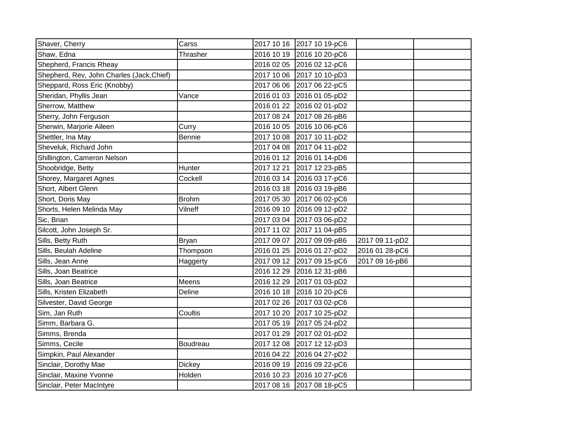| Shaver, Cherry                            | Carss         |            | 2017 10 16 2017 10 19-pC6 |                |  |
|-------------------------------------------|---------------|------------|---------------------------|----------------|--|
| Shaw, Edna                                | Thrasher      |            | 2016 10 19 2016 10 20-pC6 |                |  |
| Shepherd, Francis Rheay                   |               |            | 2016 02 05 2016 02 12-pC6 |                |  |
| Shepherd, Rev, John Charles (Jack, Chief) |               |            | 2017 10 06 2017 10 10-pD3 |                |  |
| Sheppard, Ross Eric (Knobby)              |               |            | 2017 06 06 2017 06 22-pC5 |                |  |
| Sheridan, Phyllis Jean                    | Vance         |            | 2016 01 03 2016 01 05-pD2 |                |  |
| Sherrow, Matthew                          |               |            | 2016 01 22 2016 02 01-pD2 |                |  |
| Sherry, John Ferguson                     |               |            | 2017 08 24 2017 08 26-pB6 |                |  |
| Sherwin, Marjorie Aileen                  | Curry         |            | 2016 10 05 2016 10 06-pC6 |                |  |
| Shettler, Ina May                         | Bennie        |            | 2017 10 08 2017 10 11-pD2 |                |  |
| Sheveluk, Richard John                    |               |            | 2017 04 08 2017 04 11-pD2 |                |  |
| Shillington, Cameron Nelson               |               |            | 2016 01 12 2016 01 14-pD6 |                |  |
| Shoobridge, Betty                         | Hunter        |            | 2017 12 21 2017 12 23-pB5 |                |  |
| Shorey, Margaret Agnes                    | Cockell       |            | 2016 03 14 2016 03 17-pC6 |                |  |
| Short, Albert Glenn                       |               |            | 2016 03 18 2016 03 19-pB6 |                |  |
| Short, Doris May                          | <b>Brohm</b>  |            | 2017 05 30 2017 06 02-pC6 |                |  |
| Shorts, Helen Melinda May                 | Vilneff       |            | 2016 09 10 2016 09 12-pD2 |                |  |
| Sic, Brian                                |               |            | 2017 03 04 2017 03 06-pD2 |                |  |
| Silcott, John Joseph Sr.                  |               |            | 2017 11 02 2017 11 04-pB5 |                |  |
| Sills, Betty Ruth                         | <b>Bryan</b>  |            | 2017 09 07 2017 09 09-pB6 | 2017 09 11-pD2 |  |
| Sills, Beulah Adeline                     | Thompson      |            | 2016 01 25 2016 01 27-pD2 | 2016 01 28-pC6 |  |
| Sills, Jean Anne                          | Haggerty      |            | 2017 09 12 2017 09 15-pC6 | 2017 09 16-pB6 |  |
| Sills, Joan Beatrice                      |               |            | 2016 12 29 2016 12 31-pB6 |                |  |
| Sills, Joan Beatrice                      | Meens         |            | 2016 12 29 2017 01 03-pD2 |                |  |
| Sills, Kristen Elizabeth                  | Deline        |            | 2016 10 18 2016 10 20-pC6 |                |  |
| Silvester, David George                   |               |            | 2017 02 26 2017 03 02-pC6 |                |  |
| Sim, Jan Ruth                             | Coultis       | 2017 10 20 | 2017 10 25-pD2            |                |  |
| Simm, Barbara G.                          |               |            | 2017 05 19 2017 05 24-pD2 |                |  |
| Simms, Brenda                             |               |            | 2017 01 29 2017 02 01-pD2 |                |  |
| Simms, Cecile                             | Boudreau      |            | 2017 12 08 2017 12 12-pD3 |                |  |
| Simpkin, Paul Alexander                   |               |            | 2016 04 22 2016 04 27-pD2 |                |  |
| Sinclair, Dorothy Mae                     | <b>Dickey</b> |            | 2016 09 19 2016 09 22-pC6 |                |  |
| Sinclair, Maxine Yvonne                   | Holden        |            | 2016 10 23 2016 10 27-pC6 |                |  |
| Sinclair, Peter MacIntyre                 |               |            | 2017 08 16 2017 08 18-pC5 |                |  |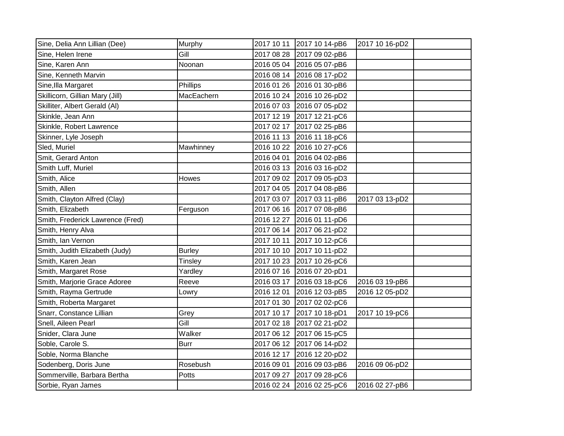| Sine, Delia Ann Lillian (Dee)    | Murphy        | 2017 10 11 | 2017 10 14-pB6            | 2017 10 16-pD2 |  |
|----------------------------------|---------------|------------|---------------------------|----------------|--|
| Sine, Helen Irene                | Gill          | 2017 08 28 | 2017 09 02-pB6            |                |  |
| Sine, Karen Ann                  | Noonan        |            | 2016 05 04 2016 05 07-pB6 |                |  |
| Sine, Kenneth Marvin             |               |            | 2016 08 14 2016 08 17-pD2 |                |  |
| Sine, Illa Margaret              | Phillips      | 2016 01 26 | 2016 01 30-pB6            |                |  |
| Skillicorn, Gillian Mary (Jill)  | MacEachern    | 2016 10 24 | 2016 10 26-pD2            |                |  |
| Skilliter, Albert Gerald (AI)    |               | 2016 07 03 | 2016 07 05-pD2            |                |  |
| Skinkle, Jean Ann                |               |            | 2017 12 19 2017 12 21-pC6 |                |  |
| Skinkle, Robert Lawrence         |               |            | 2017 02 17 2017 02 25-pB6 |                |  |
| Skinner, Lyle Joseph             |               |            | 2016 11 13 2016 11 18-pC6 |                |  |
| Sled, Muriel                     | Mawhinney     |            | 2016 10 22 2016 10 27-pC6 |                |  |
| Smit, Gerard Anton               |               | 2016 04 01 | 2016 04 02-pB6            |                |  |
| Smith Luff, Muriel               |               |            | 2016 03 13 2016 03 16-pD2 |                |  |
| Smith, Alice                     | <b>Howes</b>  |            | 2017 09 02 2017 09 05-pD3 |                |  |
| Smith, Allen                     |               |            | 2017 04 05 2017 04 08-pB6 |                |  |
| Smith, Clayton Alfred (Clay)     |               |            | 2017 03 07 2017 03 11-pB6 | 2017 03 13-pD2 |  |
| Smith, Elizabeth                 | Ferguson      |            | 2017 06 16 2017 07 08-pB6 |                |  |
| Smith, Frederick Lawrence (Fred) |               | 2016 12 27 | 2016 01 11-pD6            |                |  |
| Smith, Henry Alva                |               | 2017 06 14 | 2017 06 21-pD2            |                |  |
| Smith, Ian Vernon                |               | 2017 10 11 | 2017 10 12-pC6            |                |  |
| Smith, Judith Elizabeth (Judy)   | <b>Burley</b> |            | 2017 10 10 2017 10 11-pD2 |                |  |
| Smith, Karen Jean                | Tinsley       | 2017 10 23 | 2017 10 26-pC6            |                |  |
| Smith, Margaret Rose             | Yardley       |            | 2016 07 16 2016 07 20-pD1 |                |  |
| Smith, Marjorie Grace Adoree     | Reeve         |            | 2016 03 17 2016 03 18-pC6 | 2016 03 19-pB6 |  |
| Smith, Rayma Gertrude            | Lowry         | 2016 12 01 | 2016 12 03-pB5            | 2016 12 05-pD2 |  |
| Smith, Roberta Margaret          |               | 2017 01 30 | 2017 02 02-pC6            |                |  |
| Snarr, Constance Lillian         | Grey          | 2017 10 17 | 2017 10 18-pD1            | 2017 10 19-pC6 |  |
| Snell, Aileen Pearl              | Gill          | 2017 02 18 | 2017 02 21-pD2            |                |  |
| Snider, Clara June               | Walker        | 2017 06 12 | 2017 06 15-pC5            |                |  |
| Soble, Carole S.                 | <b>Burr</b>   |            | 2017 06 12 2017 06 14-pD2 |                |  |
| Soble, Norma Blanche             |               | 2016 12 17 | 2016 12 20-pD2            |                |  |
| Sodenberg, Doris June            | Rosebush      | 2016 09 01 | 2016 09 03-pB6            | 2016 09 06-pD2 |  |
| Sommerville, Barbara Bertha      | Potts         | 2017 09 27 | 2017 09 28-pC6            |                |  |
| Sorbie, Ryan James               |               |            | 2016 02 24 2016 02 25-pC6 | 2016 02 27-pB6 |  |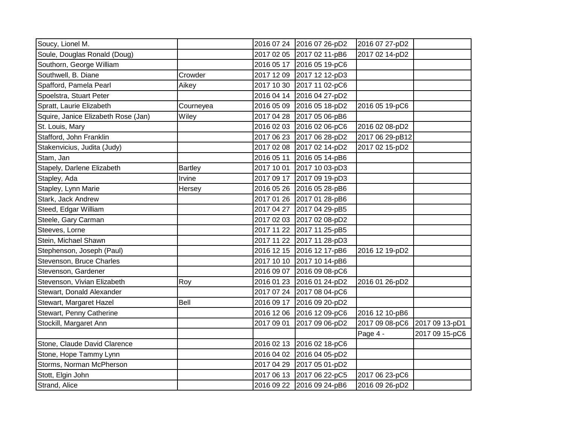| Soucy, Lionel M.                    |                |            | 2016 07 24 2016 07 26-pD2 | 2016 07 27-pD2  |                |
|-------------------------------------|----------------|------------|---------------------------|-----------------|----------------|
| Soule, Douglas Ronald (Doug)        |                |            | 2017 02 05 2017 02 11-pB6 | 2017 02 14-pD2  |                |
| Southorn, George William            |                |            | 2016 05 17 2016 05 19-pC6 |                 |                |
| Southwell, B. Diane                 | Crowder        |            | 2017 12 09 2017 12 12-pD3 |                 |                |
| Spafford, Pamela Pearl              | Aikey          |            | 2017 10 30 2017 11 02-pC6 |                 |                |
| Spoelstra, Stuart Peter             |                |            | 2016 04 14 2016 04 27-pD2 |                 |                |
| Spratt, Laurie Elizabeth            | Courneyea      |            | 2016 05 09 2016 05 18-pD2 | 2016 05 19-pC6  |                |
| Squire, Janice Elizabeth Rose (Jan) | Wiley          |            | 2017 04 28 2017 05 06-pB6 |                 |                |
| St. Louis, Mary                     |                |            | 2016 02 03 2016 02 06-pC6 | 2016 02 08-pD2  |                |
| Stafford, John Franklin             |                |            | 2017 06 23 2017 06 28-pD2 | 2017 06 29-pB12 |                |
| Stakenvicius, Judita (Judy)         |                |            | 2017 02 08 2017 02 14-pD2 | 2017 02 15-pD2  |                |
| Stam, Jan                           |                |            | 2016 05 11 2016 05 14-pB6 |                 |                |
| Stapely, Darlene Elizabeth          | <b>Bartley</b> | 2017 10 01 | 2017 10 03-pD3            |                 |                |
| Stapley, Ada                        | Irvine         |            | 2017 09 17 2017 09 19-pD3 |                 |                |
| Stapley, Lynn Marie                 | Hersey         |            | 2016 05 26 2016 05 28-pB6 |                 |                |
| Stark, Jack Andrew                  |                |            | 2017 01 26 2017 01 28-pB6 |                 |                |
| Steed, Edgar William                |                |            | 2017 04 27 2017 04 29-pB5 |                 |                |
| Steele, Gary Carman                 |                |            | 2017 02 03 2017 02 08-pD2 |                 |                |
| Steeves, Lorne                      |                |            | 2017 11 22 2017 11 25-pB5 |                 |                |
| Stein, Michael Shawn                |                |            | 2017 11 22 2017 11 28-pD3 |                 |                |
| Stephenson, Joseph (Paul)           |                |            | 2016 12 15 2016 12 17-pB6 | 2016 12 19-pD2  |                |
| Stevenson, Bruce Charles            |                |            | 2017 10 10 2017 10 14-pB6 |                 |                |
| Stevenson, Gardener                 |                |            | 2016 09 07 2016 09 08-pC6 |                 |                |
| Stevenson, Vivian Elizabeth         | Roy            |            | 2016 01 23 2016 01 24-pD2 | 2016 01 26-pD2  |                |
| Stewart, Donald Alexander           |                |            | 2017 07 24 2017 08 04-pC6 |                 |                |
| Stewart, Margaret Hazel             | Bell           |            | 2016 09 17 2016 09 20-pD2 |                 |                |
| Stewart, Penny Catherine            |                |            | 2016 12 06 2016 12 09-pC6 | 2016 12 10-pB6  |                |
| Stockill, Margaret Ann              |                | 2017 09 01 | 2017 09 06-pD2            | 2017 09 08-pC6  | 2017 09 13-pD1 |
|                                     |                |            |                           | Page 4 -        | 2017 09 15-pC6 |
| Stone, Claude David Clarence        |                |            | 2016 02 13 2016 02 18-pC6 |                 |                |
| Stone, Hope Tammy Lynn              |                |            | 2016 04 02 2016 04 05-pD2 |                 |                |
| Storms, Norman McPherson            |                |            | 2017 04 29 2017 05 01-pD2 |                 |                |
| Stott, Elgin John                   |                |            | 2017 06 13 2017 06 22-pC5 | 2017 06 23-pC6  |                |
| Strand, Alice                       |                |            | 2016 09 22 2016 09 24-pB6 | 2016 09 26-pD2  |                |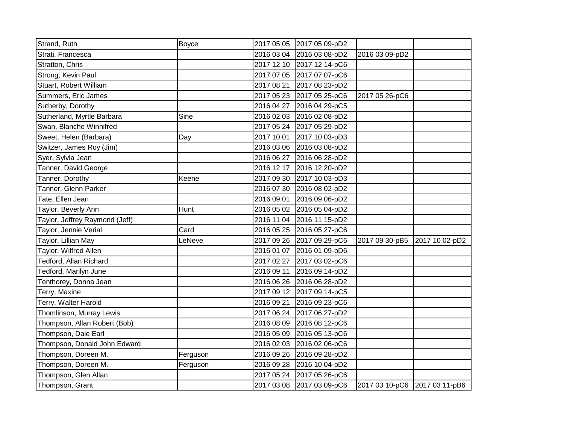| Strand, Ruth                   | <b>Boyce</b> |            | 2017 05 05 2017 05 09-pD2 |                               |                |
|--------------------------------|--------------|------------|---------------------------|-------------------------------|----------------|
| Strati, Francesca              |              |            | 2016 03 04 2016 03 08-pD2 | 2016 03 09-pD2                |                |
| Stratton, Chris                |              |            | 2017 12 10 2017 12 14-pC6 |                               |                |
| Strong, Kevin Paul             |              |            | 2017 07 05 2017 07 07-pC6 |                               |                |
| Stuart, Robert William         |              |            | 2017 08 21 2017 08 23-pD2 |                               |                |
| Summers, Eric James            |              |            | 2017 05 23 2017 05 25-pC6 | 2017 05 26-pC6                |                |
| Sutherby, Dorothy              |              |            | 2016 04 27 2016 04 29-pC5 |                               |                |
| Sutherland, Myrtle Barbara     | Sine         |            | 2016 02 03 2016 02 08-pD2 |                               |                |
| Swan, Blanche Winnifred        |              |            | 2017 05 24 2017 05 29-pD2 |                               |                |
| Sweet, Helen (Barbara)         | Day          |            | 2017 10 01 2017 10 03-pD3 |                               |                |
| Switzer, James Roy (Jim)       |              |            | 2016 03 06 2016 03 08-pD2 |                               |                |
| Syer, Sylvia Jean              |              |            | 2016 06 27 2016 06 28-pD2 |                               |                |
| Tanner, David George           |              |            | 2016 12 17 2016 12 20-pD2 |                               |                |
| Tanner, Dorothy                | Keene        | 2017 09 30 | 2017 10 03-pD3            |                               |                |
| Tanner, Glenn Parker           |              |            | 2016 07 30 2016 08 02-pD2 |                               |                |
| Tate, Ellen Jean               |              |            | 2016 09 01 2016 09 06-pD2 |                               |                |
| Taylor, Beverly Ann            | Hunt         |            | 2016 05 02 2016 05 04-pD2 |                               |                |
| Taylor, Jeffrey Raymond (Jeff) |              |            | 2016 11 04 2016 11 15-pD2 |                               |                |
| Taylor, Jennie Verial          | Card         |            | 2016 05 25 2016 05 27-pC6 |                               |                |
| Taylor, Lillian May            | LeNeve       |            | 2017 09 26 2017 09 29-pC6 | 2017 09 30-pB5                | 2017 10 02-pD2 |
| Taylor, Wilfred Allen          |              |            | 2016 01 07 2016 01 09-pD6 |                               |                |
| Tedford, Allan Richard         |              |            | 2017 02 27 2017 03 02-pC6 |                               |                |
| Tedford, Marilyn June          |              |            | 2016 09 11 2016 09 14-pD2 |                               |                |
| Tenthorey, Donna Jean          |              |            | 2016 06 26 2016 06 28-pD2 |                               |                |
| Terry, Maxine                  |              |            | 2017 09 12 2017 09 14-pC5 |                               |                |
| Terry, Walter Harold           |              | 2016 09 21 | 2016 09 23-pC6            |                               |                |
| Thomlinson, Murray Lewis       |              | 2017 06 24 | 2017 06 27-pD2            |                               |                |
| Thompson, Allan Robert (Bob)   |              |            | 2016 08 09 2016 08 12-pC6 |                               |                |
| Thompson, Dale Earl            |              |            | 2016 05 09 2016 05 13-pC6 |                               |                |
| Thompson, Donald John Edward   |              |            | 2016 02 03 2016 02 06-pC6 |                               |                |
| Thompson, Doreen M.            | Ferguson     |            | 2016 09 26 2016 09 28-pD2 |                               |                |
| Thompson, Doreen M.            | Ferguson     |            | 2016 09 28 2016 10 04-pD2 |                               |                |
| Thompson, Glen Allan           |              |            | 2017 05 24 2017 05 26-pC6 |                               |                |
| Thompson, Grant                |              |            | 2017 03 08 2017 03 09-pC6 | 2017 03 10-pC6 2017 03 11-pB6 |                |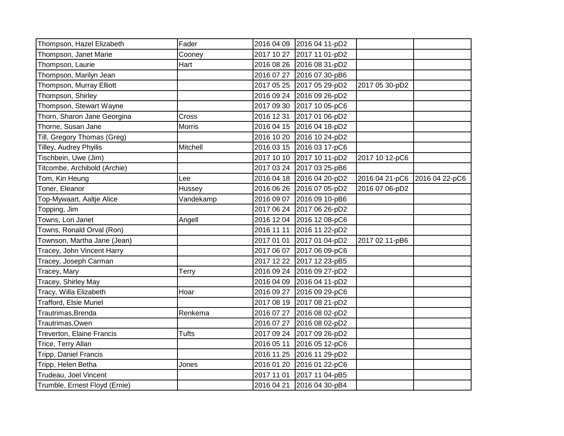| Thompson, Hazel Elizabeth     | Fader         |            | 2016 04 09 2016 04 11-pD2 |                |                |
|-------------------------------|---------------|------------|---------------------------|----------------|----------------|
| Thompson, Janet Marie         | Cooney        |            | 2017 10 27 2017 11 01-pD2 |                |                |
| Thompson, Laurie              | Hart          |            | 2016 08 26 2016 08 31-pD2 |                |                |
| Thompson, Marilyn Jean        |               |            | 2016 07 27 2016 07 30-pB6 |                |                |
| Thompson, Murray Elliott      |               |            | 2017 05 25 2017 05 29-pD2 | 2017 05 30-pD2 |                |
| Thompson, Shirley             |               |            | 2016 09 24 2016 09 26-pD2 |                |                |
| Thompson, Stewart Wayne       |               |            | 2017 09 30 2017 10 05-pC6 |                |                |
| Thorn, Sharon Jane Georgina   | Cross         |            | 2016 12 31 2017 01 06-pD2 |                |                |
| Thorne, Susan Jane            | <b>Morris</b> |            | 2016 04 15 2016 04 18-pD2 |                |                |
| Till, Gregory Thomas (Greg)   |               |            | 2016 10 20 2016 10 24-pD2 |                |                |
| Tilley, Audrey Phyilis        | Mitchell      |            | 2016 03 15 2016 03 17-pC6 |                |                |
| Tischbein, Uwe (Jim)          |               |            | 2017 10 10 2017 10 11-pD2 | 2017 10 12-pC6 |                |
| Titcombe, Archibold (Archie)  |               |            | 2017 03 24 2017 03 25-pB6 |                |                |
| Tom, Kin Heung                | -ee           |            | 2016 04 18 2016 04 20-pD2 | 2016 04 21-pC6 | 2016 04 22-pC6 |
| Toner, Eleanor                | Hussey        |            | 2016 06 26 2016 07 05-pD2 | 2016 07 06-pD2 |                |
| Top-Mywaart, Aaltje Alice     | Vandekamp     |            | 2016 09 07 2016 09 10-pB6 |                |                |
| Topping, Jim                  |               |            | 2017 06 24 2017 06 26-pD2 |                |                |
| Towns, Lori Janet             | Angell        |            | 2016 12 04 2016 12 08-pC6 |                |                |
| Towns, Ronald Orval (Ron)     |               | 2016 11 11 | 2016 11 22-pD2            |                |                |
| Townson, Martha Jane (Jean)   |               |            | 2017 01 01 2017 01 04-pD2 | 2017 02 11-pB6 |                |
| Tracey, John Vincent Harry    |               |            | 2017 06 07 2017 06 09-pC6 |                |                |
| Tracey, Joseph Carman         |               |            | 2017 12 22 2017 12 23-pB5 |                |                |
| Tracey, Mary                  | <b>Terry</b>  |            | 2016 09 24 2016 09 27-pD2 |                |                |
| Tracey, Shirley May           |               |            | 2016 04 09 2016 04 11-pD2 |                |                |
| Tracy, Willa Elizabeth        | Hoar          |            | 2016 09 27 2016 09 29-pC6 |                |                |
| <b>Trafford, Elsie Muriel</b> |               |            | 2017 08 19 2017 08 21-pD2 |                |                |
| Trautrimas, Brenda            | Renkema       |            | 2016 07 27 2016 08 02-pD2 |                |                |
| Trautrimas, Owen              |               |            | 2016 07 27 2016 08 02-pD2 |                |                |
| Treverton, Elaine Francis     | <b>Tufts</b>  |            | 2017 09 24 2017 09 26-pD2 |                |                |
| Trice, Terry Allan            |               |            | 2016 05 11 2016 05 12-pC6 |                |                |
| Tripp, Daniel Francis         |               |            | 2016 11 25 2016 11 29-pD2 |                |                |
| Tripp, Helen Betha            | Jones         |            | 2016 01 20 2016 01 22-pC6 |                |                |
| Trudeau, Joel Vincent         |               | 2017 11 01 | 2017 11 04-pB5            |                |                |
| Trumble, Ernest Floyd (Ernie) |               | 2016 04 21 | 2016 04 30-pB4            |                |                |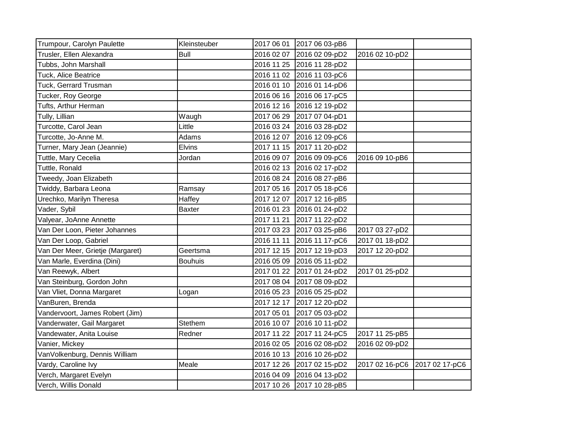| Trumpour, Carolyn Paulette       | Kleinsteuber   |            | 2017 06 01 2017 06 03-pB6 |                |                |
|----------------------------------|----------------|------------|---------------------------|----------------|----------------|
| Trusler, Ellen Alexandra         | <b>Bull</b>    | 2016 02 07 | 2016 02 09-pD2            | 2016 02 10-pD2 |                |
| Tubbs, John Marshall             |                |            | 2016 11 25 2016 11 28-pD2 |                |                |
| Tuck, Alice Beatrice             |                |            | 2016 11 02 2016 11 03-pC6 |                |                |
| Tuck, Gerrard Trusman            |                | 2016 01 10 | 2016 01 14-pD6            |                |                |
| Tucker, Roy George               |                |            | 2016 06 16 2016 06 17-pC5 |                |                |
| Tufts, Arthur Herman             |                | 2016 12 16 | 2016 12 19-pD2            |                |                |
| Tully, Lillian                   | Waugh          | 2017 06 29 | 2017 07 04-pD1            |                |                |
| Turcotte, Carol Jean             | Little         | 2016 03 24 | 2016 03 28-pD2            |                |                |
| Turcotte, Jo-Anne M.             | Adams          |            | 2016 12 07 2016 12 09-pC6 |                |                |
| Turner, Mary Jean (Jeannie)      | <b>Elvins</b>  |            | 2017 11 15 2017 11 20-pD2 |                |                |
| Tuttle, Mary Cecelia             | Jordan         | 2016 09 07 | 2016 09 09-pC6            | 2016 09 10-pB6 |                |
| Tuttle, Ronald                   |                |            | 2016 02 13 2016 02 17-pD2 |                |                |
| Tweedy, Joan Elizabeth           |                | 2016 08 24 | 2016 08 27-pB6            |                |                |
| Twiddy, Barbara Leona            | Ramsay         |            | 2017 05 16 2017 05 18-pC6 |                |                |
| Urechko, Marilyn Theresa         | Haffey         | 2017 12 07 | 2017 12 16-pB5            |                |                |
| Vader, Sybil                     | <b>Baxter</b>  | 2016 01 23 | 2016 01 24-pD2            |                |                |
| Valyear, JoAnne Annette          |                | 2017 11 21 | 2017 11 22-pD2            |                |                |
| Van Der Loon, Pieter Johannes    |                | 2017 03 23 | 2017 03 25-pB6            | 2017 03 27-pD2 |                |
| Van Der Loop, Gabriel            |                | 2016 11 11 | 2016 11 17-pC6            | 2017 01 18-pD2 |                |
| Van Der Meer, Grietje (Margaret) | Geertsma       |            | 2017 12 15 2017 12 19-pD3 | 2017 12 20-pD2 |                |
| Van Marle, Everdina (Dini)       | <b>Bouhuis</b> | 2016 05 09 | 2016 05 11-pD2            |                |                |
| Van Reewyk, Albert               |                | 2017 01 22 | 2017 01 24-pD2            | 2017 01 25-pD2 |                |
| Van Steinburg, Gordon John       |                | 2017 08 04 | 2017 08 09-pD2            |                |                |
| Van Vliet, Donna Margaret        | Logan          |            | 2016 05 23 2016 05 25-pD2 |                |                |
| VanBuren, Brenda                 |                | 2017 12 17 | 2017 12 20-pD2            |                |                |
| Vandervoort, James Robert (Jim)  |                | 2017 05 01 | 2017 05 03-pD2            |                |                |
| Vanderwater, Gail Margaret       | Stethem        | 2016 10 07 | 2016 10 11-pD2            |                |                |
| Vandewater, Anita Louise         | Redner         | 2017 11 22 | 2017 11 24-pC5            | 2017 11 25-pB5 |                |
| Vanier, Mickey                   |                | 2016 02 05 | 2016 02 08-pD2            | 2016 02 09-pD2 |                |
| VanVolkenburg, Dennis William    |                |            | 2016 10 13 2016 10 26-pD2 |                |                |
| Vardy, Caroline Ivy              | Meale          | 2017 12 26 | 2017 02 15-pD2            | 2017 02 16-pC6 | 2017 02 17-pC6 |
| Verch, Margaret Evelyn           |                | 2016 04 09 | 2016 04 13-pD2            |                |                |
| Verch, Willis Donald             |                |            | 2017 10 26 2017 10 28-pB5 |                |                |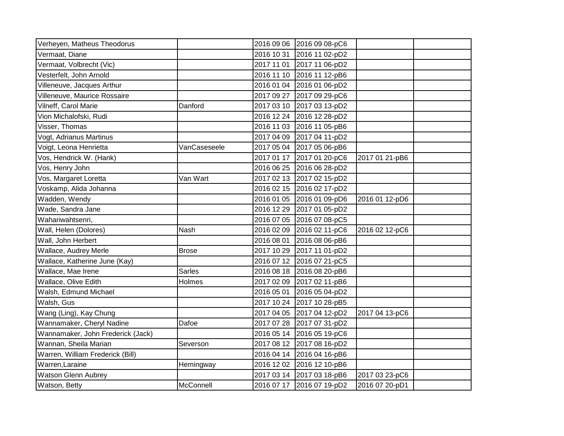| Verheyen, Matheus Theodorus       |               |            | 2016 09 06 2016 09 08-pC6 |                |  |
|-----------------------------------|---------------|------------|---------------------------|----------------|--|
| Vermaat, Diane                    |               | 2016 10 31 | 2016 11 02-pD2            |                |  |
| Vermaat, Volbrecht (Vic)          |               | 2017 11 01 | 2017 11 06-pD2            |                |  |
| Vesterfelt, John Arnold           |               | 2016 11 10 | 2016 11 12-pB6            |                |  |
| Villeneuve, Jacques Arthur        |               |            | 2016 01 04 2016 01 06-pD2 |                |  |
| Villeneuve, Maurice Rossaire      |               | 2017 09 27 | 2017 09 29-pC6            |                |  |
| Vilneff, Carol Marie              | Danford       | 2017 03 10 | 2017 03 13-pD2            |                |  |
| Vion Michalofski, Rudi            |               | 2016 12 24 | 2016 12 28-pD2            |                |  |
| Visser, Thomas                    |               | 2016 11 03 | 2016 11 05-pB6            |                |  |
| Vogt, Adrianus Martinus           |               | 2017 04 09 | 2017 04 11-pD2            |                |  |
| Voigt, Leona Henrietta            | VanCaseseele  |            | 2017 05 04 2017 05 06-pB6 |                |  |
| Vos, Hendrick W. (Hank)           |               | 2017 01 17 | 2017 01 20-pC6            | 2017 01 21-pB6 |  |
| Vos, Henry John                   |               | 2016 06 25 | 2016 06 28-pD2            |                |  |
| Vos, Margaret Loretta             | Van Wart      | 2017 02 13 | 2017 02 15-pD2            |                |  |
| Voskamp, Alida Johanna            |               | 2016 02 15 | 2016 02 17-pD2            |                |  |
| Wadden, Wendy                     |               | 2016 01 05 | 2016 01 09-pD6            | 2016 01 12-pD6 |  |
| Wade, Sandra Jane                 |               | 2016 12 29 | 2017 01 05-pD2            |                |  |
| Wahariwahtsenri,                  |               | 2016 07 05 | 2016 07 08-pC5            |                |  |
| Wall, Helen (Dolores)             | Nash          | 2016 02 09 | 2016 02 11-pC6            | 2016 02 12-pC6 |  |
| Wall, John Herbert                |               | 2016 08 01 | 2016 08 06-pB6            |                |  |
| Wallace, Audrey Merle             | <b>Brose</b>  | 2017 10 29 | 2017 11 01-pD2            |                |  |
| Wallace, Katherine June (Kay)     |               |            | 2016 07 12 2016 07 21-pC5 |                |  |
| Wallace, Mae Irene                | <b>Sarles</b> | 2016 08 18 | 2016 08 20-pB6            |                |  |
| Wallace, Olive Edith              | Holmes        | 2017 02 09 | 2017 02 11-pB6            |                |  |
| Walsh, Edmund Michael             |               | 2016 05 01 | 2016 05 04-pD2            |                |  |
| Walsh, Gus                        |               | 2017 10 24 | 2017 10 28-pB5            |                |  |
| Wang (Ling), Kay Chung            |               | 2017 04 05 | 2017 04 12-pD2            | 2017 04 13-pC6 |  |
| Wannamaker, Cheryl Nadine         | Dafoe         | 2017 07 28 | 2017 07 31-pD2            |                |  |
| Wannamaker, John Frederick (Jack) |               | 2016 05 14 | 2016 05 19-pC6            |                |  |
| Wannan, Sheila Marian             | Severson      | 2017 08 12 | 2017 08 16-pD2            |                |  |
| Warren, William Frederick (Bill)  |               |            | 2016 04 14 2016 04 16-pB6 |                |  |
| Warren, Laraine                   | Hemingway     |            | 2016 12 02 2016 12 10-pB6 |                |  |
| <b>Watson Glenn Aubrey</b>        |               |            | 2017 03 14 2017 03 18-pB6 | 2017 03 23-pC6 |  |
| Watson, Betty                     | McConnell     |            | 2016 07 17 2016 07 19-pD2 | 2016 07 20-pD1 |  |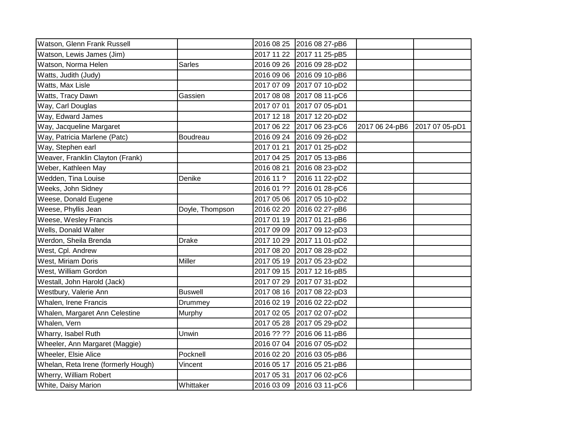| Watson, Glenn Frank Russell         |                 |            | 2016 08 25 2016 08 27-pB6 |                |                |
|-------------------------------------|-----------------|------------|---------------------------|----------------|----------------|
| Watson, Lewis James (Jim)           |                 |            | 2017 11 22 2017 11 25-pB5 |                |                |
| Watson, Norma Helen                 | <b>Sarles</b>   |            | 2016 09 26 2016 09 28-pD2 |                |                |
| Watts, Judith (Judy)                |                 |            | 2016 09 06 2016 09 10-pB6 |                |                |
| Watts, Max Lisle                    |                 |            | 2017 07 09 2017 07 10-pD2 |                |                |
| Watts, Tracy Dawn                   | Gassien         |            | 2017 08 08 2017 08 11-pC6 |                |                |
| Way, Carl Douglas                   |                 |            | 2017 07 01 2017 07 05-pD1 |                |                |
| Way, Edward James                   |                 |            | 2017 12 18 2017 12 20-pD2 |                |                |
| Way, Jacqueline Margaret            |                 |            | 2017 06 22 2017 06 23-pC6 | 2017 06 24-pB6 | 2017 07 05-pD1 |
| Way, Patricia Marlene (Patc)        | Boudreau        |            | 2016 09 24 2016 09 26-pD2 |                |                |
| Way, Stephen earl                   |                 |            | 2017 01 21 2017 01 25-pD2 |                |                |
| Weaver, Franklin Clayton (Frank)    |                 |            | 2017 04 25 2017 05 13-pB6 |                |                |
| Weber, Kathleen May                 |                 | 2016 08 21 | 2016 08 23-pD2            |                |                |
| Wedden, Tina Louise                 | Denike          | 2016 11 ?  | 2016 11 22-pD2            |                |                |
| Weeks, John Sidney                  |                 |            | 2016 01 ?? 2016 01 28-pC6 |                |                |
| Weese, Donald Eugene                |                 |            | 2017 05 06 2017 05 10-pD2 |                |                |
| Weese, Phyllis Jean                 | Doyle, Thompson |            | 2016 02 20 2016 02 27-pB6 |                |                |
| Weese, Wesley Francis               |                 |            | 2017 01 19 2017 01 21-pB6 |                |                |
| Wells, Donald Walter                |                 |            | 2017 09 09 2017 09 12-pD3 |                |                |
| Werdon, Sheila Brenda               | <b>Drake</b>    |            | 2017 10 29 2017 11 01-pD2 |                |                |
| West, Cpl. Andrew                   |                 |            | 2017 08 20 2017 08 28-pD2 |                |                |
| West, Miriam Doris                  | Miller          |            | 2017 05 19 2017 05 23-pD2 |                |                |
| West, William Gordon                |                 |            | 2017 09 15 2017 12 16-pB5 |                |                |
| Westall, John Harold (Jack)         |                 |            | 2017 07 29 2017 07 31-pD2 |                |                |
| Westbury, Valerie Ann               | <b>Buswell</b>  |            | 2017 08 16 2017 08 22-pD3 |                |                |
| Whalen, Irene Francis               | Drummey         |            | 2016 02 19 2016 02 22-pD2 |                |                |
| Whalen, Margaret Ann Celestine      | Murphy          |            | 2017 02 05 2017 02 07-pD2 |                |                |
| Whalen, Vern                        |                 |            | 2017 05 28 2017 05 29-pD2 |                |                |
| Wharry, Isabel Ruth                 | Unwin           |            | 2016 ?? ?? 2016 06 11-pB6 |                |                |
| Wheeler, Ann Margaret (Maggie)      |                 |            | 2016 07 04 2016 07 05-pD2 |                |                |
| Wheeler, Elsie Alice                | Pocknell        |            | 2016 02 20 2016 03 05-pB6 |                |                |
| Whelan, Reta Irene (formerly Hough) | Vincent         |            | 2016 05 17 2016 05 21-pB6 |                |                |
| Wherry, William Robert              |                 | 2017 05 31 | 2017 06 02-pC6            |                |                |
| White, Daisy Marion                 | Whittaker       |            | 2016 03 09 2016 03 11-pC6 |                |                |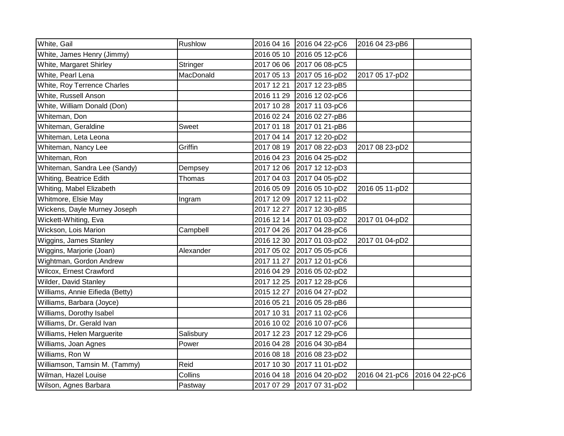| White, Gail                     | <b>Rushlow</b> | 2016 04 16 2016 04 22-pC6<br>2016 04 23-pB6                      |
|---------------------------------|----------------|------------------------------------------------------------------|
|                                 |                |                                                                  |
| White, James Henry (Jimmy)      |                | 2016 05 10<br>2016 05 12-pC6                                     |
| White, Margaret Shirley         | Stringer       | 2017 06 06 2017 06 08-pC5                                        |
| White, Pearl Lena               | MacDonald      | 2017 05 13 2017 05 16-pD2<br>2017 05 17-pD2                      |
| White, Roy Terrence Charles     |                | 2017 12 21<br>2017 12 23-pB5                                     |
| White, Russell Anson            |                | 2016 11 29<br>2016 12 02-pC6                                     |
| White, William Donald (Don)     |                | 2017 10 28<br>2017 11 03-pC6                                     |
| Whiteman, Don                   |                | 2016 02 24<br>2016 02 27-pB6                                     |
| Whiteman, Geraldine             | Sweet          | 2017 01 18<br>2017 01 21-pB6                                     |
| Whiteman, Leta Leona            |                | 2017 04 14 2017 12 20-pD2                                        |
| Whiteman, Nancy Lee             | Griffin        | 2017 08 19 2017 08 22-pD3<br>2017 08 23-pD2                      |
| Whiteman, Ron                   |                | 2016 04 23<br>2016 04 25-pD2                                     |
| Whiteman, Sandra Lee (Sandy)    | Dempsey        | 2017 12 06 2017 12 12-pD3                                        |
| Whiting, Beatrice Edith         | Thomas         | 2017 04 03<br>2017 04 05-pD2                                     |
| Whiting, Mabel Elizabeth        |                | 2016 05 09<br>2016 05 10-pD2<br>2016 05 11-pD2                   |
| Whitmore, Elsie May             | Ingram         | 2017 12 09 2017 12 11-pD2                                        |
| Wickens, Dayle Murney Joseph    |                | 2017 12 27<br>2017 12 30-pB5                                     |
| Wickett-Whiting, Eva            |                | 2016 12 14<br>2017 01 03-pD2<br>2017 01 04-pD2                   |
| Wickson, Lois Marion            | Campbell       | 2017 04 26<br>2017 04 28-pC6                                     |
| Wiggins, James Stanley          |                | 2016 12 30<br>2017 01 03-pD2<br>2017 01 04-pD2                   |
| Wiggins, Marjorie (Joan)        | Alexander      | 2017 05 05-pC6<br>2017 05 02                                     |
| Wightman, Gordon Andrew         |                | 2017 11 27<br>2017 12 01-pC6                                     |
| Wilcox, Ernest Crawford         |                | 2016 04 29 2016 05 02-pD2                                        |
| Wilder, David Stanley           |                | 2017 12 25 2017 12 28-pC6                                        |
| Williams, Annie Eifieda (Betty) |                | 2015 12 27<br>2016 04 27-pD2                                     |
| Williams, Barbara (Joyce)       |                | 2016 05 21<br>2016 05 28-pB6                                     |
| Williams, Dorothy Isabel        |                | 2017 10 31<br>2017 11 02-pC6                                     |
| Williams, Dr. Gerald Ivan       |                | 2016 10 02<br>2016 10 07-pC6                                     |
| Williams, Helen Marguerite      | Salisbury      | 2017 12 23<br>2017 12 29-pC6                                     |
| Williams, Joan Agnes            | Power          | 2016 04 28<br>2016 04 30-pB4                                     |
| Williams, Ron W                 |                | 2016 08 18<br>2016 08 23-pD2                                     |
| Williamson, Tamsin M. (Tammy)   | Reid           | 2017 10 30<br>2017 11 01-pD2                                     |
| Wilman, Hazel Louise            | Collins        | 2016 04 18<br>2016 04 20-pD2<br>2016 04 21-pC6<br>2016 04 22-pC6 |
| Wilson, Agnes Barbara           | Pastway        | 2017 07 29<br>2017 07 31-pD2                                     |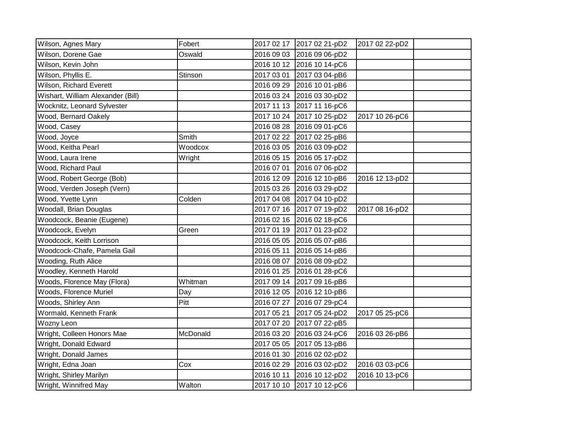| Wilson, Agnes Mary                | Fobert   | 2017 02 17 2017 02 21-pD2<br>2017 02 22-pD2    |
|-----------------------------------|----------|------------------------------------------------|
| Wilson, Dorene Gae                | Oswald   | 2016 09 03<br>2016 09 06-pD2                   |
| Wilson, Kevin John                |          | 2016 10 12 2016 10 14-pC6                      |
| Wilson, Phyllis E.                | Stinson  | 2017 03 01<br>2017 03 04-pB6                   |
| Wilson, Richard Everett           |          | 2016 09 29<br>2016 10 01-pB6                   |
| Wishart, William Alexander (Bill) |          | 2016 03 24<br>2016 03 30-pD2                   |
| Wocknitz, Leonard Sylvester       |          | 2017 11 13<br>2017 11 16-pC6                   |
| Wood, Bernard Oakely              |          | 2017 10 24<br>2017 10 25-pD2<br>2017 10 26-pC6 |
| Wood, Casey                       |          | 2016 08 28<br>2016 09 01-pC6                   |
| Wood, Joyce                       | Smith    | 2017 02 22 2017 02 25-pB6                      |
| Wood, Keitha Pearl                | Woodcox  | 2016 03 05 2016 03 09-pD2                      |
| Wood, Laura Irene                 | Wright   | 2016 05 15 2016 05 17-pD2                      |
| Wood, Richard Paul                |          | 2016 07 01<br>2016 07 06-pD2                   |
| Wood, Robert George (Bob)         |          | 2016 12 09<br>2016 12 10-pB6<br>2016 12 13-pD2 |
| Wood, Verden Joseph (Vern)        |          | 2015 03 26<br>2016 03 29-pD2                   |
| Wood, Yvette Lynn                 | Colden   | 2017 04 08 2017 04 10-pD2                      |
| Woodall, Brian Douglas            |          | 2017 07 16 2017 07 19-pD2<br>2017 08 16-pD2    |
| Woodcock, Beanie (Eugene)         |          | 2016 02 16<br>2016 02 18-pC6                   |
| Woodcock, Evelyn                  | Green    | 2017 01 23-pD2<br>2017 01 19                   |
| Woodcock, Keith Lorrison          |          | 2016 05 05<br>2016 05 07-pB6                   |
| Woodcock-Chafe, Pamela Gail       |          | 2016 05 11<br>2016 05 14-pB6                   |
| Wooding, Ruth Alice               |          | 2016 08 07<br>2016 08 09-pD2                   |
| Woodley, Kenneth Harold           |          | 2016 01 25 2016 01 28-pC6                      |
| Woods, Florence May (Flora)       | Whitman  | 2017 09 14 2017 09 16-pB6                      |
| Woods, Florence Muriel            | Day      | 2016 12 05 2016 12 10-pB6                      |
| Woods, Shirley Ann                | Pitt     | 2016 07 27<br>2016 07 29-pC4                   |
| Wormald, Kenneth Frank            |          | 2017 05 21<br>2017 05 24-pD2<br>2017 05 25-pC6 |
| Wozny Leon                        |          | 2017 07 20<br>2017 07 22-pB5                   |
| Wright, Colleen Honors Mae        | McDonald | 2016 03 20<br>2016 03 24-pC6<br>2016 03 26-pB6 |
| Wright, Donald Edward             |          | 2017 05 05<br>2017 05 13-pB6                   |
| Wright, Donald James              |          | 2016 01 30<br>2016 02 02-pD2                   |
| Wright, Edna Joan                 | Cox      | 2016 02 29<br>2016 03 03-pC6<br>2016 03 02-pD2 |
| Wright, Shirley Marilyn           |          | 2016 10 11<br>2016 10 12-pD2<br>2016 10 13-pC6 |
| Wright, Winnifred May             | Walton   | 2017 10 10<br>2017 10 12-pC6                   |